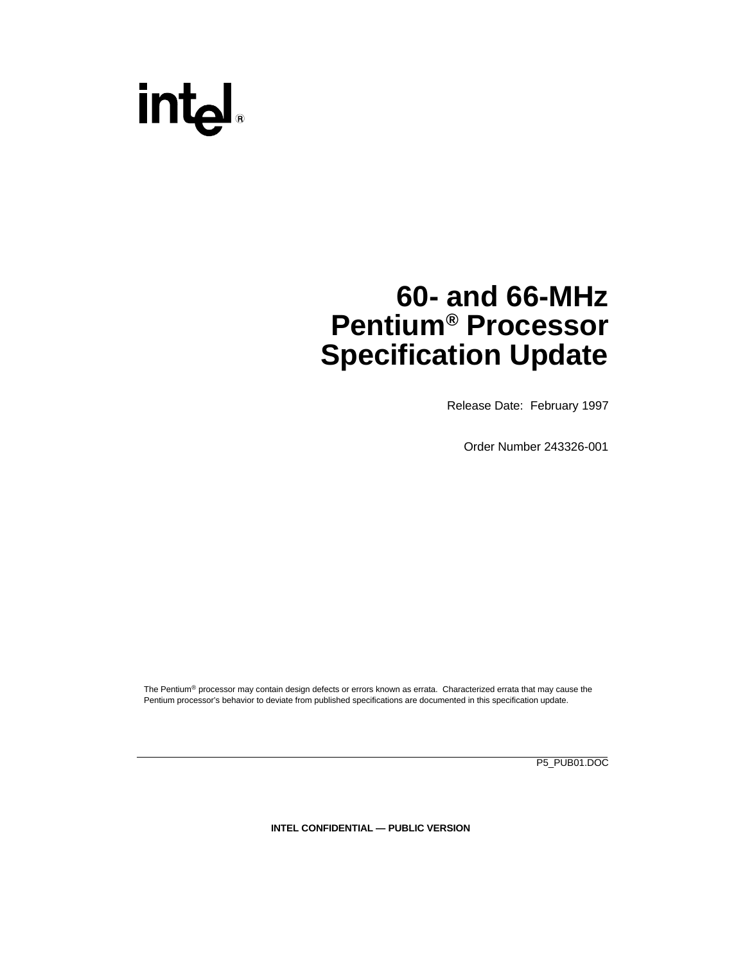# intd.

### **60- and 66-MHz Pentium® Processor Specification Update**

Release Date: February 1997

Order Number 243326-001

The Pentium® processor may contain design defects or errors known as errata. Characterized errata that may cause the Pentium processor's behavior to deviate from published specifications are documented in this specification update.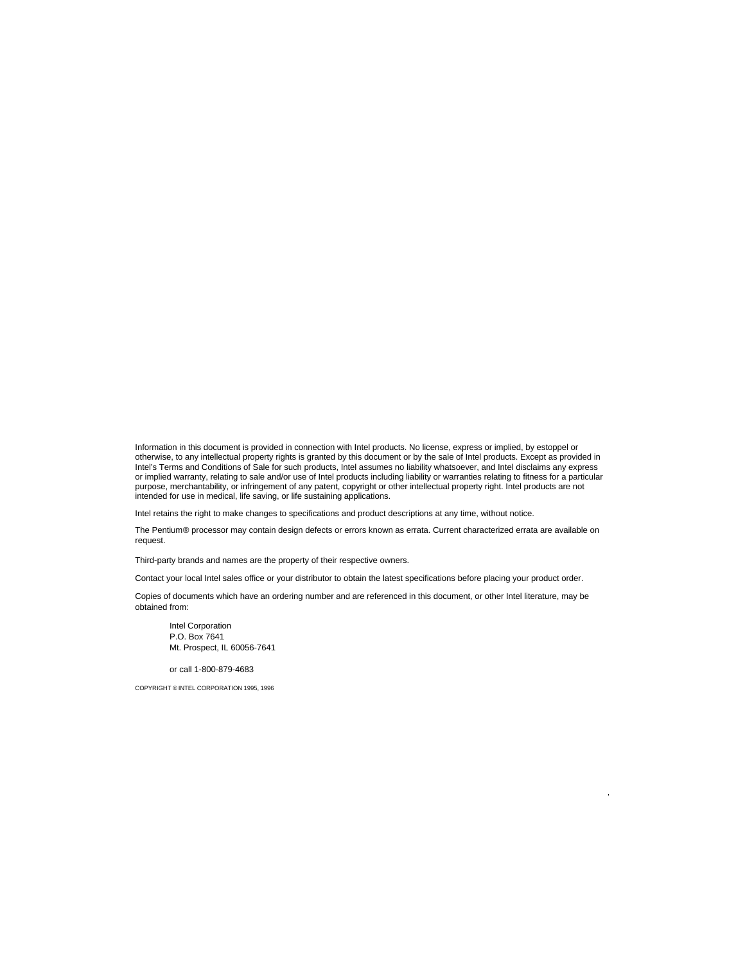Information in this document is provided in connection with Intel products. No license, express or implied, by estoppel or otherwise, to any intellectual property rights is granted by this document or by the sale of Intel products. Except as provided in Intel's Terms and Conditions of Sale for such products, Intel assumes no liability whatsoever, and Intel disclaims any express or implied warranty, relating to sale and/or use of Intel products including liability or warranties relating to fitness for a particular purpose, merchantability, or infringement of any patent, copyright or other intellectual property right. Intel products are not intended for use in medical, life saving, or life sustaining applications.

Intel retains the right to make changes to specifications and product descriptions at any time, without notice.

The Pentium® processor may contain design defects or errors known as errata. Current characterized errata are available on request.

Third-party brands and names are the property of their respective owners.

Contact your local Intel sales office or your distributor to obtain the latest specifications before placing your product order.

Copies of documents which have an ordering number and are referenced in this document, or other Intel literature, may be obtained from:

Intel Corporation P.O. Box 7641 Mt. Prospect, IL 60056-7641

or call 1-800-879-4683

COPYRIGHT © INTEL CORPORATION 1995, 1996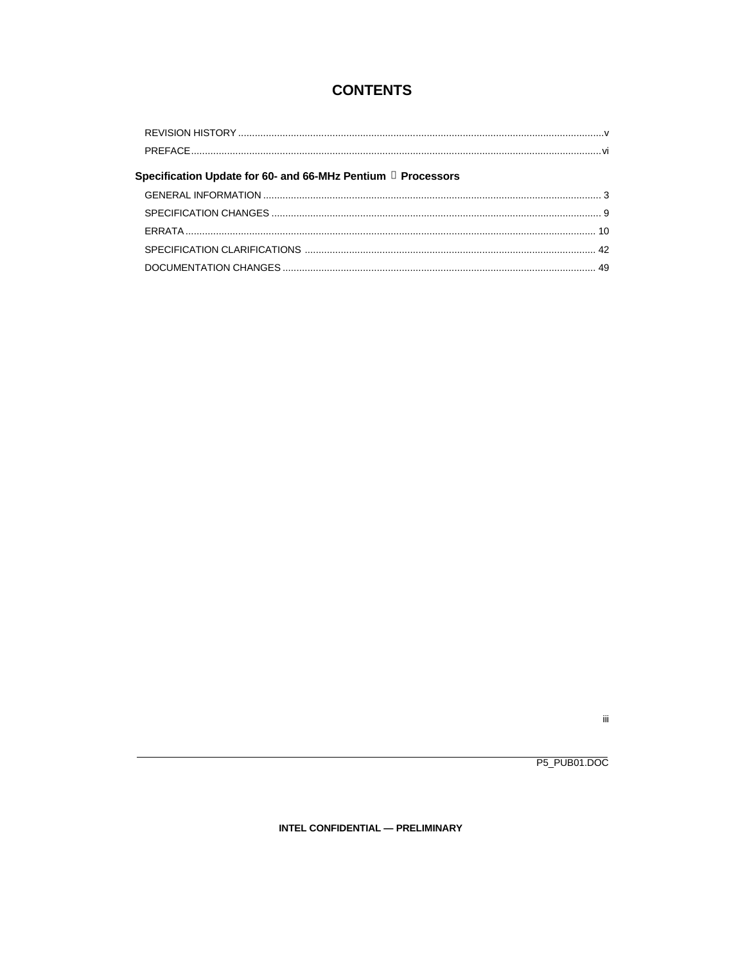### **CONTENTS**

| Specification Update for 60- and 66-MHz Pentium a Processors |  |
|--------------------------------------------------------------|--|
|                                                              |  |
|                                                              |  |
|                                                              |  |
|                                                              |  |
|                                                              |  |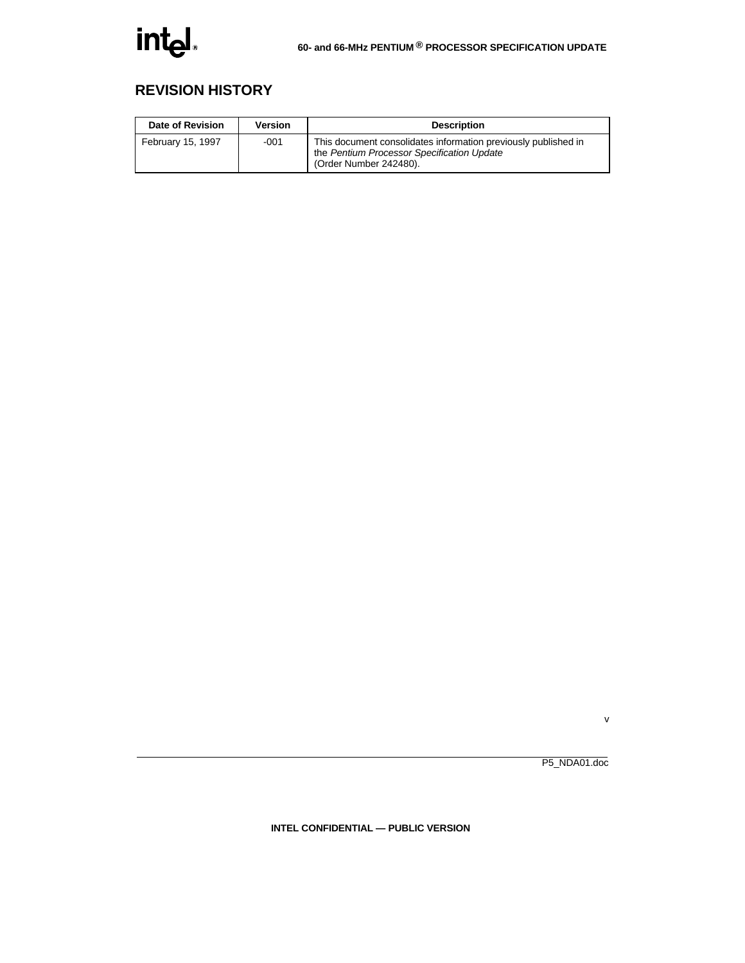### **REVISION HISTORY**

| Date of Revision  | Version | <b>Description</b>                                                                                                                     |  |  |
|-------------------|---------|----------------------------------------------------------------------------------------------------------------------------------------|--|--|
| February 15, 1997 | $-001$  | This document consolidates information previously published in<br>the Pentium Processor Specification Update<br>(Order Number 242480). |  |  |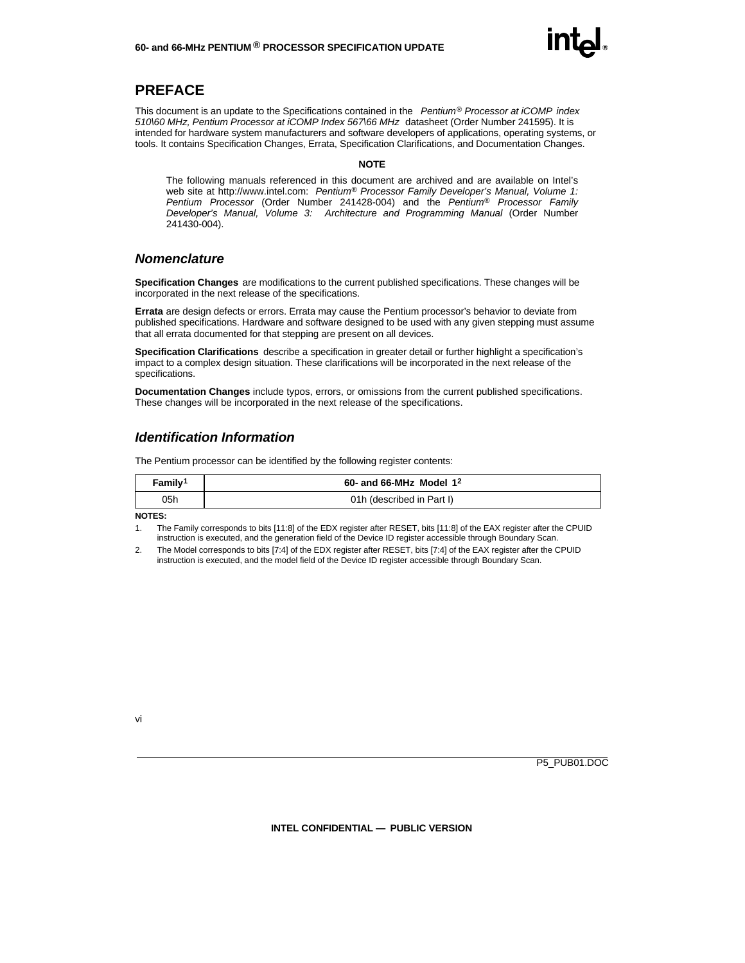

#### **PREFACE**

This document is an update to the Specifications contained in the *Pentium® Processor at iCOMP index 510\60 MHz, Pentium Processor at iCOMP Index 567\66 MHz* datasheet (Order Number 241595). It is intended for hardware system manufacturers and software developers of applications, operating systems, or tools. It contains Specification Changes, Errata, Specification Clarifications, and Documentation Changes.

#### **NOTE**

The following manuals referenced in this document are archived and are available on Intel's web site at http://www.intel.com: *Pentium® Processor Family Developer's Manual, Volume 1: Pentium Processor* (Order Number 241428-004) and the *Pentium® Processor Family Developer's Manual, Volume 3: Architecture and Programming Manual* (Order Number 241430-004).

#### *Nomenclature*

**Specification Changes** are modifications to the current published specifications. These changes will be incorporated in the next release of the specifications.

**Errata** are design defects or errors. Errata may cause the Pentium processor's behavior to deviate from published specifications. Hardware and software designed to be used with any given stepping must assume that all errata documented for that stepping are present on all devices.

**Specification Clarifications** describe a specification in greater detail or further highlight a specification's impact to a complex design situation. These clarifications will be incorporated in the next release of the specifications.

**Documentation Changes** include typos, errors, or omissions from the current published specifications. These changes will be incorporated in the next release of the specifications.

#### *Identification Information*

The Pentium processor can be identified by the following register contents:

| Family <sup>1</sup> | 60- and 66-MHz Model $1^2$ |
|---------------------|----------------------------|
| 05h                 | 01h (described in Part I)  |

#### **NOTES:**

1. The Family corresponds to bits [11:8] of the EDX register after RESET, bits [11:8] of the EAX register after the CPUID instruction is executed, and the generation field of the Device ID register accessible through Boundary Scan.

2. The Model corresponds to bits [7:4] of the EDX register after RESET, bits [7:4] of the EAX register after the CPUID instruction is executed, and the model field of the Device ID register accessible through Boundary Scan.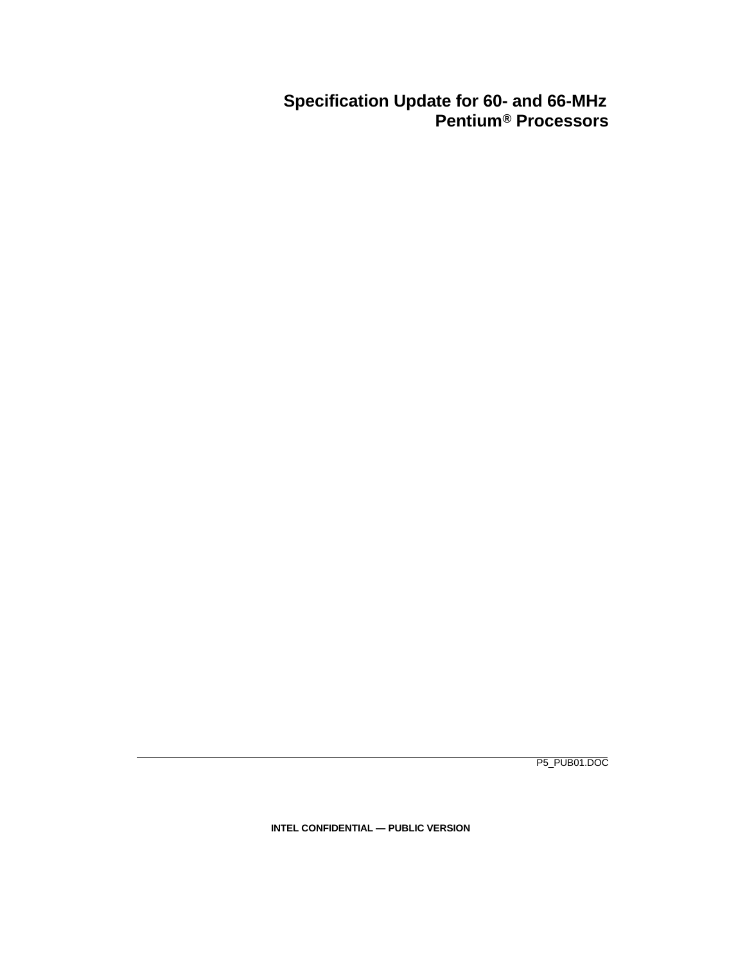### **Specification Update for 60- and 66-MHz Pentium® Processors**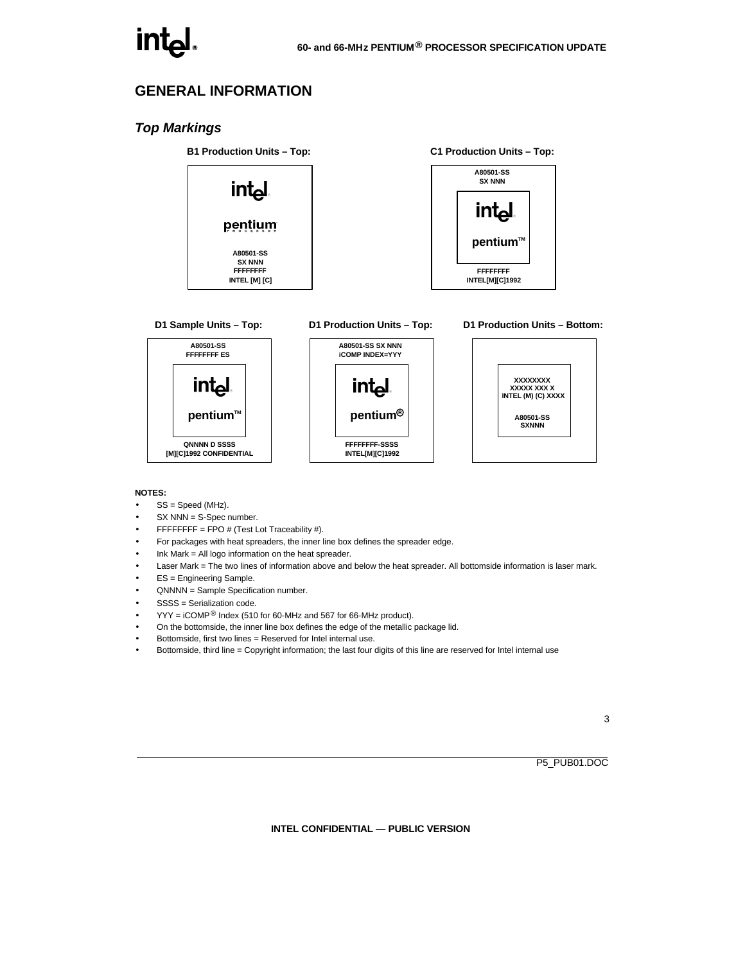#### **GENERAL INFORMATION**

#### *Top Markings*

**B1 Production Units – Top:**



**D1 Sample Units – Top: A80501-SS**

**FFFFFFFF ES**

intی

**A80501-SS SX NNN iCOMP INDEX=YYY int pentium**™ **pentium<sup>R</sup> QNNNN D SSSS FFFFFFFF-SSSS [M][C]1992 CONFIDENTIAL INTEL[M][C]1992**

#### **C1 Production Units – Top:**



#### **D1 Production Units – Bottom:**



#### **NOTES:**

- $\bullet$  SS = Speed (MHz).
- $SX$  NNN = S-Spec number.
- FFFFFFFFF = FPO  $#$  (Test Lot Traceability  $#$ ).
- For packages with heat spreaders, the inner line box defines the spreader edge.
- Ink Mark  $=$  All logo information on the heat spreader.
- Laser Mark = The two lines of information above and below the heat spreader. All bottomside information is laser mark.

**D1 Production Units – Top:**

- ES = Engineering Sample.
- QNNNN = Sample Specification number.
- SSSS = Serialization code
- $YYY = iCOMP^@$  Index (510 for 60-MHz and 567 for 66-MHz product).
- On the bottomside, the inner line box defines the edge of the metallic package lid.
- Bottomside, first two lines = Reserved for Intel internal use.
- Bottomside, third line = Copyright information; the last four digits of this line are reserved for Intel internal use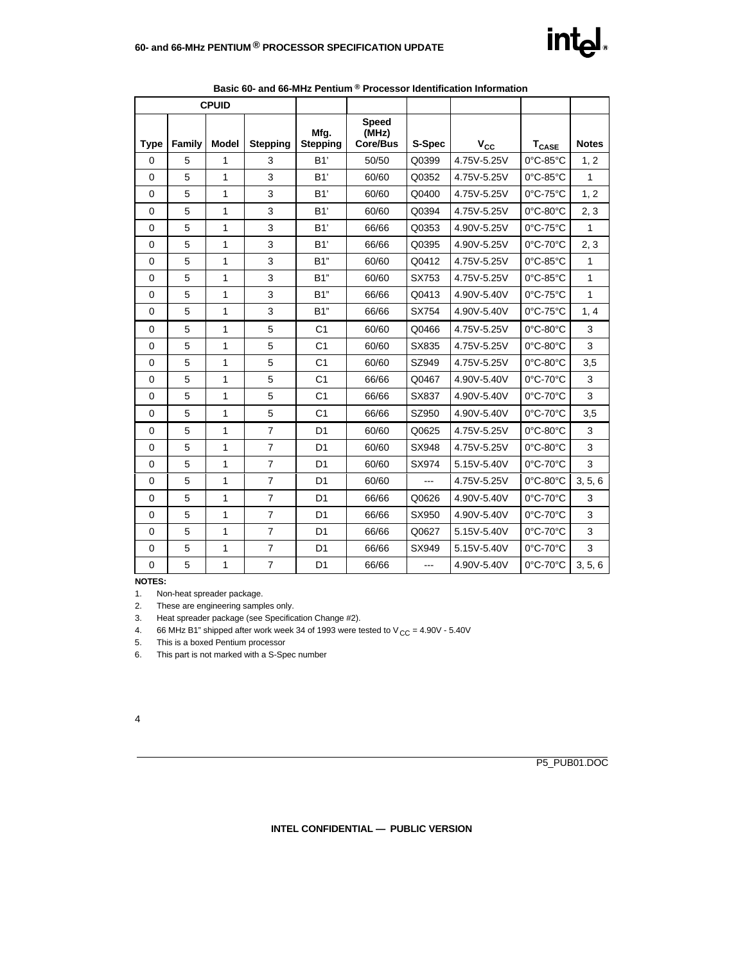

| <b>CPUID</b> |        |              |                 |                         |                                   |        |              |                               |              |
|--------------|--------|--------------|-----------------|-------------------------|-----------------------------------|--------|--------------|-------------------------------|--------------|
| <b>Type</b>  | Family | <b>Model</b> | <b>Stepping</b> | Mfg.<br><b>Stepping</b> | <b>Speed</b><br>(MHz)<br>Core/Bus | S-Spec | $V_{\rm CC}$ | $T_{\text{CASE}}$             | <b>Notes</b> |
| 0            | 5      | 1            | 3               | B1'                     | 50/50                             | Q0399  | 4.75V-5.25V  | 0°C-85°C                      | 1, 2         |
| $\Omega$     | 5      | 1            | 3               | B1'                     | 60/60                             | Q0352  | 4.75V-5.25V  | $0^{\circ}$ C-85 $^{\circ}$ C | 1            |
| $\mathbf 0$  | 5      | 1            | 3               | B1'                     | 60/60                             | Q0400  | 4.75V-5.25V  | 0°C-75°C                      | 1, 2         |
| 0            | 5      | 1            | 3               | B1'                     | 60/60                             | Q0394  | 4.75V-5.25V  | 0°C-80°C                      | 2, 3         |
| $\Omega$     | 5      | 1            | 3               | B1'                     | 66/66                             | Q0353  | 4.90V-5.25V  | $0^{\circ}$ C-75 $^{\circ}$ C | 1            |
| $\mathbf 0$  | 5      | 1            | 3               | B1'                     | 66/66                             | Q0395  | 4.90V-5.25V  | 0°C-70°C                      | 2, 3         |
| 0            | 5      | 1            | 3               | B1"                     | 60/60                             | Q0412  | 4.75V-5.25V  | 0°C-85°C                      | 1            |
| $\mathbf 0$  | 5      | 1            | 3               | B1"                     | 60/60                             | SX753  | 4.75V-5.25V  | $0^{\circ}$ C-85 $^{\circ}$ C | $\mathbf{1}$ |
| $\mathbf 0$  | 5      | 1            | 3               | B1"                     | 66/66                             | Q0413  | 4.90V-5.40V  | 0°C-75°C                      | 1            |
| $\mathbf 0$  | 5      | 1            | 3               | B1"                     | 66/66                             | SX754  | 4.90V-5.40V  | $0^{\circ}$ C-75 $^{\circ}$ C | 1, 4         |
| $\mathbf 0$  | 5      | 1            | 5               | C <sub>1</sub>          | 60/60                             | Q0466  | 4.75V-5.25V  | 0°C-80°C                      | 3            |
| $\mathbf 0$  | 5      | 1            | 5               | C <sub>1</sub>          | 60/60                             | SX835  | 4.75V-5.25V  | $0^{\circ}$ C-80 $^{\circ}$ C | 3            |
| $\mathbf 0$  | 5      | 1            | 5               | C <sub>1</sub>          | 60/60                             | SZ949  | 4.75V-5.25V  | $0^{\circ}$ C-80 $^{\circ}$ C | 3,5          |
| $\mathbf 0$  | 5      | 1            | 5               | C <sub>1</sub>          | 66/66                             | Q0467  | 4.90V-5.40V  | 0°C-70°C                      | 3            |
| 0            | 5      | 1            | 5               | C <sub>1</sub>          | 66/66                             | SX837  | 4.90V-5.40V  | 0°C-70°C                      | 3            |
| $\mathbf 0$  | 5      | 1            | 5               | C <sub>1</sub>          | 66/66                             | SZ950  | 4.90V-5.40V  | 0°C-70°C                      | 3,5          |
| 0            | 5      | 1            | $\overline{7}$  | D <sub>1</sub>          | 60/60                             | Q0625  | 4.75V-5.25V  | $0^{\circ}$ C-80 $^{\circ}$ C | 3            |
| $\mathbf 0$  | 5      | 1            | $\overline{7}$  | D <sub>1</sub>          | 60/60                             | SX948  | 4.75V-5.25V  | 0°C-80°C                      | 3            |
| $\mathbf 0$  | 5      | 1            | $\overline{7}$  | D <sub>1</sub>          | 60/60                             | SX974  | 5.15V-5.40V  | 0°C-70°C                      | 3            |
| $\mathbf 0$  | 5      | 1            | $\overline{7}$  | D <sub>1</sub>          | 60/60                             |        | 4.75V-5.25V  | 0°C-80°C                      | 3, 5, 6      |
| 0            | 5      | 1            | $\overline{7}$  | D <sub>1</sub>          | 66/66                             | Q0626  | 4.90V-5.40V  | 0°C-70°C                      | 3            |
| 0            | 5      | 1            | $\overline{7}$  | D <sub>1</sub>          | 66/66                             | SX950  | 4.90V-5.40V  | 0°C-70°C                      | 3            |
| $\mathbf 0$  | 5      | $\mathbf{1}$ | $\overline{7}$  | D <sub>1</sub>          | 66/66                             | Q0627  | 5.15V-5.40V  | 0°C-70°C                      | 3            |
| $\mathbf 0$  | 5      | 1            | $\overline{7}$  | D <sub>1</sub>          | 66/66                             | SX949  | 5.15V-5.40V  | 0°C-70°C                      | 3            |
| $\mathbf 0$  | 5      | 1            | $\overline{7}$  | D <sub>1</sub>          | 66/66                             | ---    | 4.90V-5.40V  | 0°C-70°C                      | 3, 5, 6      |

**Basic 60- and 66-MHz Pentium ® Processor Identification Information**

**NOTES:**

1. Non-heat spreader package.

2. These are engineering samples only.

3. Heat spreader package (see Specification Change #2).

4. 66 MHz B1" shipped after work week 34 of 1993 were tested to  $V_{CC} = 4.90V - 5.40V$ 

5. This is a boxed Pentium processor

6. This part is not marked with a S-Spec number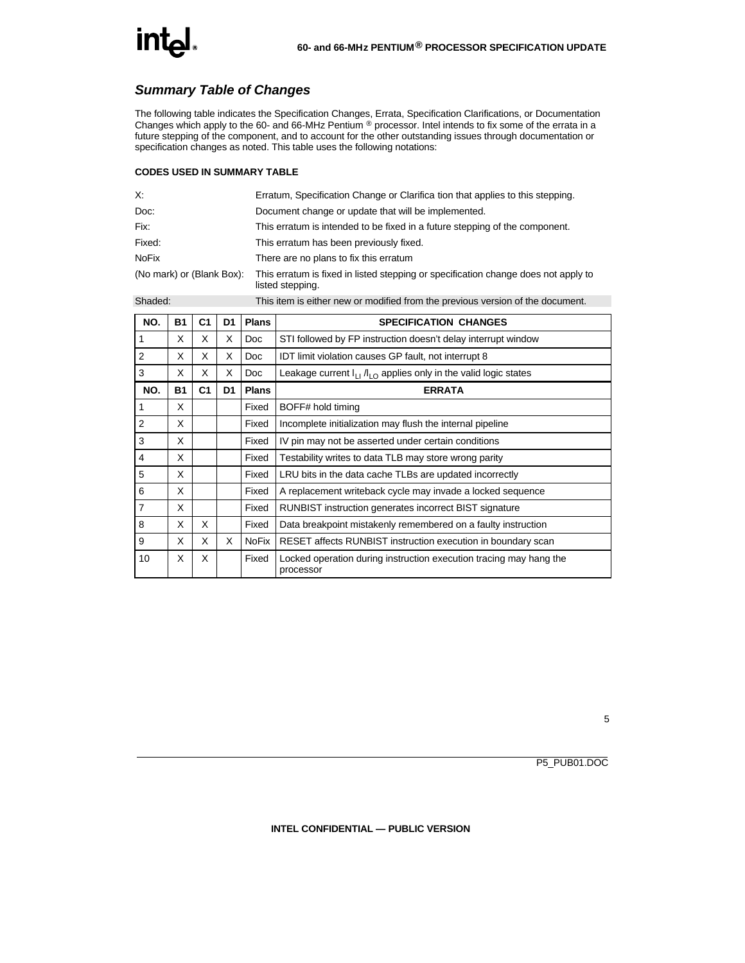#### *Summary Table of Changes*

The following table indicates the Specification Changes, Errata, Specification Clarifications, or Documentation Changes which apply to the 60- and 66-MHz Pentium ® processor. Intel intends to fix some of the errata in a future stepping of the component, and to account for the other outstanding issues through documentation or specification changes as noted. This table uses the following notations:

#### **CODES USED IN SUMMARY TABLE**

| Х:                        | Erratum, Specification Change or Clarifica tion that applies to this stepping.                         |
|---------------------------|--------------------------------------------------------------------------------------------------------|
| Doc:                      | Document change or update that will be implemented.                                                    |
| Fix:                      | This erratum is intended to be fixed in a future stepping of the component.                            |
| Fixed:                    | This erratum has been previously fixed.                                                                |
| <b>NoFix</b>              | There are no plans to fix this erratum                                                                 |
| (No mark) or (Blank Box): | This erratum is fixed in listed stepping or specification change does not apply to<br>listed stepping. |

Shaded: This item is either new or modified from the previous version of the document.

| NO.            | <b>B1</b> | C <sub>1</sub> | D <sub>1</sub> | <b>Plans</b> | <b>SPECIFICATION CHANGES</b>                                                    |  |  |
|----------------|-----------|----------------|----------------|--------------|---------------------------------------------------------------------------------|--|--|
| 1              | X         | X              | X              | <b>Doc</b>   | STI followed by FP instruction doesn't delay interrupt window                   |  |  |
| 2              | X         | X              | X              | <b>Doc</b>   | IDT limit violation causes GP fault, not interrupt 8                            |  |  |
| 3              | X         | X              | X              | Doc.         | Leakage current $I_{11}/I_{10}$ applies only in the valid logic states          |  |  |
| NO.            | <b>B1</b> | C <sub>1</sub> | D <sub>1</sub> | <b>Plans</b> | <b>ERRATA</b>                                                                   |  |  |
| 1              | X         |                |                | Fixed        | BOFF# hold timing                                                               |  |  |
| 2              | X         |                |                | Fixed        | Incomplete initialization may flush the internal pipeline                       |  |  |
| 3              | X         |                |                | Fixed        | IV pin may not be asserted under certain conditions                             |  |  |
| $\overline{4}$ | X         |                |                | Fixed        | Testability writes to data TLB may store wrong parity                           |  |  |
| 5              | X         |                |                | Fixed        | LRU bits in the data cache TLBs are updated incorrectly                         |  |  |
| 6              | X         |                |                | Fixed        | A replacement writeback cycle may invade a locked sequence                      |  |  |
| $\overline{7}$ | X         |                |                | Fixed        | <b>RUNBIST</b> instruction generates incorrect BIST signature                   |  |  |
| 8              | X         | X              |                | Fixed        | Data breakpoint mistakenly remembered on a faulty instruction                   |  |  |
| 9              | X         | X              | X              | <b>NoFix</b> | RESET affects RUNBIST instruction execution in boundary scan                    |  |  |
| 10             | X         | X              |                | Fixed        | Locked operation during instruction execution tracing may hang the<br>processor |  |  |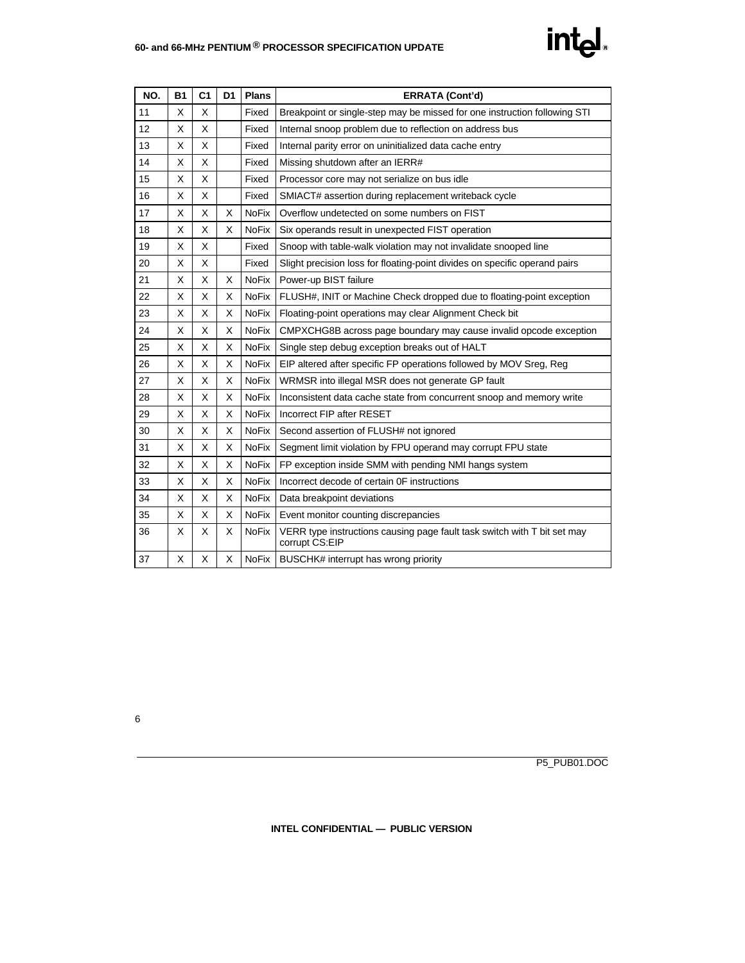#### **60- and 66-MHz PENTIUM ® PROCESSOR SPECIFICATION UPDATE**

| NO. | <b>B1</b> | C <sub>1</sub> | D <sub>1</sub> | <b>Plans</b> | <b>ERRATA (Cont'd)</b>                                                                     |  |  |
|-----|-----------|----------------|----------------|--------------|--------------------------------------------------------------------------------------------|--|--|
| 11  | X         | X              |                | Fixed        | Breakpoint or single-step may be missed for one instruction following STI                  |  |  |
| 12  | X         | X              |                | Fixed        | Internal snoop problem due to reflection on address bus                                    |  |  |
| 13  | X         | X              |                | Fixed        | Internal parity error on uninitialized data cache entry                                    |  |  |
| 14  | X         | X              |                | Fixed        | Missing shutdown after an IERR#                                                            |  |  |
| 15  | X         | X              |                | Fixed        | Processor core may not serialize on bus idle                                               |  |  |
| 16  | X         | X              |                | Fixed        | SMIACT# assertion during replacement writeback cycle                                       |  |  |
| 17  | X         | X              | X              | <b>NoFix</b> | Overflow undetected on some numbers on FIST                                                |  |  |
| 18  | X         | X              | X              | <b>NoFix</b> | Six operands result in unexpected FIST operation                                           |  |  |
| 19  | X         | X              |                | Fixed        | Snoop with table-walk violation may not invalidate snooped line                            |  |  |
| 20  | X         | X              |                | Fixed        | Slight precision loss for floating-point divides on specific operand pairs                 |  |  |
| 21  | X         | X              | X              | <b>NoFix</b> | Power-up BIST failure                                                                      |  |  |
| 22  | X         | X              | X              | <b>NoFix</b> | FLUSH#, INIT or Machine Check dropped due to floating-point exception                      |  |  |
| 23  | X         | X              | X              | <b>NoFix</b> | Floating-point operations may clear Alignment Check bit                                    |  |  |
| 24  | X         | X              | X              | <b>NoFix</b> | CMPXCHG8B across page boundary may cause invalid opcode exception                          |  |  |
| 25  | X         | X              | X              | <b>NoFix</b> | Single step debug exception breaks out of HALT                                             |  |  |
| 26  | X         | X              | X              | <b>NoFix</b> | EIP altered after specific FP operations followed by MOV Sreg, Reg                         |  |  |
| 27  | X         | X              | X              | <b>NoFix</b> | WRMSR into illegal MSR does not generate GP fault                                          |  |  |
| 28  | X         | X              | X              | <b>NoFix</b> | Inconsistent data cache state from concurrent snoop and memory write                       |  |  |
| 29  | X         | X              | X              | <b>NoFix</b> | Incorrect FIP after RESET                                                                  |  |  |
| 30  | X         | X              | X              | <b>NoFix</b> | Second assertion of FLUSH# not ignored                                                     |  |  |
| 31  | X         | X              | X              | <b>NoFix</b> | Segment limit violation by FPU operand may corrupt FPU state                               |  |  |
| 32  | X         | X              | X              | <b>NoFix</b> | FP exception inside SMM with pending NMI hangs system                                      |  |  |
| 33  | X         | X              | X              | <b>NoFix</b> | Incorrect decode of certain OF instructions                                                |  |  |
| 34  | X         | X              | X              | <b>NoFix</b> | Data breakpoint deviations                                                                 |  |  |
| 35  | X         | X              | X              | <b>NoFix</b> | Event monitor counting discrepancies                                                       |  |  |
| 36  | X         | X              | х              | <b>NoFix</b> | VERR type instructions causing page fault task switch with T bit set may<br>corrupt CS:EIP |  |  |
| 37  | X.        | X              | X              | <b>NoFix</b> | BUSCHK# interrupt has wrong priority                                                       |  |  |

intel.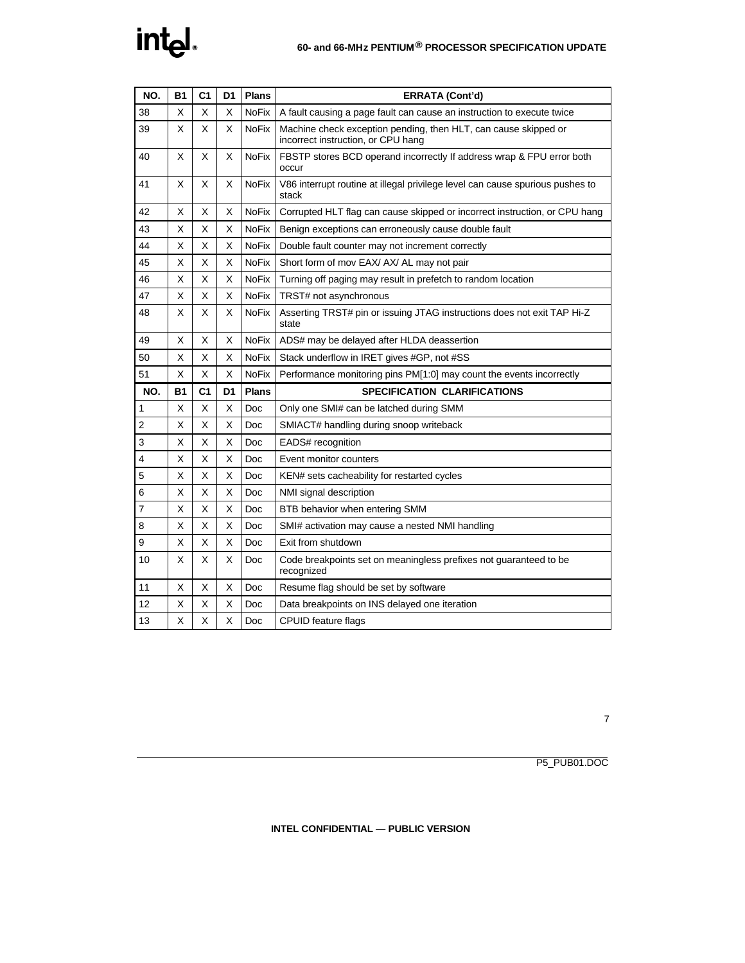## intel.

| NO. | <b>B1</b> | C <sub>1</sub> | D <sub>1</sub> | <b>Plans</b> | <b>ERRATA (Cont'd)</b>                                                                                |  |  |
|-----|-----------|----------------|----------------|--------------|-------------------------------------------------------------------------------------------------------|--|--|
| 38  | X         | х              | X              | <b>NoFix</b> | A fault causing a page fault can cause an instruction to execute twice                                |  |  |
| 39  | X         | X              | X              | <b>NoFix</b> | Machine check exception pending, then HLT, can cause skipped or<br>incorrect instruction, or CPU hang |  |  |
| 40  | X         | X              | X              | <b>NoFix</b> | FBSTP stores BCD operand incorrectly If address wrap & FPU error both<br>occur                        |  |  |
| 41  | X         | х              | X              | <b>NoFix</b> | V86 interrupt routine at illegal privilege level can cause spurious pushes to<br>stack                |  |  |
| 42  | X         | х              | X              | <b>NoFix</b> | Corrupted HLT flag can cause skipped or incorrect instruction, or CPU hang                            |  |  |
| 43  | X         | X              | X              | <b>NoFix</b> | Benign exceptions can erroneously cause double fault                                                  |  |  |
| 44  | х         | Χ              | X              | NoFix        | Double fault counter may not increment correctly                                                      |  |  |
| 45  | х         | X              | X              | NoFix        | Short form of mov EAX/ AX/ AL may not pair                                                            |  |  |
| 46  | X         | X              | X              | <b>NoFix</b> | Turning off paging may result in prefetch to random location                                          |  |  |
| 47  | X         | X              | X              | <b>NoFix</b> | TRST# not asynchronous                                                                                |  |  |
| 48  | X         | х              | X              | NoFix        | Asserting TRST# pin or issuing JTAG instructions does not exit TAP Hi-Z<br>state                      |  |  |
| 49  | X         | х              | X              | <b>NoFix</b> | ADS# may be delayed after HLDA deassertion                                                            |  |  |
| 50  | х         | х              | X              | <b>NoFix</b> | Stack underflow in IRET gives #GP, not #SS                                                            |  |  |
| 51  | X         | X              | X              | <b>NoFix</b> | Performance monitoring pins PM[1:0] may count the events incorrectly                                  |  |  |
| NO. | <b>B1</b> | C <sub>1</sub> | D <sub>1</sub> | <b>Plans</b> | <b>SPECIFICATION CLARIFICATIONS</b>                                                                   |  |  |
| 1   | X         | X              | X              | Doc          | Only one SMI# can be latched during SMM                                                               |  |  |
| 2   | х         | Χ              | X              | Doc          | SMIACT# handling during snoop writeback                                                               |  |  |
| 3   | х         | X              | X              | Doc          | EADS# recognition                                                                                     |  |  |
| 4   | X         | X              | X              | Doc          | Event monitor counters                                                                                |  |  |
| 5   | X         | X              | X              | Doc          | KEN# sets cacheability for restarted cycles                                                           |  |  |
| 6   | х         | X              | X              | Doc          | NMI signal description                                                                                |  |  |
| 7   | х         | X              | X              | Doc          | BTB behavior when entering SMM                                                                        |  |  |
| 8   | X         | Χ              | X              | Doc          | SMI# activation may cause a nested NMI handling                                                       |  |  |
| 9   | х         | Χ              | X              | Doc          | Exit from shutdown                                                                                    |  |  |
| 10  | X         | X              | X              | Doc          | Code breakpoints set on meaningless prefixes not guaranteed to be<br>recognized                       |  |  |
| 11  | X         | X              | X              | Doc          | Resume flag should be set by software                                                                 |  |  |
| 12  | X         | X              | Х              | Doc          | Data breakpoints on INS delayed one iteration                                                         |  |  |
| 13  | Χ         | Χ              | X              | Doc          | CPUID feature flags                                                                                   |  |  |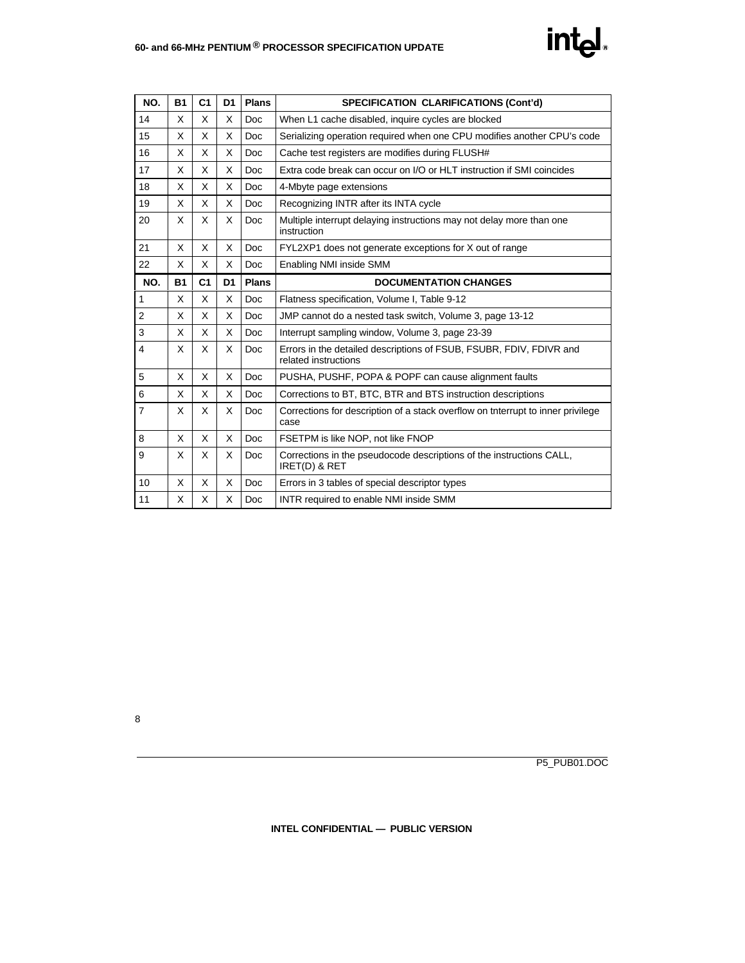## intel.

| NO.            | <b>B1</b> | C <sub>1</sub> | D <sub>1</sub> | <b>Plans</b> | <b>SPECIFICATION CLARIFICATIONS (Cont'd)</b>                                                |  |  |
|----------------|-----------|----------------|----------------|--------------|---------------------------------------------------------------------------------------------|--|--|
| 14             | X         | X              | X              | <b>Doc</b>   | When L1 cache disabled, inquire cycles are blocked                                          |  |  |
| 15             | X         | X              | X              | <b>Doc</b>   | Serializing operation required when one CPU modifies another CPU's code                     |  |  |
| 16             | X         | X              | X              | <b>Doc</b>   | Cache test registers are modifies during FLUSH#                                             |  |  |
| 17             | X         | X              | X              | <b>Doc</b>   | Extra code break can occur on I/O or HLT instruction if SMI coincides                       |  |  |
| 18             | X         | X              | X              | <b>Doc</b>   | 4-Mbyte page extensions                                                                     |  |  |
| 19             | X         | X              | X              | <b>Doc</b>   | Recognizing INTR after its INTA cycle                                                       |  |  |
| 20             | X         | X              | X              | <b>Doc</b>   | Multiple interrupt delaying instructions may not delay more than one<br>instruction         |  |  |
| 21             | X         | X              | X              | <b>Doc</b>   | FYL2XP1 does not generate exceptions for X out of range                                     |  |  |
| 22             | X         | X              | X              | Doc          | Enabling NMI inside SMM                                                                     |  |  |
| NO.            | <b>B1</b> | C <sub>1</sub> | D <sub>1</sub> | <b>Plans</b> | <b>DOCUMENTATION CHANGES</b>                                                                |  |  |
| 1              | X         | X              | X              | <b>Doc</b>   | Flatness specification, Volume I, Table 9-12                                                |  |  |
| $\overline{2}$ | X         | X              | X              | Doc          | JMP cannot do a nested task switch, Volume 3, page 13-12                                    |  |  |
| 3              | X         | X              | X              | <b>Doc</b>   | Interrupt sampling window, Volume 3, page 23-39                                             |  |  |
| $\overline{4}$ | X         | X              | X              | <b>Doc</b>   | Errors in the detailed descriptions of FSUB, FSUBR, FDIV, FDIVR and<br>related instructions |  |  |
| 5              | X         | X              | X              | Doc          | PUSHA, PUSHF, POPA & POPF can cause alignment faults                                        |  |  |
| 6              | X         | X              | X              | <b>Doc</b>   | Corrections to BT, BTC, BTR and BTS instruction descriptions                                |  |  |
| $\overline{7}$ | X         | X              | X              | <b>Doc</b>   | Corrections for description of a stack overflow on tnterrupt to inner privilege<br>case     |  |  |
| 8              | X         | X              | X              | <b>Doc</b>   | FSETPM is like NOP, not like FNOP                                                           |  |  |
| 9              | X         | X              | X              | <b>Doc</b>   | Corrections in the pseudocode descriptions of the instructions CALL,<br>IRET(D) & RET       |  |  |
| 10             | X         | X              | X              | <b>Doc</b>   | Errors in 3 tables of special descriptor types                                              |  |  |
| 11             | X         | X              | X              | <b>Doc</b>   | INTR required to enable NMI inside SMM                                                      |  |  |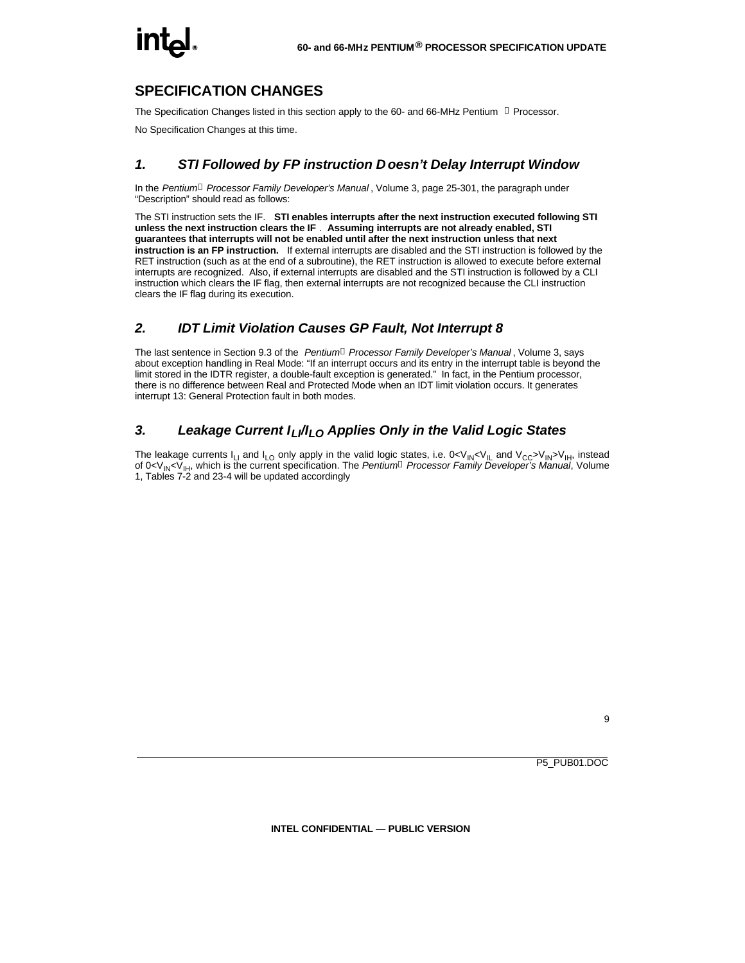### **SPECIFICATION CHANGES**

The Specification Changes listed in this section apply to the 60- and 66-MHz Pentium  $\textcircled{\textdegree}$  Processor.

No Specification Changes at this time.

#### *1. STI Followed by FP instruction D oesn't Delay Interrupt Window*

In the *Pentiumâ Processor Family Developer's Manual* , Volume 3, page 25-301, the paragraph under "Description" should read as follows:

The STI instruction sets the IF. **STI enables interrupts after the next instruction executed following STI unless the next instruction clears the IF** . **Assuming interrupts are not already enabled, STI guarantees that interrupts will not be enabled until after the next instruction unless that next instruction is an FP instruction.** If external interrupts are disabled and the STI instruction is followed by the RET instruction (such as at the end of a subroutine), the RET instruction is allowed to execute before external interrupts are recognized. Also, if external interrupts are disabled and the STI instruction is followed by a CLI instruction which clears the IF flag, then external interrupts are not recognized because the CLI instruction clears the IF flag during its execution.

#### *2. IDT Limit Violation Causes GP Fault, Not Interrupt 8*

The last sentence in Section 9.3 of the *Pentiumâ Processor Family Developer's Manual* , Volume 3, says about exception handling in Real Mode: "If an interrupt occurs and its entry in the interrupt table is beyond the limit stored in the IDTR register, a double-fault exception is generated." In fact, in the Pentium processor, there is no difference between Real and Protected Mode when an IDT limit violation occurs. It generates interrupt 13: General Protection fault in both modes.

#### *3. Leakage Current ILI/ILO Applies Only in the Valid Logic States*

The leakage currents  $I_{11}$  and  $I_{10}$  only apply in the valid logic states, i.e. 0<V<sub>IN</sub><V<sub>IL</sub> and V<sub>CC</sub>>V<sub>IN</sub>>V<sub>IH</sub>, instead of 0<V<sub>IN</sub><V<sub>IH</sub>, which is the current specification. The *Pentium<sup>a</sup> Processor Family Developer's Manual*, Volume 1, Tables 7-2 and 23-4 will be updated accordingly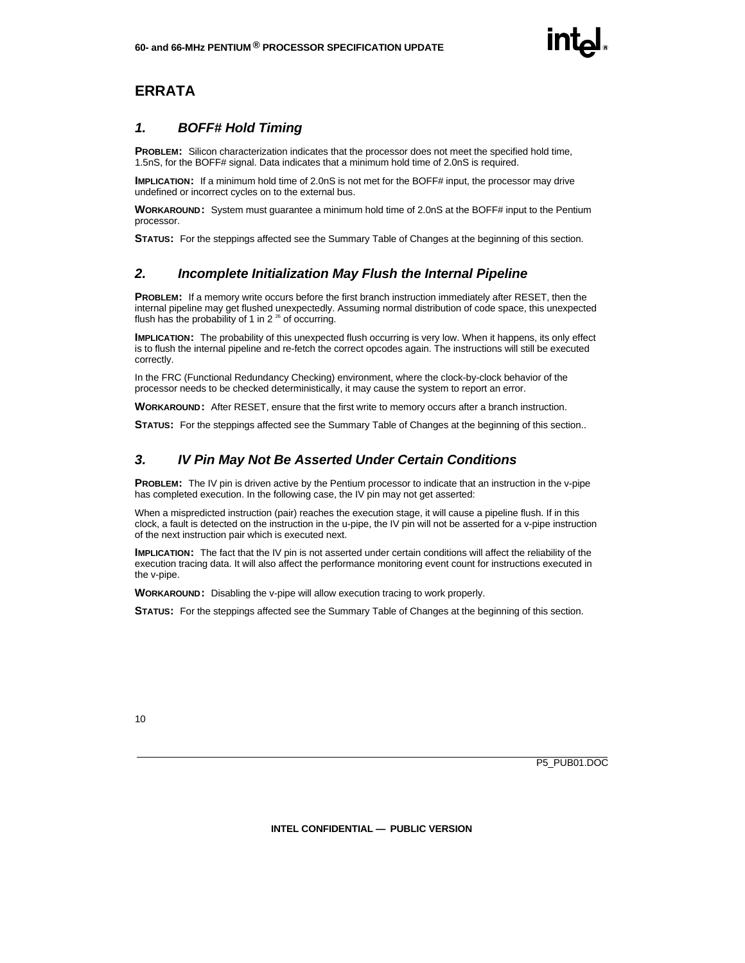### **ERRATA**

#### *1. BOFF# Hold Timing*

**PROBLEM:** Silicon characterization indicates that the processor does not meet the specified hold time, 1.5nS, for the BOFF# signal. Data indicates that a minimum hold time of 2.0nS is required.

**IMPLICATION:** If a minimum hold time of 2.0nS is not met for the BOFF# input, the processor may drive undefined or incorrect cycles on to the external bus.

**WORKAROUND:** System must guarantee a minimum hold time of 2.0nS at the BOFF# input to the Pentium processor.

**STATUS:** For the steppings affected see the Summary Table of Changes at the beginning of this section.

#### *2. Incomplete Initialization May Flush the Internal Pipeline*

**PROBLEM:** If a memory write occurs before the first branch instruction immediately after RESET, then the internal pipeline may get flushed unexpectedly. Assuming normal distribution of code space, this unexpected flush has the probability of 1 in  $2^{26}$  of occurring.

**IMPLICATION:** The probability of this unexpected flush occurring is very low. When it happens, its only effect is to flush the internal pipeline and re-fetch the correct opcodes again. The instructions will still be executed correctly.

In the FRC (Functional Redundancy Checking) environment, where the clock-by-clock behavior of the processor needs to be checked deterministically, it may cause the system to report an error.

**WORKAROUND:** After RESET, ensure that the first write to memory occurs after a branch instruction.

**STATUS:** For the steppings affected see the Summary Table of Changes at the beginning of this section..

#### *3. IV Pin May Not Be Asserted Under Certain Conditions*

**PROBLEM:** The IV pin is driven active by the Pentium processor to indicate that an instruction in the v-pipe has completed execution. In the following case, the IV pin may not get asserted:

When a mispredicted instruction (pair) reaches the execution stage, it will cause a pipeline flush. If in this clock, a fault is detected on the instruction in the u-pipe, the IV pin will not be asserted for a v-pipe instruction of the next instruction pair which is executed next.

**IMPLICATION:** The fact that the IV pin is not asserted under certain conditions will affect the reliability of the execution tracing data. It will also affect the performance monitoring event count for instructions executed in the v-pipe.

**WORKAROUND:** Disabling the v-pipe will allow execution tracing to work properly.

**STATUS:** For the steppings affected see the Summary Table of Changes at the beginning of this section.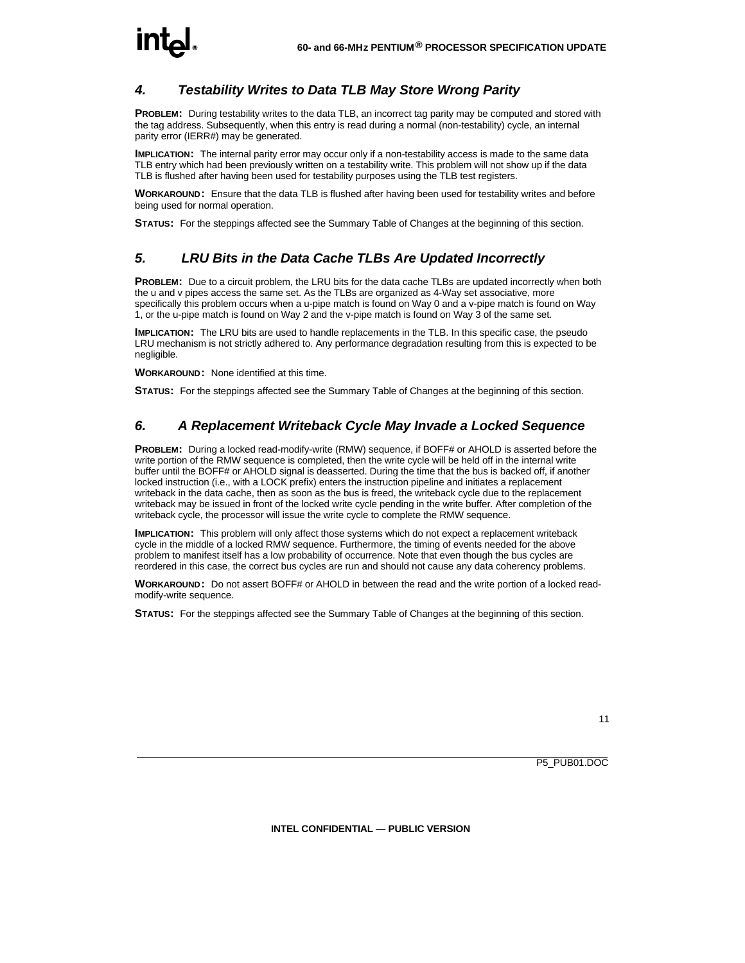#### *4. Testability Writes to Data TLB May Store Wrong Parity*

**PROBLEM:** During testability writes to the data TLB, an incorrect tag parity may be computed and stored with the tag address. Subsequently, when this entry is read during a normal (non-testability) cycle, an internal parity error (IERR#) may be generated.

**IMPLICATION:** The internal parity error may occur only if a non-testability access is made to the same data TLB entry which had been previously written on a testability write. This problem will not show up if the data TLB is flushed after having been used for testability purposes using the TLB test registers.

**WORKAROUND:** Ensure that the data TLB is flushed after having been used for testability writes and before being used for normal operation.

**STATUS:** For the steppings affected see the Summary Table of Changes at the beginning of this section.

#### *5. LRU Bits in the Data Cache TLBs Are Updated Incorrectly*

**PROBLEM:** Due to a circuit problem, the LRU bits for the data cache TLBs are updated incorrectly when both the u and v pipes access the same set. As the TLBs are organized as 4-Way set associative, more specifically this problem occurs when a u-pipe match is found on Way 0 and a v-pipe match is found on Way 1, or the u-pipe match is found on Way 2 and the v-pipe match is found on Way 3 of the same set.

**IMPLICATION:** The LRU bits are used to handle replacements in the TLB. In this specific case, the pseudo LRU mechanism is not strictly adhered to. Any performance degradation resulting from this is expected to be negligible.

**WORKAROUND:** None identified at this time.

**STATUS:** For the steppings affected see the Summary Table of Changes at the beginning of this section.

#### *6. A Replacement Writeback Cycle May Invade a Locked Sequence*

**PROBLEM:** During a locked read-modify-write (RMW) sequence, if BOFF# or AHOLD is asserted before the write portion of the RMW sequence is completed, then the write cycle will be held off in the internal write buffer until the BOFF# or AHOLD signal is deasserted. During the time that the bus is backed off, if another locked instruction (i.e., with a LOCK prefix) enters the instruction pipeline and initiates a replacement writeback in the data cache, then as soon as the bus is freed, the writeback cycle due to the replacement writeback may be issued in front of the locked write cycle pending in the write buffer. After completion of the writeback cycle, the processor will issue the write cycle to complete the RMW sequence.

**IMPLICATION:** This problem will only affect those systems which do not expect a replacement writeback cycle in the middle of a locked RMW sequence. Furthermore, the timing of events needed for the above problem to manifest itself has a low probability of occurrence. Note that even though the bus cycles are reordered in this case, the correct bus cycles are run and should not cause any data coherency problems.

**WORKAROUND:** Do not assert BOFF# or AHOLD in between the read and the write portion of a locked readmodify-write sequence.

**STATUS:** For the steppings affected see the Summary Table of Changes at the beginning of this section.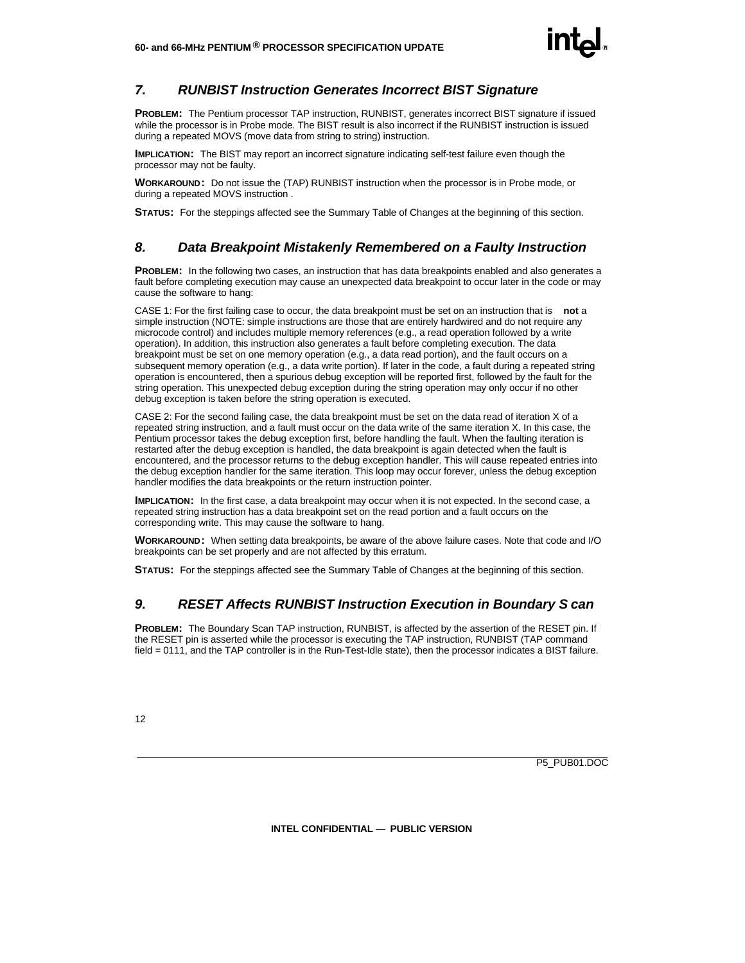

#### *7. RUNBIST Instruction Generates Incorrect BIST Signature*

**PROBLEM:** The Pentium processor TAP instruction, RUNBIST, generates incorrect BIST signature if issued while the processor is in Probe mode. The BIST result is also incorrect if the RUNBIST instruction is issued during a repeated MOVS (move data from string to string) instruction.

**IMPLICATION:** The BIST may report an incorrect signature indicating self-test failure even though the processor may not be faulty.

**WORKAROUND:** Do not issue the (TAP) RUNBIST instruction when the processor is in Probe mode, or during a repeated MOVS instruction .

**STATUS:** For the steppings affected see the Summary Table of Changes at the beginning of this section.

#### *8. Data Breakpoint Mistakenly Remembered on a Faulty Instruction*

**PROBLEM:** In the following two cases, an instruction that has data breakpoints enabled and also generates a fault before completing execution may cause an unexpected data breakpoint to occur later in the code or may cause the software to hang:

CASE 1: For the first failing case to occur, the data breakpoint must be set on an instruction that is **not** a simple instruction (NOTE: simple instructions are those that are entirely hardwired and do not require any microcode control) and includes multiple memory references (e.g., a read operation followed by a write operation). In addition, this instruction also generates a fault before completing execution. The data breakpoint must be set on one memory operation (e.g., a data read portion), and the fault occurs on a subsequent memory operation (e.g., a data write portion). If later in the code, a fault during a repeated string operation is encountered, then a spurious debug exception will be reported first, followed by the fault for the string operation. This unexpected debug exception during the string operation may only occur if no other debug exception is taken before the string operation is executed.

CASE 2: For the second failing case, the data breakpoint must be set on the data read of iteration X of a repeated string instruction, and a fault must occur on the data write of the same iteration X. In this case, the Pentium processor takes the debug exception first, before handling the fault. When the faulting iteration is restarted after the debug exception is handled, the data breakpoint is again detected when the fault is encountered, and the processor returns to the debug exception handler. This will cause repeated entries into the debug exception handler for the same iteration. This loop may occur forever, unless the debug exception handler modifies the data breakpoints or the return instruction pointer.

**IMPLICATION:** In the first case, a data breakpoint may occur when it is not expected. In the second case, a repeated string instruction has a data breakpoint set on the read portion and a fault occurs on the corresponding write. This may cause the software to hang.

**WORKAROUND:** When setting data breakpoints, be aware of the above failure cases. Note that code and I/O breakpoints can be set properly and are not affected by this erratum.

**STATUS:** For the steppings affected see the Summary Table of Changes at the beginning of this section.

#### *9. RESET Affects RUNBIST Instruction Execution in Boundary S can*

**PROBLEM:** The Boundary Scan TAP instruction, RUNBIST, is affected by the assertion of the RESET pin. If the RESET pin is asserted while the processor is executing the TAP instruction, RUNBIST (TAP command field = 0111, and the TAP controller is in the Run-Test-Idle state), then the processor indicates a BIST failure.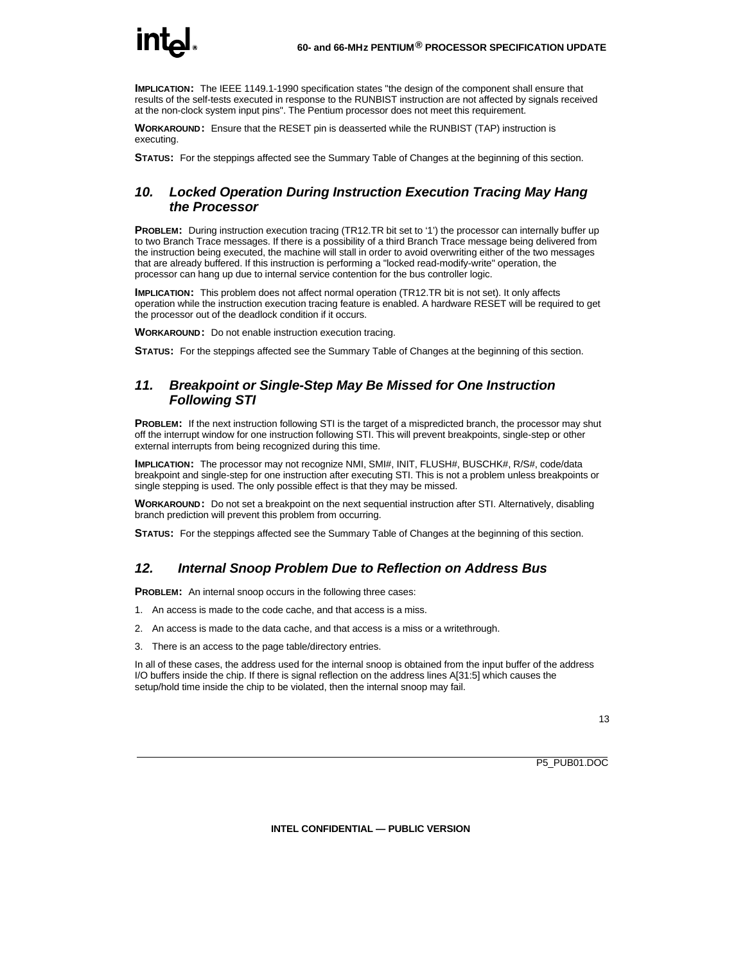**IMPLICATION:** The IEEE 1149.1-1990 specification states "the design of the component shall ensure that results of the self-tests executed in response to the RUNBIST instruction are not affected by signals received at the non-clock system input pins". The Pentium processor does not meet this requirement.

**WORKAROUND:** Ensure that the RESET pin is deasserted while the RUNBIST (TAP) instruction is executing.

**STATUS:** For the steppings affected see the Summary Table of Changes at the beginning of this section.

#### *10. Locked Operation During Instruction Execution Tracing May Hang the Processor*

**PROBLEM:** During instruction execution tracing (TR12.TR bit set to '1') the processor can internally buffer up to two Branch Trace messages. If there is a possibility of a third Branch Trace message being delivered from the instruction being executed, the machine will stall in order to avoid overwriting either of the two messages that are already buffered. If this instruction is performing a "locked read-modify-write" operation, the processor can hang up due to internal service contention for the bus controller logic.

**IMPLICATION:** This problem does not affect normal operation (TR12.TR bit is not set). It only affects operation while the instruction execution tracing feature is enabled. A hardware RESET will be required to get the processor out of the deadlock condition if it occurs.

**WORKAROUND:** Do not enable instruction execution tracing.

**STATUS:** For the steppings affected see the Summary Table of Changes at the beginning of this section.

#### *11. Breakpoint or Single-Step May Be Missed for One Instruction Following STI*

**PROBLEM:** If the next instruction following STI is the target of a mispredicted branch, the processor may shut off the interrupt window for one instruction following STI. This will prevent breakpoints, single-step or other external interrupts from being recognized during this time.

**IMPLICATION:** The processor may not recognize NMI, SMI#, INIT, FLUSH#, BUSCHK#, R/S#, code/data breakpoint and single-step for one instruction after executing STI. This is not a problem unless breakpoints or single stepping is used. The only possible effect is that they may be missed.

**WORKAROUND:** Do not set a breakpoint on the next sequential instruction after STI. Alternatively, disabling branch prediction will prevent this problem from occurring.

**STATUS:** For the steppings affected see the Summary Table of Changes at the beginning of this section.

#### *12. Internal Snoop Problem Due to Reflection on Address Bus*

**PROBLEM:** An internal snoop occurs in the following three cases:

- 1. An access is made to the code cache, and that access is a miss.
- 2. An access is made to the data cache, and that access is a miss or a writethrough.
- 3. There is an access to the page table/directory entries.

In all of these cases, the address used for the internal snoop is obtained from the input buffer of the address I/O buffers inside the chip. If there is signal reflection on the address lines A[31:5] which causes the setup/hold time inside the chip to be violated, then the internal snoop may fail.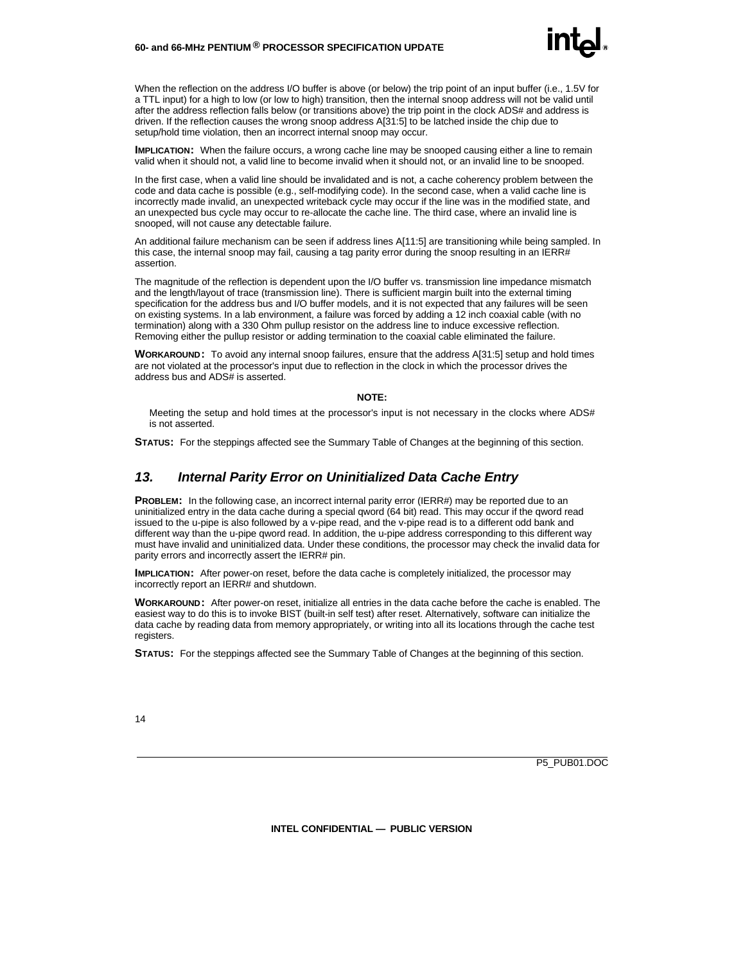#### **60- and 66-MHz PENTIUM ® PROCESSOR SPECIFICATION UPDATE**

When the reflection on the address I/O buffer is above (or below) the trip point of an input buffer (i.e., 1.5V for a TTL input) for a high to low (or low to high) transition, then the internal snoop address will not be valid until after the address reflection falls below (or transitions above) the trip point in the clock ADS# and address is driven. If the reflection causes the wrong snoop address A[31:5] to be latched inside the chip due to setup/hold time violation, then an incorrect internal snoop may occur.

**IMPLICATION:** When the failure occurs, a wrong cache line may be snooped causing either a line to remain valid when it should not, a valid line to become invalid when it should not, or an invalid line to be snooped.

In the first case, when a valid line should be invalidated and is not, a cache coherency problem between the code and data cache is possible (e.g., self-modifying code). In the second case, when a valid cache line is incorrectly made invalid, an unexpected writeback cycle may occur if the line was in the modified state, and an unexpected bus cycle may occur to re-allocate the cache line. The third case, where an invalid line is snooped, will not cause any detectable failure.

An additional failure mechanism can be seen if address lines A[11:5] are transitioning while being sampled. In this case, the internal snoop may fail, causing a tag parity error during the snoop resulting in an IERR# assertion.

The magnitude of the reflection is dependent upon the I/O buffer vs. transmission line impedance mismatch and the length/layout of trace (transmission line). There is sufficient margin built into the external timing specification for the address bus and I/O buffer models, and it is not expected that any failures will be seen on existing systems. In a lab environment, a failure was forced by adding a 12 inch coaxial cable (with no termination) along with a 330 Ohm pullup resistor on the address line to induce excessive reflection. Removing either the pullup resistor or adding termination to the coaxial cable eliminated the failure.

**WORKAROUND:** To avoid any internal snoop failures, ensure that the address A[31:5] setup and hold times are not violated at the processor's input due to reflection in the clock in which the processor drives the address bus and ADS# is asserted.

#### **NOTE:**

Meeting the setup and hold times at the processor's input is not necessary in the clocks where ADS# is not asserted.

**STATUS:** For the steppings affected see the Summary Table of Changes at the beginning of this section.

#### *13. Internal Parity Error on Uninitialized Data Cache Entry*

**PROBLEM:** In the following case, an incorrect internal parity error (IERR#) may be reported due to an uninitialized entry in the data cache during a special qword (64 bit) read. This may occur if the qword read issued to the u-pipe is also followed by a v-pipe read, and the v-pipe read is to a different odd bank and different way than the u-pipe qword read. In addition, the u-pipe address corresponding to this different way must have invalid and uninitialized data. Under these conditions, the processor may check the invalid data for parity errors and incorrectly assert the IERR# pin.

**IMPLICATION:** After power-on reset, before the data cache is completely initialized, the processor may incorrectly report an IERR# and shutdown.

**WORKAROUND:** After power-on reset, initialize all entries in the data cache before the cache is enabled. The easiest way to do this is to invoke BIST (built-in self test) after reset. Alternatively, software can initialize the data cache by reading data from memory appropriately, or writing into all its locations through the cache test registers.

**STATUS:** For the steppings affected see the Summary Table of Changes at the beginning of this section.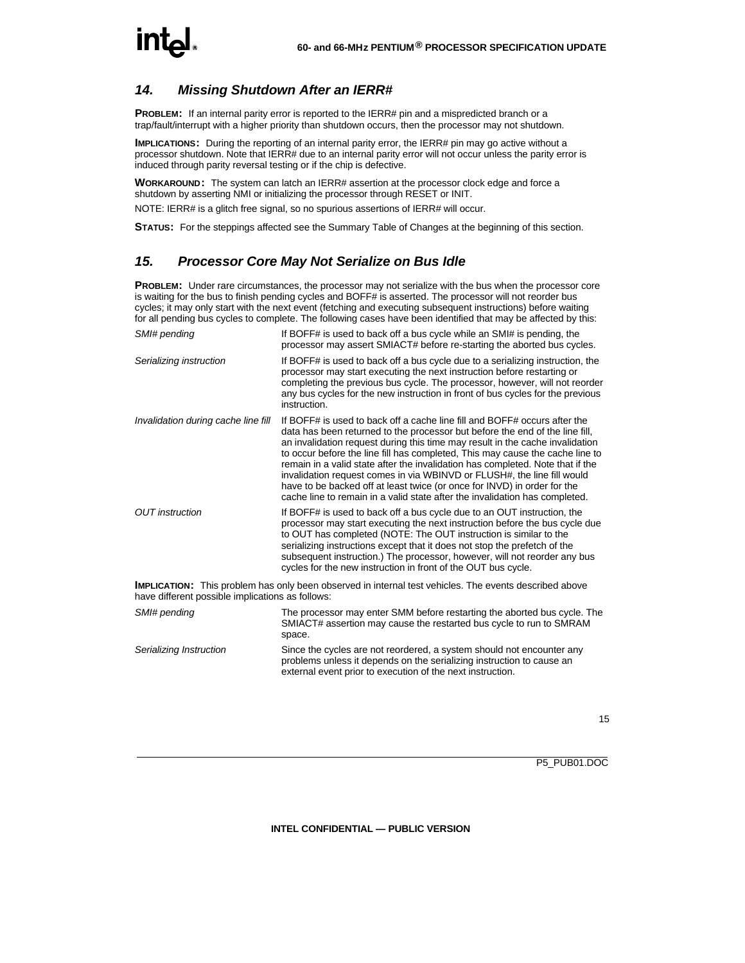#### *14. Missing Shutdown After an IERR#*

**PROBLEM:** If an internal parity error is reported to the IERR# pin and a mispredicted branch or a trap/fault/interrupt with a higher priority than shutdown occurs, then the processor may not shutdown.

**IMPLICATIONS:** During the reporting of an internal parity error, the IERR# pin may go active without a processor shutdown. Note that IERR# due to an internal parity error will not occur unless the parity error is induced through parity reversal testing or if the chip is defective.

**WORKAROUND:** The system can latch an IERR# assertion at the processor clock edge and force a shutdown by asserting NMI or initializing the processor through RESET or INIT.

NOTE: IERR# is a glitch free signal, so no spurious assertions of IERR# will occur.

**STATUS:** For the steppings affected see the Summary Table of Changes at the beginning of this section.

#### *15. Processor Core May Not Serialize on Bus Idle*

**PROBLEM:** Under rare circumstances, the processor may not serialize with the bus when the processor core is waiting for the bus to finish pending cycles and BOFF# is asserted. The processor will not reorder bus cycles; it may only start with the next event (fetching and executing subsequent instructions) before waiting for all pending bus cycles to complete. The following cases have been identified that may be affected by this:

| SMI# pending                        | If BOFF# is used to back off a bus cycle while an SMI# is pending, the<br>processor may assert SMIACT# before re-starting the aborted bus cycles.                                                                                                                                                                                                                                                                                                                                                                                                                                                                                                   |
|-------------------------------------|-----------------------------------------------------------------------------------------------------------------------------------------------------------------------------------------------------------------------------------------------------------------------------------------------------------------------------------------------------------------------------------------------------------------------------------------------------------------------------------------------------------------------------------------------------------------------------------------------------------------------------------------------------|
| Serializing instruction             | If BOFF# is used to back off a bus cycle due to a serializing instruction, the<br>processor may start executing the next instruction before restarting or<br>completing the previous bus cycle. The processor, however, will not reorder<br>any bus cycles for the new instruction in front of bus cycles for the previous<br>instruction.                                                                                                                                                                                                                                                                                                          |
| Invalidation during cache line fill | If BOFF# is used to back off a cache line fill and BOFF# occurs after the<br>data has been returned to the processor but before the end of the line fill,<br>an invalidation request during this time may result in the cache invalidation<br>to occur before the line fill has completed. This may cause the cache line to<br>remain in a valid state after the invalidation has completed. Note that if the<br>invalidation request comes in via WBINVD or FLUSH#, the line fill would<br>have to be backed off at least twice (or once for INVD) in order for the<br>cache line to remain in a valid state after the invalidation has completed. |
| <b>OUT</b> instruction              | If BOFF# is used to back off a bus cycle due to an OUT instruction, the<br>processor may start executing the next instruction before the bus cycle due<br>to OUT has completed (NOTE: The OUT instruction is similar to the<br>serializing instructions except that it does not stop the prefetch of the<br>subsequent instruction.) The processor, however, will not reorder any bus<br>cycles for the new instruction in front of the OUT bus cycle.                                                                                                                                                                                              |

**IMPLICATION:** This problem has only been observed in internal test vehicles. The events described above have different possible implications as follows:

| SMI# pending            | The processor may enter SMM before restarting the aborted bus cycle. The<br>SMIACT# assertion may cause the restarted bus cycle to run to SMRAM<br>space.                                                    |
|-------------------------|--------------------------------------------------------------------------------------------------------------------------------------------------------------------------------------------------------------|
| Serializing Instruction | Since the cycles are not reordered, a system should not encounter any<br>problems unless it depends on the serializing instruction to cause an<br>external event prior to execution of the next instruction. |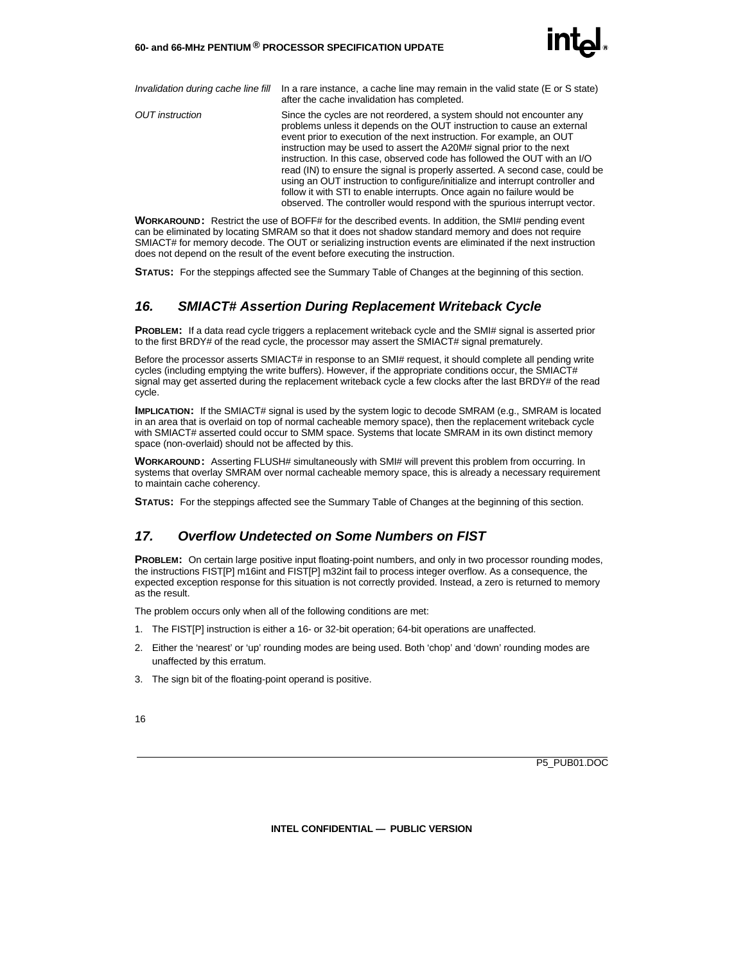

*Invalidation during cache line fill* In a rare instance, a cache line may remain in the valid state (E or S state) after the cache invalidation has completed.

*OUT instruction* Since the cycles are not reordered, a system should not encounter any problems unless it depends on the OUT instruction to cause an external event prior to execution of the next instruction. For example, an OUT instruction may be used to assert the A20M# signal prior to the next instruction. In this case, observed code has followed the OUT with an I/O read (IN) to ensure the signal is properly asserted. A second case, could be using an OUT instruction to configure/initialize and interrupt controller and follow it with STI to enable interrupts. Once again no failure would be observed. The controller would respond with the spurious interrupt vector.

**WORKAROUND:** Restrict the use of BOFF# for the described events. In addition, the SMI# pending event can be eliminated by locating SMRAM so that it does not shadow standard memory and does not require SMIACT# for memory decode. The OUT or serializing instruction events are eliminated if the next instruction does not depend on the result of the event before executing the instruction.

**STATUS:** For the steppings affected see the Summary Table of Changes at the beginning of this section.

#### *16. SMIACT# Assertion During Replacement Writeback Cycle*

**PROBLEM:** If a data read cycle triggers a replacement writeback cycle and the SMI# signal is asserted prior to the first BRDY# of the read cycle, the processor may assert the SMIACT# signal prematurely.

Before the processor asserts SMIACT# in response to an SMI# request, it should complete all pending write cycles (including emptying the write buffers). However, if the appropriate conditions occur, the SMIACT# signal may get asserted during the replacement writeback cycle a few clocks after the last BRDY# of the read cycle.

**IMPLICATION:** If the SMIACT# signal is used by the system logic to decode SMRAM (e.g., SMRAM is located in an area that is overlaid on top of normal cacheable memory space), then the replacement writeback cycle with SMIACT# asserted could occur to SMM space. Systems that locate SMRAM in its own distinct memory space (non-overlaid) should not be affected by this.

**WORKAROUND:** Asserting FLUSH# simultaneously with SMI# will prevent this problem from occurring. In systems that overlay SMRAM over normal cacheable memory space, this is already a necessary requirement to maintain cache coherency.

**STATUS:** For the steppings affected see the Summary Table of Changes at the beginning of this section.

#### *17. Overflow Undetected on Some Numbers on FIST*

**PROBLEM:** On certain large positive input floating-point numbers, and only in two processor rounding modes, the instructions FIST[P] m16int and FIST[P] m32int fail to process integer overflow. As a consequence, the expected exception response for this situation is not correctly provided. Instead, a zero is returned to memory as the result.

The problem occurs only when all of the following conditions are met:

- 1. The FIST[P] instruction is either a 16- or 32-bit operation; 64-bit operations are unaffected.
- 2. Either the 'nearest' or 'up' rounding modes are being used. Both 'chop' and 'down' rounding modes are unaffected by this erratum.
- 3. The sign bit of the floating-point operand is positive.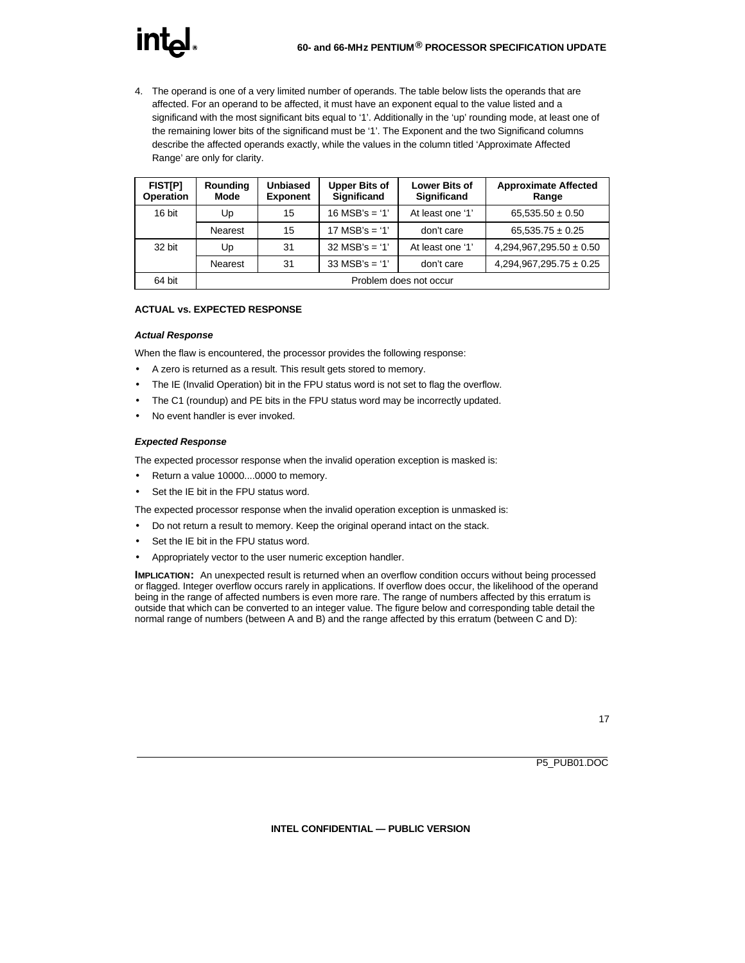## **int**

4. The operand is one of a very limited number of operands. The table below lists the operands that are affected. For an operand to be affected, it must have an exponent equal to the value listed and a significand with the most significant bits equal to '1'. Additionally in the 'up' rounding mode, at least one of the remaining lower bits of the significand must be '1'. The Exponent and the two Significand columns describe the affected operands exactly, while the values in the column titled 'Approximate Affected Range' are only for clarity.

| <b>FISTIPI</b><br><b>Operation</b> | Rounding<br>Mode       | <b>Unbiased</b><br><b>Exponent</b> | <b>Upper Bits of</b><br><b>Significand</b> | <b>Lower Bits of</b><br><b>Significand</b> | <b>Approximate Affected</b><br>Range |  |  |  |
|------------------------------------|------------------------|------------------------------------|--------------------------------------------|--------------------------------------------|--------------------------------------|--|--|--|
| 16 bit                             | Up                     | 15                                 | $16$ MSB's = '1'                           | At least one '1'                           | $65,535.50 \pm 0.50$                 |  |  |  |
|                                    | <b>Nearest</b>         | 15                                 | $17 \text{ MSB's} = '1'$                   | don't care                                 | $65,535.75 \pm 0.25$                 |  |  |  |
| 32 bit                             | Up                     | 31                                 | $32$ MSB's = '1'                           | At least one '1'                           | $4,294,967,295.50 \pm 0.50$          |  |  |  |
|                                    | <b>Nearest</b>         | 31                                 | $33 \text{ MSB's} = '1'$                   | don't care                                 | $4,294,967,295.75 \pm 0.25$          |  |  |  |
| 64 bit                             | Problem does not occur |                                    |                                            |                                            |                                      |  |  |  |

#### **ACTUAL vs. EXPECTED RESPONSE**

#### *Actual Response*

When the flaw is encountered, the processor provides the following response:

- A zero is returned as a result. This result gets stored to memory.
- The IE (Invalid Operation) bit in the FPU status word is not set to flag the overflow.
- The C1 (roundup) and PE bits in the FPU status word may be incorrectly updated.
- No event handler is ever invoked.

#### *Expected Response*

The expected processor response when the invalid operation exception is masked is:

- Return a value 10000....0000 to memory.
- Set the IE bit in the FPU status word.

The expected processor response when the invalid operation exception is unmasked is:

- Do not return a result to memory. Keep the original operand intact on the stack.
- Set the IE bit in the FPU status word.
- Appropriately vector to the user numeric exception handler.

**IMPLICATION:** An unexpected result is returned when an overflow condition occurs without being processed or flagged. Integer overflow occurs rarely in applications. If overflow does occur, the likelihood of the operand being in the range of affected numbers is even more rare. The range of numbers affected by this erratum is outside that which can be converted to an integer value. The figure below and corresponding table detail the normal range of numbers (between A and B) and the range affected by this erratum (between C and D):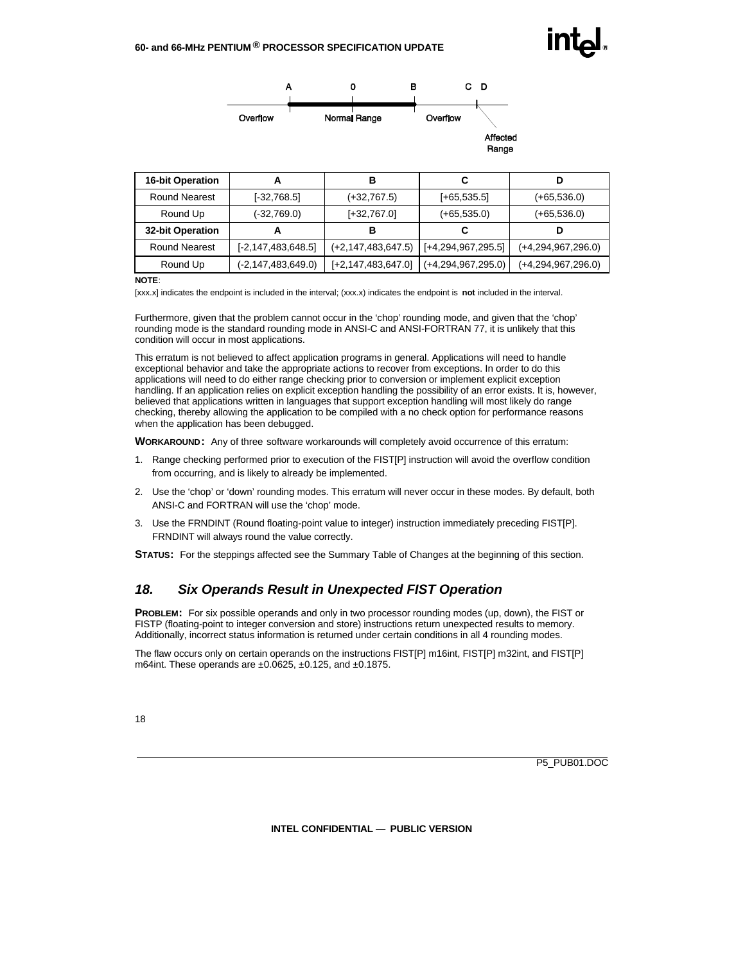

| <b>16-bit Operation</b> | А                       | в                       | C                       |                      |
|-------------------------|-------------------------|-------------------------|-------------------------|----------------------|
| <b>Round Nearest</b>    | $[-32,768.5]$           | $(+32,767.5)$           | $[-65, 535.5]$          | $(+65,536.0)$        |
| Round Up                | (-32,769.0)             | $[-32, 767.0]$          | $(+65, 535.0)$          | $(+65, 536.0)$       |
| <b>32-bit Operation</b> | А                       | в                       | C                       | D                    |
| <b>Round Nearest</b>    | $[-2, 147, 483, 648.5]$ | (+2,147,483,647.5)      | $[-4, 294, 967, 295.5]$ | $(+4,294,967,296.0)$ |
| Round Up                | (-2,147,483,649.0)      | $[-2, 147, 483, 647.0]$ | $(+4,294,967,295.0)$    | $(+4,294,967,296.0)$ |

#### **NOTE**:

[xxx.x] indicates the endpoint is included in the interval; (xxx.x) indicates the endpoint is **not** included in the interval.

Furthermore, given that the problem cannot occur in the 'chop' rounding mode, and given that the 'chop' rounding mode is the standard rounding mode in ANSI-C and ANSI-FORTRAN 77, it is unlikely that this condition will occur in most applications.

This erratum is not believed to affect application programs in general. Applications will need to handle exceptional behavior and take the appropriate actions to recover from exceptions. In order to do this applications will need to do either range checking prior to conversion or implement explicit exception handling. If an application relies on explicit exception handling the possibility of an error exists. It is, however, believed that applications written in languages that support exception handling will most likely do range checking, thereby allowing the application to be compiled with a no check option for performance reasons when the application has been debugged.

**WORKAROUND:** Any of three software workarounds will completely avoid occurrence of this erratum:

- 1. Range checking performed prior to execution of the FIST[P] instruction will avoid the overflow condition from occurring, and is likely to already be implemented.
- 2. Use the 'chop' or 'down' rounding modes. This erratum will never occur in these modes. By default, both ANSI-C and FORTRAN will use the 'chop' mode.
- 3. Use the FRNDINT (Round floating-point value to integer) instruction immediately preceding FIST[P]. FRNDINT will always round the value correctly.

**STATUS:** For the steppings affected see the Summary Table of Changes at the beginning of this section.

#### *18. Six Operands Result in Unexpected FIST Operation*

**PROBLEM:** For six possible operands and only in two processor rounding modes (up, down), the FIST or FISTP (floating-point to integer conversion and store) instructions return unexpected results to memory. Additionally, incorrect status information is returned under certain conditions in all 4 rounding modes.

The flaw occurs only on certain operands on the instructions FIST[P] m16int, FIST[P] m32int, and FIST[P] m64int. These operands are  $\pm 0.0625$ ,  $\pm 0.125$ , and  $\pm 0.1875$ .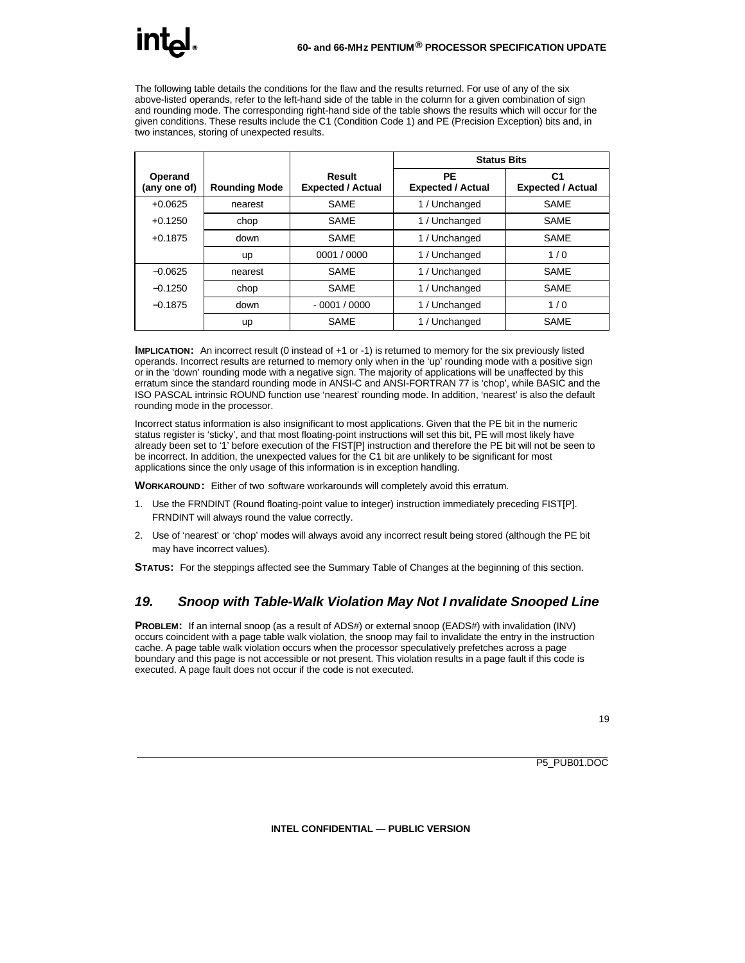The following table details the conditions for the flaw and the results returned. For use of any of the six above-listed operands, refer to the left-hand side of the table in the column for a given combination of sign and rounding mode. The corresponding right-hand side of the table shows the results which will occur for the given conditions. These results include the C1 (Condition Code 1) and PE (Precision Exception) bits and, in two instances, storing of unexpected results.

|                         |                      |                                    | <b>Status Bits</b>             |                                            |
|-------------------------|----------------------|------------------------------------|--------------------------------|--------------------------------------------|
| Operand<br>(any one of) | <b>Rounding Mode</b> | Result<br><b>Expected / Actual</b> | PE<br><b>Expected / Actual</b> | C <sub>1</sub><br><b>Expected / Actual</b> |
| $+0.0625$               | nearest              | <b>SAMF</b>                        | 1 / Unchanged                  | <b>SAME</b>                                |
| $+0.1250$               | chop                 | <b>SAME</b>                        | 1 / Unchanged                  | <b>SAME</b>                                |
| $+0.1875$               | down                 | SAME                               | 1 / Unchanged                  | SAME                                       |
|                         | up                   | 0001 / 0000                        | 1 / Unchanged                  | 1/0                                        |
| $-0.0625$               | nearest              | <b>SAME</b>                        | 1 / Unchanged                  | <b>SAME</b>                                |
| $-0.1250$               | chop                 | <b>SAME</b>                        | 1 / Unchanged                  | SAME                                       |
| $-0.1875$               | down                 | $-0001/0000$                       | 1 / Unchanged                  | 1/0                                        |
|                         | up                   | <b>SAME</b>                        | Unchanged                      | <b>SAME</b>                                |

**IMPLICATION:** An incorrect result (0 instead of +1 or -1) is returned to memory for the six previously listed operands. Incorrect results are returned to memory only when in the 'up' rounding mode with a positive sign or in the 'down' rounding mode with a negative sign. The majority of applications will be unaffected by this erratum since the standard rounding mode in ANSI-C and ANSI-FORTRAN 77 is 'chop', while BASIC and the ISO PASCAL intrinsic ROUND function use 'nearest' rounding mode. In addition, 'nearest' is also the default rounding mode in the processor.

Incorrect status information is also insignificant to most applications. Given that the PE bit in the numeric status register is 'sticky', and that most floating-point instructions will set this bit, PE will most likely have already been set to '1' before execution of the FIST[P] instruction and therefore the PE bit will not be seen to be incorrect. In addition, the unexpected values for the C1 bit are unlikely to be significant for most applications since the only usage of this information is in exception handling.

**WORKAROUND:** Either of two software workarounds will completely avoid this erratum.

- 1. Use the FRNDINT (Round floating-point value to integer) instruction immediately preceding FIST[P]. FRNDINT will always round the value correctly.
- 2. Use of 'nearest' or 'chop' modes will always avoid any incorrect result being stored (although the PE bit may have incorrect values).

**STATUS:** For the steppings affected see the Summary Table of Changes at the beginning of this section.

#### *19. Snoop with Table-Walk Violation May Not I nvalidate Snooped Line*

**PROBLEM:** If an internal snoop (as a result of ADS#) or external snoop (EADS#) with invalidation (INV) occurs coincident with a page table walk violation, the snoop may fail to invalidate the entry in the instruction cache. A page table walk violation occurs when the processor speculatively prefetches across a page boundary and this page is not accessible or not present. This violation results in a page fault if this code is executed. A page fault does not occur if the code is not executed.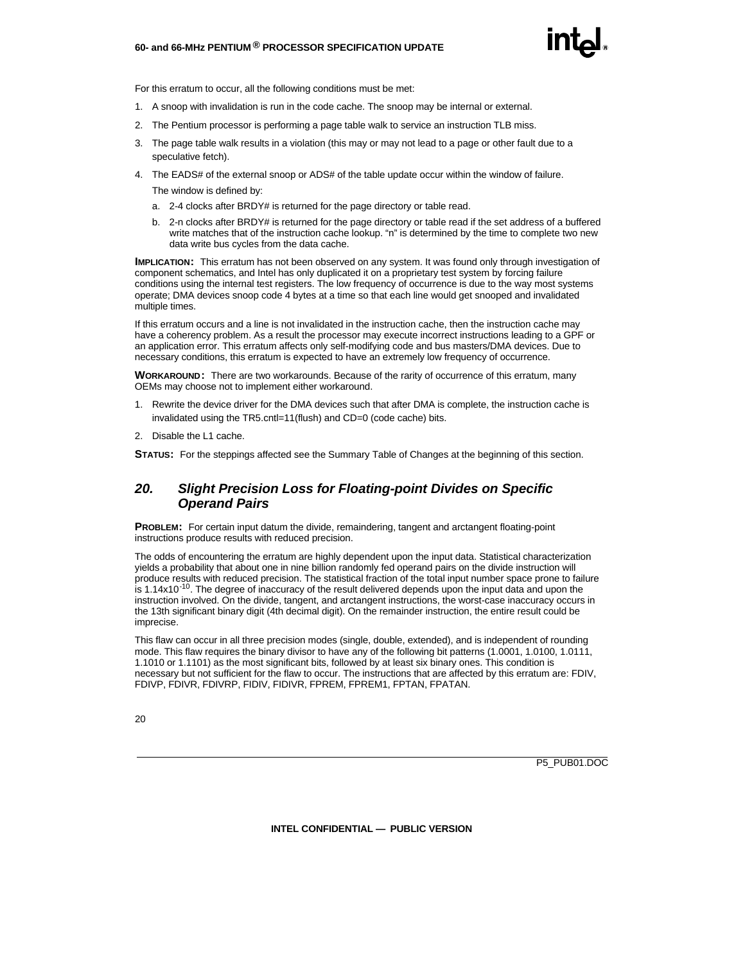#### **60- and 66-MHz PENTIUM ® PROCESSOR SPECIFICATION UPDATE**



For this erratum to occur, all the following conditions must be met:

- 1. A snoop with invalidation is run in the code cache. The snoop may be internal or external.
- 2. The Pentium processor is performing a page table walk to service an instruction TLB miss.
- 3. The page table walk results in a violation (this may or may not lead to a page or other fault due to a speculative fetch).
- 4. The EADS# of the external snoop or ADS# of the table update occur within the window of failure.

The window is defined by:

- a. 2-4 clocks after BRDY# is returned for the page directory or table read.
- b. 2-n clocks after BRDY# is returned for the page directory or table read if the set address of a buffered write matches that of the instruction cache lookup. "n" is determined by the time to complete two new data write bus cycles from the data cache.

**IMPLICATION:** This erratum has not been observed on any system. It was found only through investigation of component schematics, and Intel has only duplicated it on a proprietary test system by forcing failure conditions using the internal test registers. The low frequency of occurrence is due to the way most systems operate; DMA devices snoop code 4 bytes at a time so that each line would get snooped and invalidated multiple times.

If this erratum occurs and a line is not invalidated in the instruction cache, then the instruction cache may have a coherency problem. As a result the processor may execute incorrect instructions leading to a GPF or an application error. This erratum affects only self-modifying code and bus masters/DMA devices. Due to necessary conditions, this erratum is expected to have an extremely low frequency of occurrence.

**WORKAROUND:** There are two workarounds. Because of the rarity of occurrence of this erratum, many OEMs may choose not to implement either workaround.

- 1. Rewrite the device driver for the DMA devices such that after DMA is complete, the instruction cache is invalidated using the TR5.cntl=11(flush) and CD=0 (code cache) bits.
- 2. Disable the L1 cache.

**STATUS:** For the steppings affected see the Summary Table of Changes at the beginning of this section.

#### *20. Slight Precision Loss for Floating-point Divides on Specific Operand Pairs*

**PROBLEM:** For certain input datum the divide, remaindering, tangent and arctangent floating-point instructions produce results with reduced precision.

The odds of encountering the erratum are highly dependent upon the input data. Statistical characterization yields a probability that about one in nine billion randomly fed operand pairs on the divide instruction will produce results with reduced precision. The statistical fraction of the total input number space prone to failure is 1.14x10<sup>-10</sup>. The degree of inaccuracy of the result delivered depends upon the input data and upon the instruction involved. On the divide, tangent, and arctangent instructions, the worst-case inaccuracy occurs in the 13th significant binary digit (4th decimal digit). On the remainder instruction, the entire result could be imprecise.

This flaw can occur in all three precision modes (single, double, extended), and is independent of rounding mode. This flaw requires the binary divisor to have any of the following bit patterns (1.0001, 1.0100, 1.0111, 1.1010 or 1.1101) as the most significant bits, followed by at least six binary ones. This condition is necessary but not sufficient for the flaw to occur. The instructions that are affected by this erratum are: FDIV, FDIVP, FDIVR, FDIVRP, FIDIV, FIDIVR, FPREM, FPREM1, FPTAN, FPATAN.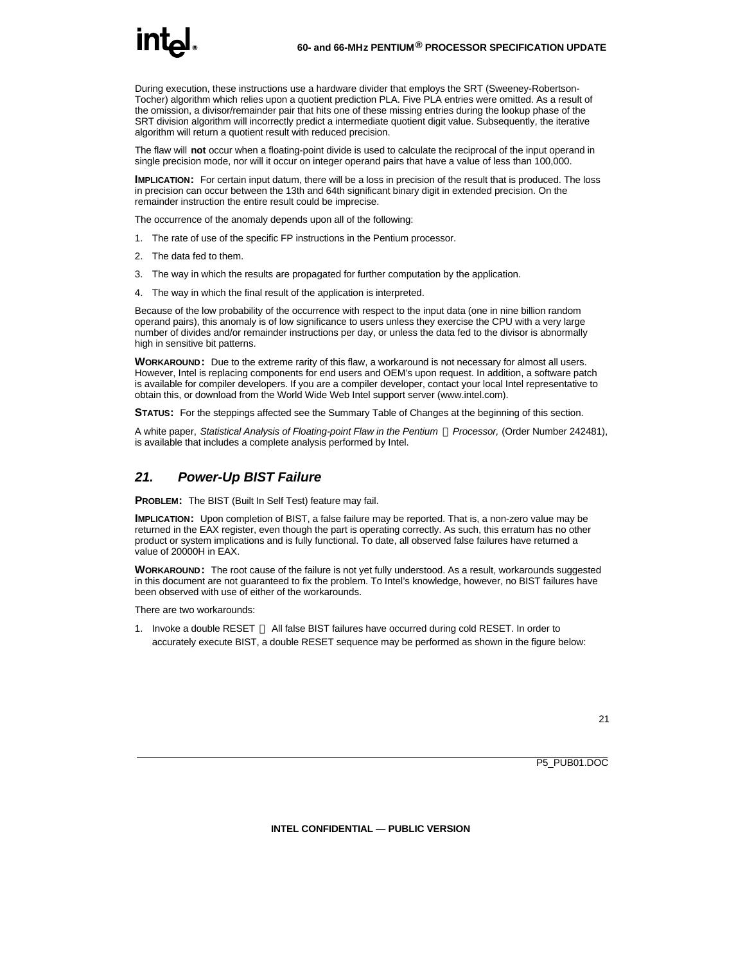During execution, these instructions use a hardware divider that employs the SRT (Sweeney-Robertson-Tocher) algorithm which relies upon a quotient prediction PLA. Five PLA entries were omitted. As a result of the omission, a divisor/remainder pair that hits one of these missing entries during the lookup phase of the SRT division algorithm will incorrectly predict a intermediate quotient digit value. Subsequently, the iterative algorithm will return a quotient result with reduced precision.

The flaw will **not** occur when a floating-point divide is used to calculate the reciprocal of the input operand in single precision mode, nor will it occur on integer operand pairs that have a value of less than 100,000.

**IMPLICATION:** For certain input datum, there will be a loss in precision of the result that is produced. The loss in precision can occur between the 13th and 64th significant binary digit in extended precision. On the remainder instruction the entire result could be imprecise.

The occurrence of the anomaly depends upon all of the following:

- 1. The rate of use of the specific FP instructions in the Pentium processor.
- 2. The data fed to them.
- 3. The way in which the results are propagated for further computation by the application.
- 4. The way in which the final result of the application is interpreted.

Because of the low probability of the occurrence with respect to the input data (one in nine billion random operand pairs), this anomaly is of low significance to users unless they exercise the CPU with a very large number of divides and/or remainder instructions per day, or unless the data fed to the divisor is abnormally high in sensitive bit patterns.

**WORKAROUND:** Due to the extreme rarity of this flaw, a workaround is not necessary for almost all users. However, Intel is replacing components for end users and OEM's upon request. In addition, a software patch is available for compiler developers. If you are a compiler developer, contact your local Intel representative to obtain this, or download from the World Wide Web Intel support server (www.intel.com).

**STATUS:** For the steppings affected see the Summary Table of Changes at the beginning of this section.

A white paper, *Statistical Analysis of Floating-point Flaw in the Pentium ä Processor,* (Order Number 242481), is available that includes a complete analysis performed by Intel.

#### *21. Power-Up BIST Failure*

**PROBLEM:** The BIST (Built In Self Test) feature may fail.

**IMPLICATION:** Upon completion of BIST, a false failure may be reported. That is, a non-zero value may be returned in the EAX register, even though the part is operating correctly. As such, this erratum has no other product or system implications and is fully functional. To date, all observed false failures have returned a value of 20000H in EAX.

**WORKAROUND:** The root cause of the failure is not yet fully understood. As a result, workarounds suggested in this document are not guaranteed to fix the problem. To Intel's knowledge, however, no BIST failures have been observed with use of either of the workarounds.

There are two workarounds:

1. Invoke a double RESET — All false BIST failures have occurred during cold RESET. In order to accurately execute BIST, a double RESET sequence may be performed as shown in the figure below: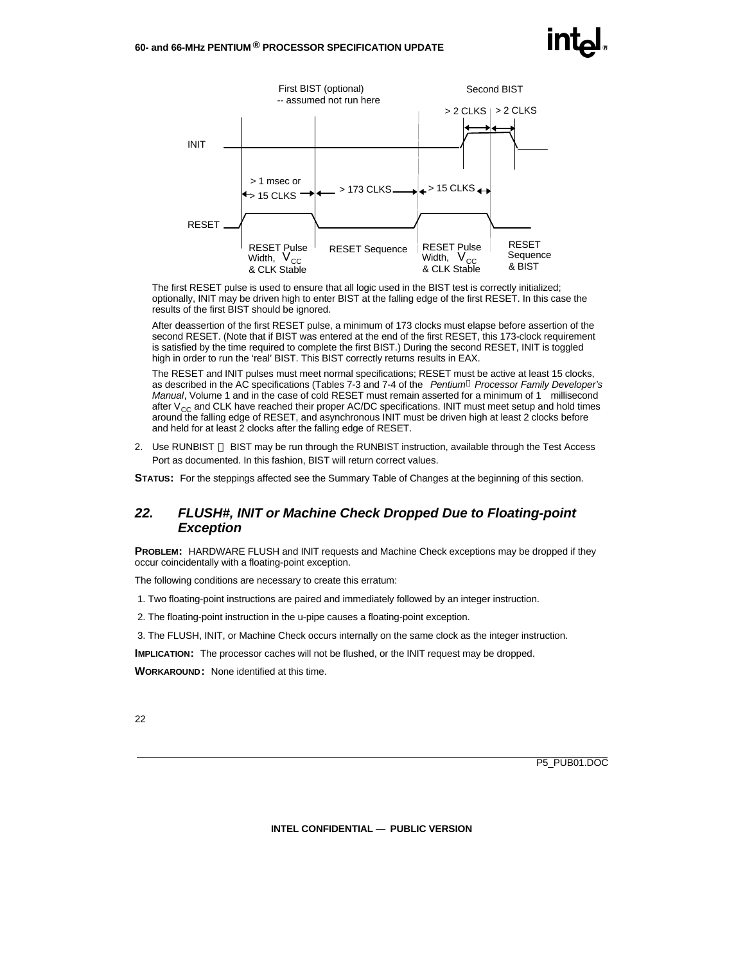

The first RESET pulse is used to ensure that all logic used in the BIST test is correctly initialized; optionally, INIT may be driven high to enter BIST at the falling edge of the first RESET. In this case the results of the first BIST should be ignored.

After deassertion of the first RESET pulse, a minimum of 173 clocks must elapse before assertion of the second RESET. (Note that if BIST was entered at the end of the first RESET, this 173-clock requirement is satisfied by the time required to complete the first BIST.) During the second RESET, INIT is toggled high in order to run the 'real' BIST. This BIST correctly returns results in EAX.

The RESET and INIT pulses must meet normal specifications; RESET must be active at least 15 clocks, as described in the AC specifications (Tables 7-3 and 7-4 of the *Pentiumâ Processor Family Developer's Manual*, Volume 1 and in the case of cold RESET must remain asserted for a minimum of 1 millisecond after  $V_{CC}$  and CLK have reached their proper AC/DC specifications. INIT must meet setup and hold times around the falling edge of RESET, and asynchronous INIT must be driven high at least 2 clocks before and held for at least 2 clocks after the falling edge of RESET.

2. Use RUNBIST — BIST may be run through the RUNBIST instruction, available through the Test Access Port as documented. In this fashion, BIST will return correct values.

**STATUS:** For the steppings affected see the Summary Table of Changes at the beginning of this section.

#### *22. FLUSH#, INIT or Machine Check Dropped Due to Floating-point Exception*

**PROBLEM:** HARDWARE FLUSH and INIT requests and Machine Check exceptions may be dropped if they occur coincidentally with a floating-point exception.

The following conditions are necessary to create this erratum:

- 1. Two floating-point instructions are paired and immediately followed by an integer instruction.
- 2. The floating-point instruction in the u-pipe causes a floating-point exception.
- 3. The FLUSH, INIT, or Machine Check occurs internally on the same clock as the integer instruction.

**IMPLICATION:** The processor caches will not be flushed, or the INIT request may be dropped.

**WORKAROUND:** None identified at this time.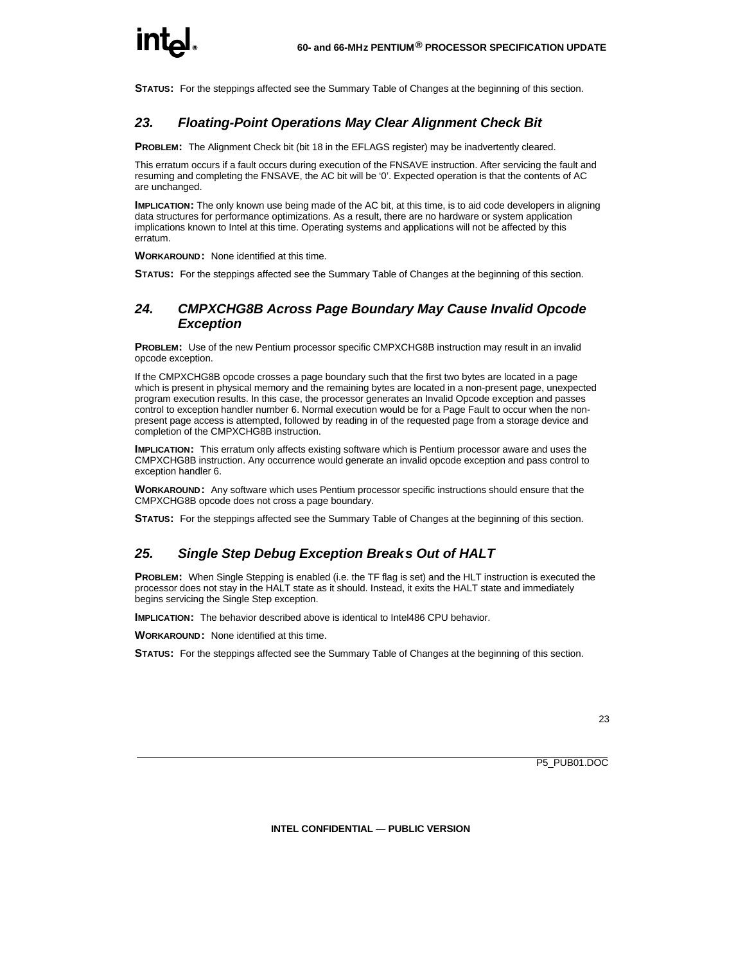**STATUS:** For the steppings affected see the Summary Table of Changes at the beginning of this section.

#### *23. Floating-Point Operations May Clear Alignment Check Bit*

**PROBLEM:** The Alignment Check bit (bit 18 in the EFLAGS register) may be inadvertently cleared.

This erratum occurs if a fault occurs during execution of the FNSAVE instruction. After servicing the fault and resuming and completing the FNSAVE, the AC bit will be '0'. Expected operation is that the contents of AC are unchanged.

**IMPLICATION:** The only known use being made of the AC bit, at this time, is to aid code developers in aligning data structures for performance optimizations. As a result, there are no hardware or system application implications known to Intel at this time. Operating systems and applications will not be affected by this erratum.

**WORKAROUND:** None identified at this time.

**STATUS:** For the steppings affected see the Summary Table of Changes at the beginning of this section.

#### *24. CMPXCHG8B Across Page Boundary May Cause Invalid Opcode Exception*

**PROBLEM:** Use of the new Pentium processor specific CMPXCHG8B instruction may result in an invalid opcode exception.

If the CMPXCHG8B opcode crosses a page boundary such that the first two bytes are located in a page which is present in physical memory and the remaining bytes are located in a non-present page, unexpected program execution results. In this case, the processor generates an Invalid Opcode exception and passes control to exception handler number 6. Normal execution would be for a Page Fault to occur when the nonpresent page access is attempted, followed by reading in of the requested page from a storage device and completion of the CMPXCHG8B instruction.

**IMPLICATION:** This erratum only affects existing software which is Pentium processor aware and uses the CMPXCHG8B instruction. Any occurrence would generate an invalid opcode exception and pass control to exception handler 6.

**WORKAROUND:** Any software which uses Pentium processor specific instructions should ensure that the CMPXCHG8B opcode does not cross a page boundary.

**STATUS:** For the steppings affected see the Summary Table of Changes at the beginning of this section.

#### *25. Single Step Debug Exception Breaks Out of HALT*

**PROBLEM:** When Single Stepping is enabled (i.e. the TF flag is set) and the HLT instruction is executed the processor does not stay in the HALT state as it should. Instead, it exits the HALT state and immediately begins servicing the Single Step exception.

**IMPLICATION:** The behavior described above is identical to Intel486 CPU behavior.

**WORKAROUND:** None identified at this time.

**STATUS:** For the steppings affected see the Summary Table of Changes at the beginning of this section.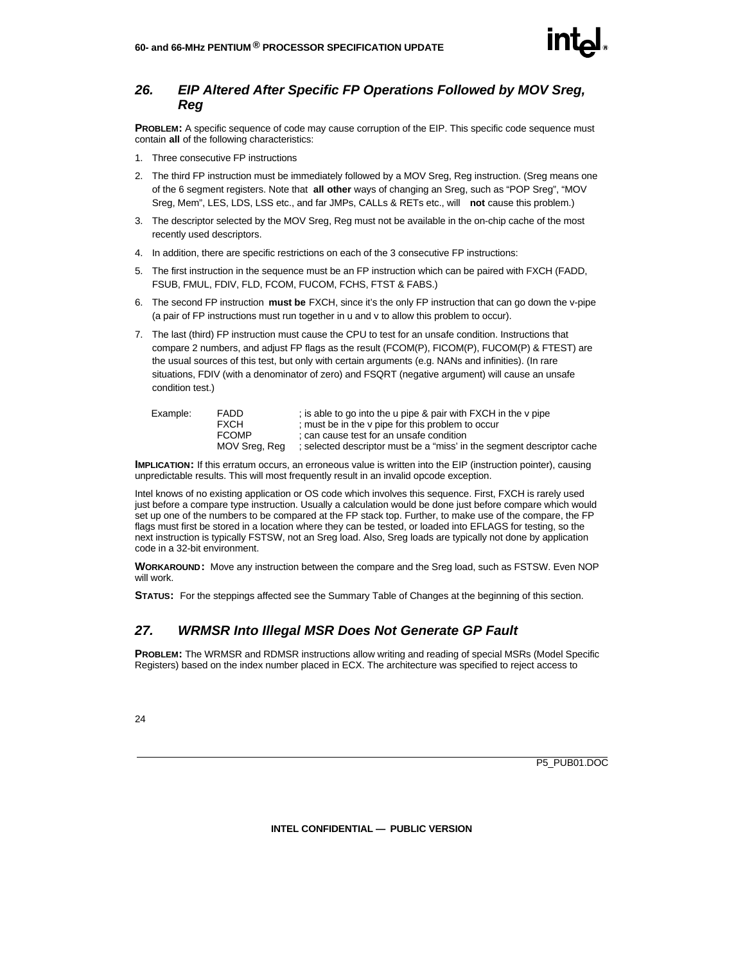

#### *26. EIP Altered After Specific FP Operations Followed by MOV Sreg, Reg*

**PROBLEM:** A specific sequence of code may cause corruption of the EIP. This specific code sequence must contain **all** of the following characteristics:

- 1. Three consecutive FP instructions
- 2. The third FP instruction must be immediately followed by a MOV Sreg, Reg instruction. (Sreg means one of the 6 segment registers. Note that **all other** ways of changing an Sreg, such as "POP Sreg", "MOV Sreg, Mem", LES, LDS, LSS etc., and far JMPs, CALLs & RETs etc., will **not** cause this problem.)
- 3. The descriptor selected by the MOV Sreg, Reg must not be available in the on-chip cache of the most recently used descriptors.
- 4. In addition, there are specific restrictions on each of the 3 consecutive FP instructions:
- 5. The first instruction in the sequence must be an FP instruction which can be paired with FXCH (FADD, FSUB, FMUL, FDIV, FLD, FCOM, FUCOM, FCHS, FTST & FABS.)
- 6. The second FP instruction **must be** FXCH, since it's the only FP instruction that can go down the v-pipe (a pair of FP instructions must run together in u and v to allow this problem to occur).
- 7. The last (third) FP instruction must cause the CPU to test for an unsafe condition. Instructions that compare 2 numbers, and adjust FP flags as the result (FCOM(P), FICOM(P), FUCOM(P) & FTEST) are the usual sources of this test, but only with certain arguments (e.g. NANs and infinities). (In rare situations, FDIV (with a denominator of zero) and FSQRT (negative argument) will cause an unsafe condition test.)

| Example: | <b>FADD</b><br>FXCH<br><b>FCOMP</b> | ; is able to go into the u pipe & pair with FXCH in the v pipe<br>; must be in the v pipe for this problem to occur<br>: can cause test for an unsafe condition |
|----------|-------------------------------------|-----------------------------------------------------------------------------------------------------------------------------------------------------------------|
|          | MOV Srea, Rea                       | ; selected descriptor must be a "miss' in the segment descriptor cache                                                                                          |

**IMPLICATION:** If this erratum occurs, an erroneous value is written into the EIP (instruction pointer), causing unpredictable results. This will most frequently result in an invalid opcode exception.

Intel knows of no existing application or OS code which involves this sequence. First, FXCH is rarely used just before a compare type instruction. Usually a calculation would be done just before compare which would set up one of the numbers to be compared at the FP stack top. Further, to make use of the compare, the FP flags must first be stored in a location where they can be tested, or loaded into EFLAGS for testing, so the next instruction is typically FSTSW, not an Sreg load. Also, Sreg loads are typically not done by application code in a 32-bit environment.

**WORKAROUND:** Move any instruction between the compare and the Sreg load, such as FSTSW. Even NOP will work.

**STATUS:** For the steppings affected see the Summary Table of Changes at the beginning of this section.

#### *27. WRMSR Into Illegal MSR Does Not Generate GP Fault*

**PROBLEM:** The WRMSR and RDMSR instructions allow writing and reading of special MSRs (Model Specific Registers) based on the index number placed in ECX. The architecture was specified to reject access to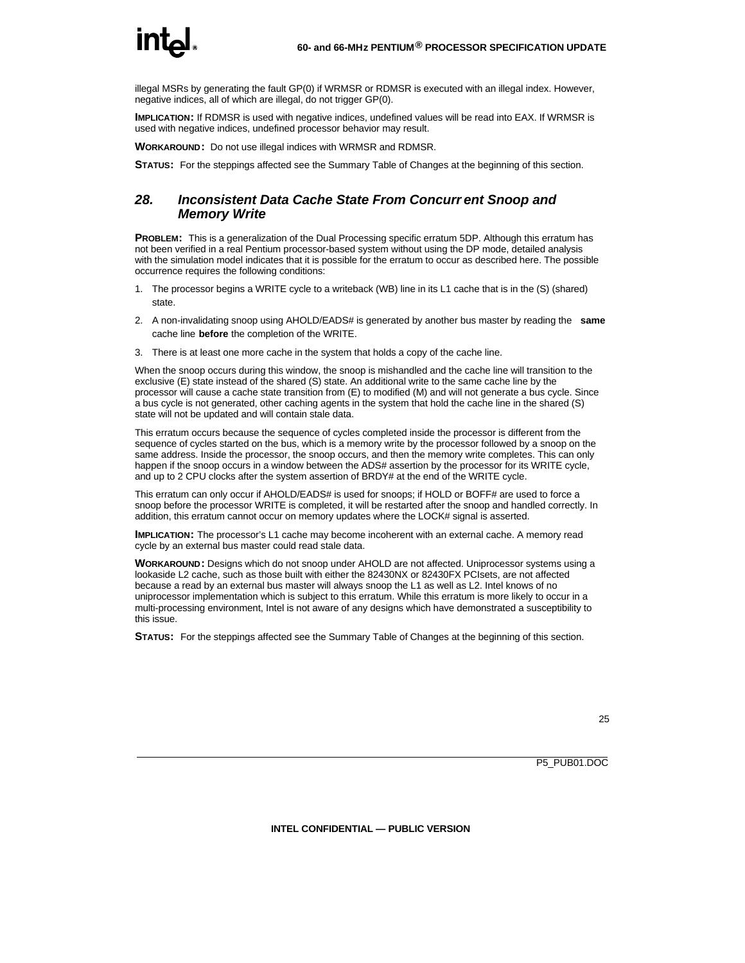illegal MSRs by generating the fault GP(0) if WRMSR or RDMSR is executed with an illegal index. However, negative indices, all of which are illegal, do not trigger GP(0).

**IMPLICATION:** If RDMSR is used with negative indices, undefined values will be read into EAX. If WRMSR is used with negative indices, undefined processor behavior may result.

**WORKAROUND:** Do not use illegal indices with WRMSR and RDMSR.

**STATUS:** For the steppings affected see the Summary Table of Changes at the beginning of this section.

#### *28. Inconsistent Data Cache State From Concurr ent Snoop and Memory Write*

**PROBLEM:** This is a generalization of the Dual Processing specific erratum 5DP. Although this erratum has not been verified in a real Pentium processor-based system without using the DP mode, detailed analysis with the simulation model indicates that it is possible for the erratum to occur as described here. The possible occurrence requires the following conditions:

- 1. The processor begins a WRITE cycle to a writeback (WB) line in its L1 cache that is in the (S) (shared) state.
- 2. A non-invalidating snoop using AHOLD/EADS# is generated by another bus master by reading the **same** cache line **before** the completion of the WRITE.
- 3. There is at least one more cache in the system that holds a copy of the cache line.

When the snoop occurs during this window, the snoop is mishandled and the cache line will transition to the exclusive (E) state instead of the shared (S) state. An additional write to the same cache line by the processor will cause a cache state transition from (E) to modified (M) and will not generate a bus cycle. Since a bus cycle is not generated, other caching agents in the system that hold the cache line in the shared (S) state will not be updated and will contain stale data.

This erratum occurs because the sequence of cycles completed inside the processor is different from the sequence of cycles started on the bus, which is a memory write by the processor followed by a snoop on the same address. Inside the processor, the snoop occurs, and then the memory write completes. This can only happen if the snoop occurs in a window between the ADS# assertion by the processor for its WRITE cycle, and up to 2 CPU clocks after the system assertion of BRDY# at the end of the WRITE cycle.

This erratum can only occur if AHOLD/EADS# is used for snoops; if HOLD or BOFF# are used to force a snoop before the processor WRITE is completed, it will be restarted after the snoop and handled correctly. In addition, this erratum cannot occur on memory updates where the LOCK# signal is asserted.

**IMPLICATION:** The processor's L1 cache may become incoherent with an external cache. A memory read cycle by an external bus master could read stale data.

**WORKAROUND:** Designs which do not snoop under AHOLD are not affected. Uniprocessor systems using a lookaside L2 cache, such as those built with either the 82430NX or 82430FX PCIsets, are not affected because a read by an external bus master will always snoop the L1 as well as L2. Intel knows of no uniprocessor implementation which is subject to this erratum. While this erratum is more likely to occur in a multi-processing environment, Intel is not aware of any designs which have demonstrated a susceptibility to this issue.

**STATUS:** For the steppings affected see the Summary Table of Changes at the beginning of this section.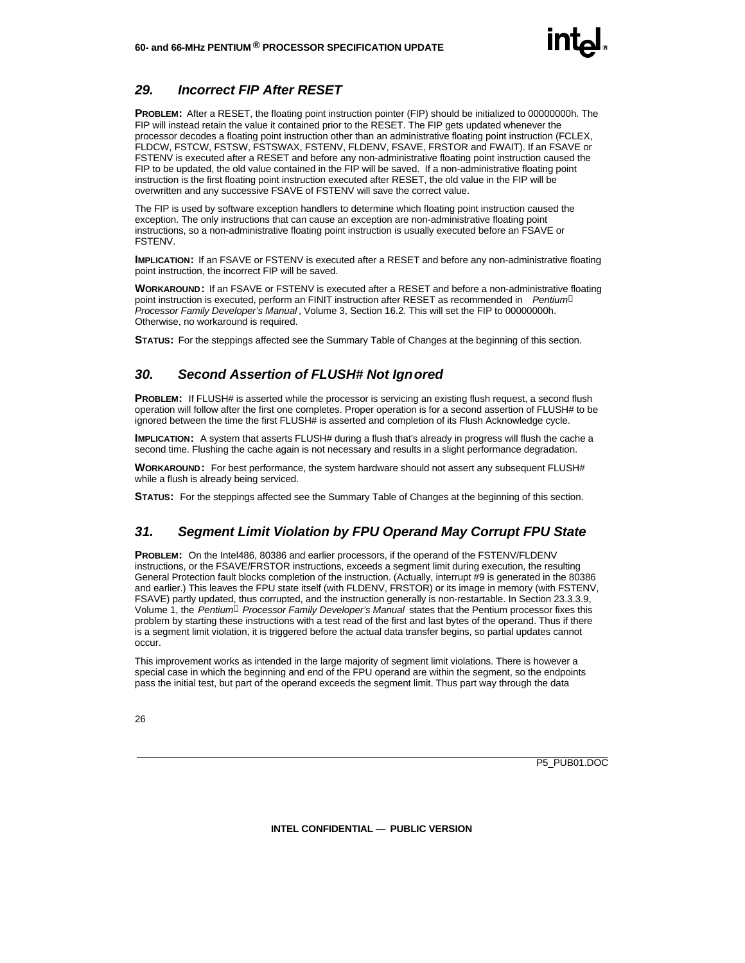#### *29. Incorrect FIP After RESET*

**PROBLEM:** After a RESET, the floating point instruction pointer (FIP) should be initialized to 00000000h. The FIP will instead retain the value it contained prior to the RESET. The FIP gets updated whenever the processor decodes a floating point instruction other than an administrative floating point instruction (FCLEX, FLDCW, FSTCW, FSTSW, FSTSWAX, FSTENV, FLDENV, FSAVE, FRSTOR and FWAIT). If an FSAVE or FSTENV is executed after a RESET and before any non-administrative floating point instruction caused the FIP to be updated, the old value contained in the FIP will be saved. If a non-administrative floating point instruction is the first floating point instruction executed after RESET, the old value in the FIP will be overwritten and any successive FSAVE of FSTENV will save the correct value.

The FIP is used by software exception handlers to determine which floating point instruction caused the exception. The only instructions that can cause an exception are non-administrative floating point instructions, so a non-administrative floating point instruction is usually executed before an FSAVE or FSTENV.

**IMPLICATION:** If an FSAVE or FSTENV is executed after a RESET and before any non-administrative floating point instruction, the incorrect FIP will be saved.

**WORKAROUND:** If an FSAVE or FSTENV is executed after a RESET and before a non-administrative floating point instruction is executed, perform an FINIT instruction after RESET as recommended in *Pentiumâ Processor Family Developer's Manual* , Volume 3, Section 16.2. This will set the FIP to 00000000h. Otherwise, no workaround is required.

**STATUS:** For the steppings affected see the Summary Table of Changes at the beginning of this section.

#### *30. Second Assertion of FLUSH# Not Ignored*

**PROBLEM:** If FLUSH# is asserted while the processor is servicing an existing flush request, a second flush operation will follow after the first one completes. Proper operation is for a second assertion of FLUSH# to be ignored between the time the first FLUSH# is asserted and completion of its Flush Acknowledge cycle.

**IMPLICATION:** A system that asserts FLUSH# during a flush that's already in progress will flush the cache a second time. Flushing the cache again is not necessary and results in a slight performance degradation.

**WORKAROUND:** For best performance, the system hardware should not assert any subsequent FLUSH# while a flush is already being serviced.

**STATUS:** For the steppings affected see the Summary Table of Changes at the beginning of this section.

#### *31. Segment Limit Violation by FPU Operand May Corrupt FPU State*

**PROBLEM:** On the Intel486, 80386 and earlier processors, if the operand of the FSTENV/FLDENV instructions, or the FSAVE/FRSTOR instructions, exceeds a segment limit during execution, the resulting General Protection fault blocks completion of the instruction. (Actually, interrupt #9 is generated in the 80386 and earlier.) This leaves the FPU state itself (with FLDENV, FRSTOR) or its image in memory (with FSTENV, FSAVE) partly updated, thus corrupted, and the instruction generally is non-restartable. In Section 23.3.3.9, Volume 1, the *Pentiumâ Processor Family Developer's Manual* states that the Pentium processor fixes this problem by starting these instructions with a test read of the first and last bytes of the operand. Thus if there is a segment limit violation, it is triggered before the actual data transfer begins, so partial updates cannot occur.

This improvement works as intended in the large majority of segment limit violations. There is however a special case in which the beginning and end of the FPU operand are within the segment, so the endpoints pass the initial test, but part of the operand exceeds the segment limit. Thus part way through the data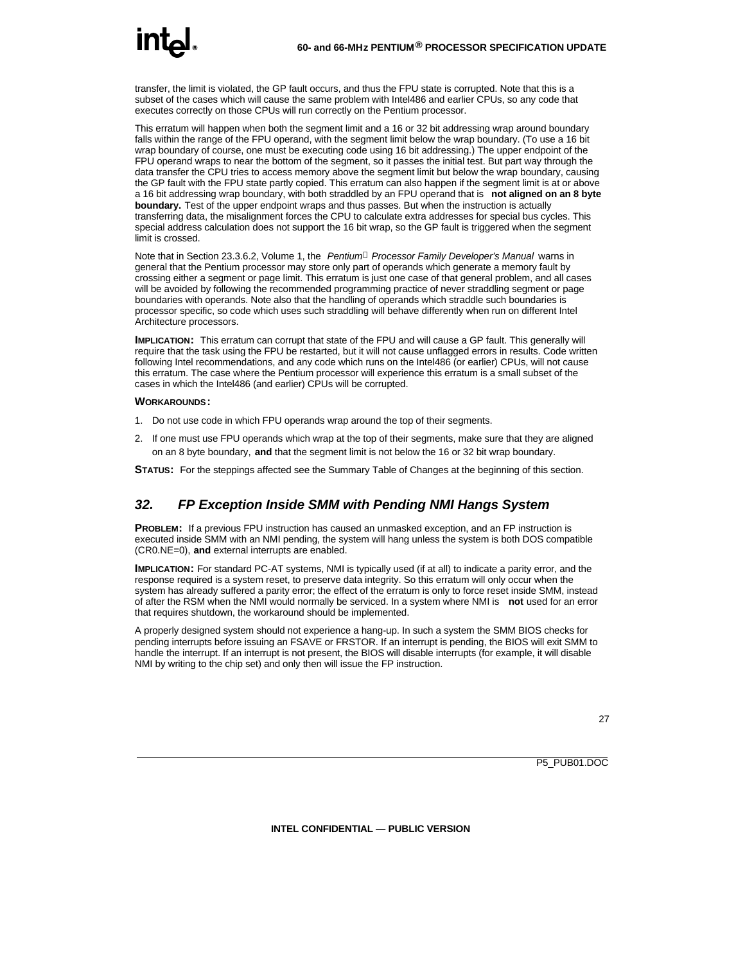transfer, the limit is violated, the GP fault occurs, and thus the FPU state is corrupted. Note that this is a subset of the cases which will cause the same problem with Intel486 and earlier CPUs, so any code that executes correctly on those CPUs will run correctly on the Pentium processor.

This erratum will happen when both the segment limit and a 16 or 32 bit addressing wrap around boundary falls within the range of the FPU operand, with the segment limit below the wrap boundary. (To use a 16 bit wrap boundary of course, one must be executing code using 16 bit addressing.) The upper endpoint of the FPU operand wraps to near the bottom of the segment, so it passes the initial test. But part way through the data transfer the CPU tries to access memory above the segment limit but below the wrap boundary, causing the GP fault with the FPU state partly copied. This erratum can also happen if the segment limit is at or above a 16 bit addressing wrap boundary, with both straddled by an FPU operand that is **not aligned on an 8 byte boundary.** Test of the upper endpoint wraps and thus passes. But when the instruction is actually transferring data, the misalignment forces the CPU to calculate extra addresses for special bus cycles. This special address calculation does not support the 16 bit wrap, so the GP fault is triggered when the segment limit is crossed.

Note that in Section 23.3.6.2, Volume 1, the *Pentiumâ Processor Family Developer's Manual* warns in general that the Pentium processor may store only part of operands which generate a memory fault by crossing either a segment or page limit. This erratum is just one case of that general problem, and all cases will be avoided by following the recommended programming practice of never straddling segment or page boundaries with operands. Note also that the handling of operands which straddle such boundaries is processor specific, so code which uses such straddling will behave differently when run on different Intel Architecture processors.

**IMPLICATION:** This erratum can corrupt that state of the FPU and will cause a GP fault. This generally will require that the task using the FPU be restarted, but it will not cause unflagged errors in results. Code written following Intel recommendations, and any code which runs on the Intel486 (or earlier) CPUs, will not cause this erratum. The case where the Pentium processor will experience this erratum is a small subset of the cases in which the Intel486 (and earlier) CPUs will be corrupted.

#### **WORKAROUNDS:**

- 1. Do not use code in which FPU operands wrap around the top of their segments.
- 2. If one must use FPU operands which wrap at the top of their segments, make sure that they are aligned on an 8 byte boundary, **and** that the segment limit is not below the 16 or 32 bit wrap boundary.
- **STATUS:** For the steppings affected see the Summary Table of Changes at the beginning of this section.

#### *32. FP Exception Inside SMM with Pending NMI Hangs System*

**PROBLEM:** If a previous FPU instruction has caused an unmasked exception, and an FP instruction is executed inside SMM with an NMI pending, the system will hang unless the system is both DOS compatible (CR0.NE=0), **and** external interrupts are enabled.

**IMPLICATION:** For standard PC-AT systems, NMI is typically used (if at all) to indicate a parity error, and the response required is a system reset, to preserve data integrity. So this erratum will only occur when the system has already suffered a parity error; the effect of the erratum is only to force reset inside SMM, instead of after the RSM when the NMI would normally be serviced. In a system where NMI is **not** used for an error that requires shutdown, the workaround should be implemented.

A properly designed system should not experience a hang-up. In such a system the SMM BIOS checks for pending interrupts before issuing an FSAVE or FRSTOR. If an interrupt is pending, the BIOS will exit SMM to handle the interrupt. If an interrupt is not present, the BIOS will disable interrupts (for example, it will disable NMI by writing to the chip set) and only then will issue the FP instruction.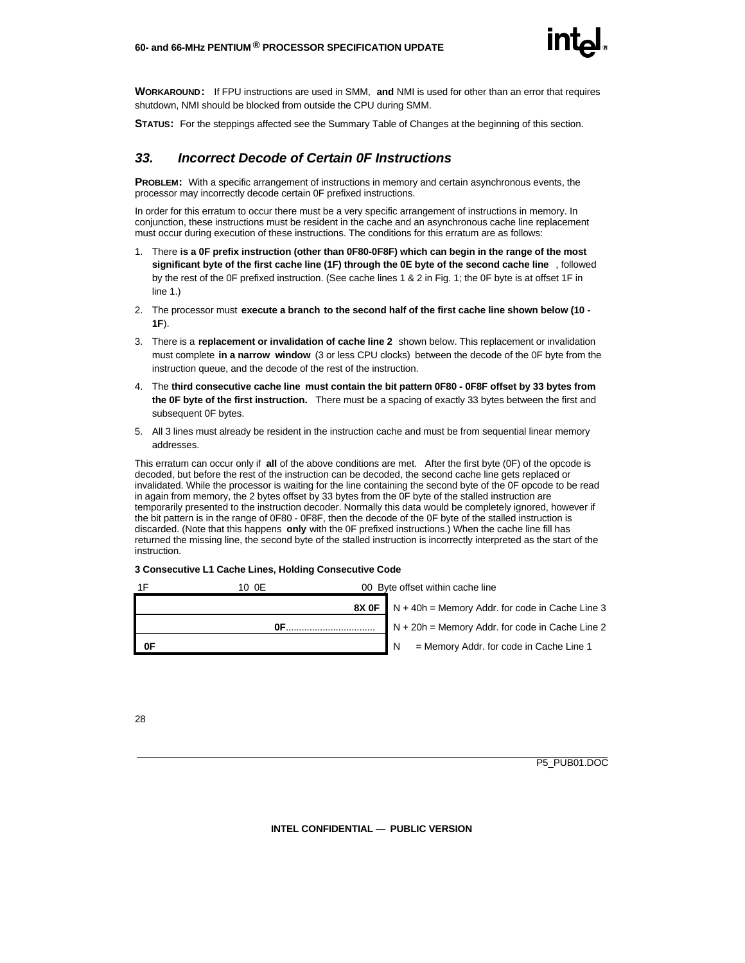

**WORKAROUND:** If FPU instructions are used in SMM, **and** NMI is used for other than an error that requires shutdown, NMI should be blocked from outside the CPU during SMM.

**STATUS:** For the steppings affected see the Summary Table of Changes at the beginning of this section.

#### *33. Incorrect Decode of Certain 0F Instructions*

**PROBLEM:** With a specific arrangement of instructions in memory and certain asynchronous events, the processor may incorrectly decode certain 0F prefixed instructions.

In order for this erratum to occur there must be a very specific arrangement of instructions in memory. In conjunction, these instructions must be resident in the cache and an asynchronous cache line replacement must occur during execution of these instructions. The conditions for this erratum are as follows:

- 1. There **is a 0F prefix instruction (other than 0F80-0F8F) which can begin in the range of the most significant byte of the first cache line (1F) through the 0E byte of the second cache line** , followed by the rest of the 0F prefixed instruction. (See cache lines 1 & 2 in Fig. 1; the 0F byte is at offset 1F in line 1.)
- 2. The processor must **execute a branch to the second half of the first cache line shown below (10 - 1F**).
- 3. There is a **replacement or invalidation of cache line 2** shown below. This replacement or invalidation must complete **in a narrow window** (3 or less CPU clocks) between the decode of the 0F byte from the instruction queue, and the decode of the rest of the instruction.
- 4. The **third consecutive cache line must contain the bit pattern 0F80 0F8F offset by 33 bytes from the 0F byte of the first instruction.** There must be a spacing of exactly 33 bytes between the first and subsequent 0F bytes.
- 5. All 3 lines must already be resident in the instruction cache and must be from sequential linear memory addresses.

This erratum can occur only if **all** of the above conditions are met. After the first byte (0F) of the opcode is decoded, but before the rest of the instruction can be decoded, the second cache line gets replaced or invalidated. While the processor is waiting for the line containing the second byte of the 0F opcode to be read in again from memory, the 2 bytes offset by 33 bytes from the 0F byte of the stalled instruction are temporarily presented to the instruction decoder. Normally this data would be completely ignored, however if the bit pattern is in the range of 0F80 - 0F8F, then the decode of the 0F byte of the stalled instruction is discarded. (Note that this happens **only** with the 0F prefixed instructions.) When the cache line fill has returned the missing line, the second byte of the stalled instruction is incorrectly interpreted as the start of the instruction.

#### **3 Consecutive L1 Cache Lines, Holding Consecutive Code**

| 1F<br>10 OE | 00 Byte offset within cache line                               |
|-------------|----------------------------------------------------------------|
|             | <b>8X OF</b> $N + 40h =$ Memory Addr. for code in Cache Line 3 |
| 0F          | $N + 20h$ = Memory Addr. for code in Cache Line 2              |
| 0F          | = Memory Addr. for code in Cache Line 1<br>IN.                 |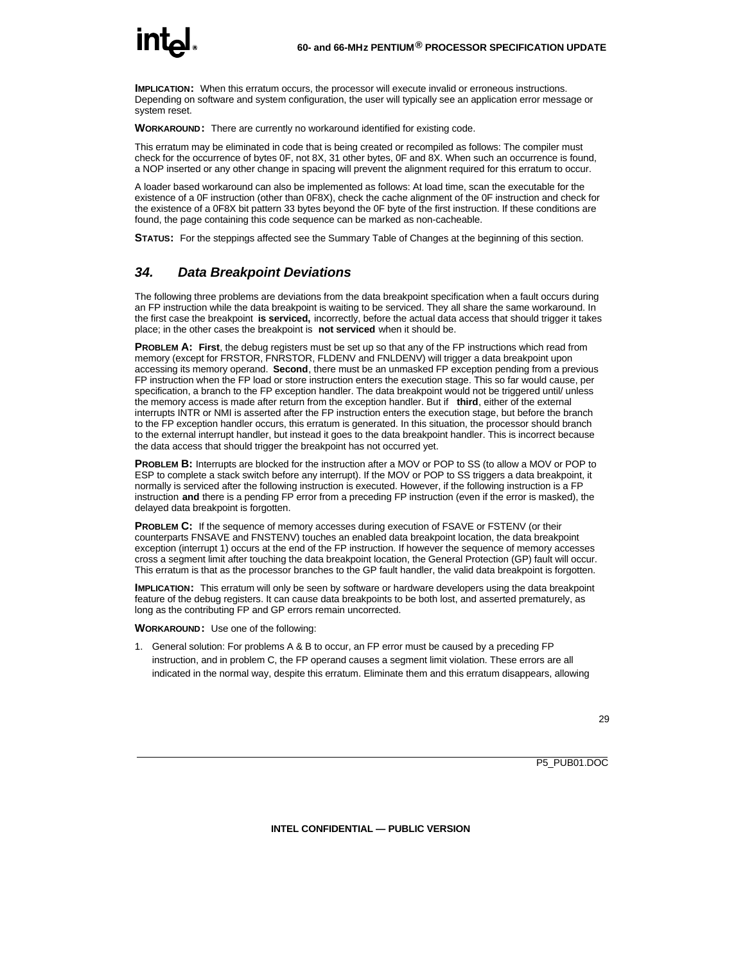**IMPLICATION:** When this erratum occurs, the processor will execute invalid or erroneous instructions. Depending on software and system configuration, the user will typically see an application error message or system reset.

**WORKAROUND:** There are currently no workaround identified for existing code.

This erratum may be eliminated in code that is being created or recompiled as follows: The compiler must check for the occurrence of bytes 0F, not 8X, 31 other bytes, 0F and 8X. When such an occurrence is found, a NOP inserted or any other change in spacing will prevent the alignment required for this erratum to occur.

A loader based workaround can also be implemented as follows: At load time, scan the executable for the existence of a 0F instruction (other than 0F8X), check the cache alignment of the 0F instruction and check for the existence of a 0F8X bit pattern 33 bytes beyond the 0F byte of the first instruction. If these conditions are found, the page containing this code sequence can be marked as non-cacheable.

**STATUS:** For the steppings affected see the Summary Table of Changes at the beginning of this section.

#### *34. Data Breakpoint Deviations*

The following three problems are deviations from the data breakpoint specification when a fault occurs during an FP instruction while the data breakpoint is waiting to be serviced. They all share the same workaround. In the first case the breakpoint **is serviced,** incorrectly, before the actual data access that should trigger it takes place; in the other cases the breakpoint is **not serviced** when it should be.

**PROBLEM A: First**, the debug registers must be set up so that any of the FP instructions which read from memory (except for FRSTOR, FNRSTOR, FLDENV and FNLDENV) will trigger a data breakpoint upon accessing its memory operand. **Second**, there must be an unmasked FP exception pending from a previous FP instruction when the FP load or store instruction enters the execution stage. This so far would cause, per specification, a branch to the FP exception handler. The data breakpoint would not be triggered until/ unless the memory access is made after return from the exception handler. But if **third**, either of the external interrupts INTR or NMI is asserted after the FP instruction enters the execution stage, but before the branch to the FP exception handler occurs, this erratum is generated. In this situation, the processor should branch to the external interrupt handler, but instead it goes to the data breakpoint handler. This is incorrect because the data access that should trigger the breakpoint has not occurred yet.

**PROBLEM B:** Interrupts are blocked for the instruction after a MOV or POP to SS (to allow a MOV or POP to ESP to complete a stack switch before any interrupt). If the MOV or POP to SS triggers a data breakpoint, it normally is serviced after the following instruction is executed. However, if the following instruction is a FP instruction **and** there is a pending FP error from a preceding FP instruction (even if the error is masked), the delayed data breakpoint is forgotten.

**PROBLEM C:** If the sequence of memory accesses during execution of FSAVE or FSTENV (or their counterparts FNSAVE and FNSTENV) touches an enabled data breakpoint location, the data breakpoint exception (interrupt 1) occurs at the end of the FP instruction. If however the sequence of memory accesses cross a segment limit after touching the data breakpoint location, the General Protection (GP) fault will occur. This erratum is that as the processor branches to the GP fault handler, the valid data breakpoint is forgotten.

**IMPLICATION:** This erratum will only be seen by software or hardware developers using the data breakpoint feature of the debug registers. It can cause data breakpoints to be both lost, and asserted prematurely, as long as the contributing FP and GP errors remain uncorrected.

#### **WORKAROUND:** Use one of the following:

1. General solution: For problems A & B to occur, an FP error must be caused by a preceding FP instruction, and in problem C, the FP operand causes a segment limit violation. These errors are all indicated in the normal way, despite this erratum. Eliminate them and this erratum disappears, allowing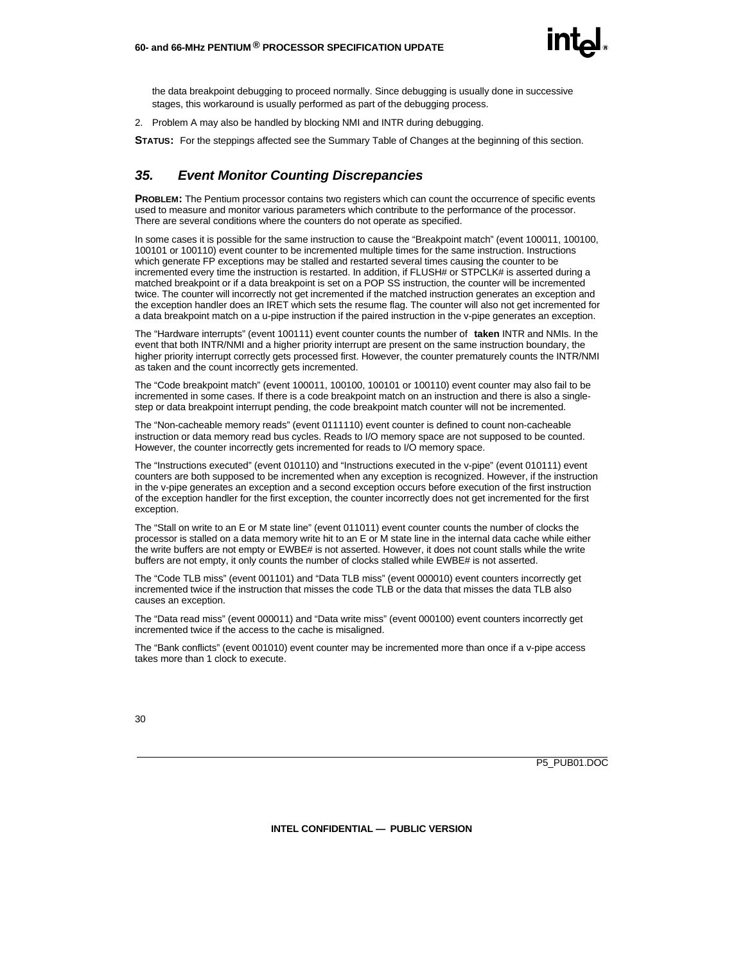

the data breakpoint debugging to proceed normally. Since debugging is usually done in successive stages, this workaround is usually performed as part of the debugging process.

2. Problem A may also be handled by blocking NMI and INTR during debugging.

**STATUS:** For the steppings affected see the Summary Table of Changes at the beginning of this section.

#### *35. Event Monitor Counting Discrepancies*

**PROBLEM:** The Pentium processor contains two registers which can count the occurrence of specific events used to measure and monitor various parameters which contribute to the performance of the processor. There are several conditions where the counters do not operate as specified.

In some cases it is possible for the same instruction to cause the "Breakpoint match" (event 100011, 100100, 100101 or 100110) event counter to be incremented multiple times for the same instruction. Instructions which generate FP exceptions may be stalled and restarted several times causing the counter to be incremented every time the instruction is restarted. In addition, if FLUSH# or STPCLK# is asserted during a matched breakpoint or if a data breakpoint is set on a POP SS instruction, the counter will be incremented twice. The counter will incorrectly not get incremented if the matched instruction generates an exception and the exception handler does an IRET which sets the resume flag. The counter will also not get incremented for a data breakpoint match on a u-pipe instruction if the paired instruction in the v-pipe generates an exception.

The "Hardware interrupts" (event 100111) event counter counts the number of **taken** INTR and NMIs. In the event that both INTR/NMI and a higher priority interrupt are present on the same instruction boundary, the higher priority interrupt correctly gets processed first. However, the counter prematurely counts the INTR/NMI as taken and the count incorrectly gets incremented.

The "Code breakpoint match" (event 100011, 100100, 100101 or 100110) event counter may also fail to be incremented in some cases. If there is a code breakpoint match on an instruction and there is also a singlestep or data breakpoint interrupt pending, the code breakpoint match counter will not be incremented.

The "Non-cacheable memory reads" (event 0111110) event counter is defined to count non-cacheable instruction or data memory read bus cycles. Reads to I/O memory space are not supposed to be counted. However, the counter incorrectly gets incremented for reads to I/O memory space.

The "Instructions executed" (event 010110) and "Instructions executed in the v-pipe" (event 010111) event counters are both supposed to be incremented when any exception is recognized. However, if the instruction in the v-pipe generates an exception and a second exception occurs before execution of the first instruction of the exception handler for the first exception, the counter incorrectly does not get incremented for the first exception.

The "Stall on write to an E or M state line" (event 011011) event counter counts the number of clocks the processor is stalled on a data memory write hit to an E or M state line in the internal data cache while either the write buffers are not empty or EWBE# is not asserted. However, it does not count stalls while the write buffers are not empty, it only counts the number of clocks stalled while EWBE# is not asserted.

The "Code TLB miss" (event 001101) and "Data TLB miss" (event 000010) event counters incorrectly get incremented twice if the instruction that misses the code TLB or the data that misses the data TLB also causes an exception.

The "Data read miss" (event 000011) and "Data write miss" (event 000100) event counters incorrectly get incremented twice if the access to the cache is misaligned.

The "Bank conflicts" (event 001010) event counter may be incremented more than once if a v-pipe access takes more than 1 clock to execute.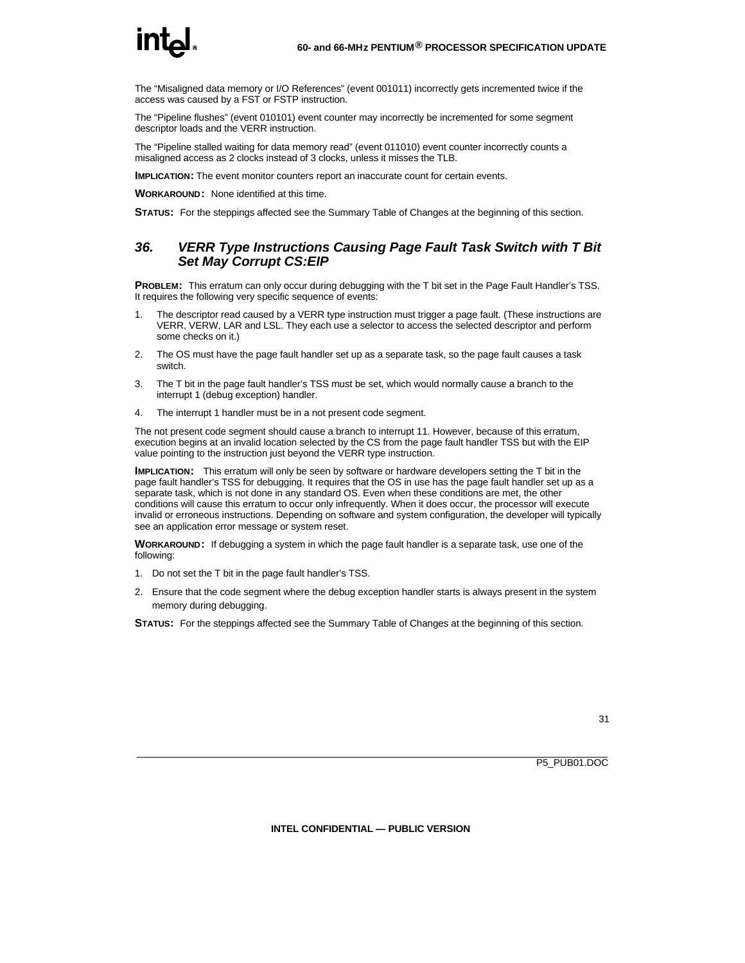## <u>int.</u>

The "Misaligned data memory or I/O References" (event 001011) incorrectly gets incremented twice if the access was caused by a FST or FSTP instruction.

The "Pipeline flushes" (event 010101) event counter may incorrectly be incremented for some segment descriptor loads and the VERR instruction.

The "Pipeline stalled waiting for data memory read" (event 011010) event counter incorrectly counts a misaligned access as 2 clocks instead of 3 clocks, unless it misses the TLB.

**IMPLICATION:** The event monitor counters report an inaccurate count for certain events.

**WORKAROUND:** None identified at this time.

**STATUS:** For the steppings affected see the Summary Table of Changes at the beginning of this section.

#### *36. VERR Type Instructions Causing Page Fault Task Switch with T Bit Set May Corrupt CS:EIP*

**PROBLEM:** This erratum can only occur during debugging with the T bit set in the Page Fault Handler's TSS. It requires the following very specific sequence of events:

- 1. The descriptor read caused by a VERR type instruction must trigger a page fault. (These instructions are VERR, VERW, LAR and LSL. They each use a selector to access the selected descriptor and perform some checks on it.)
- 2. The OS must have the page fault handler set up as a separate task, so the page fault causes a task switch.
- 3. The T bit in the page fault handler's TSS must be set, which would normally cause a branch to the interrupt 1 (debug exception) handler.
- 4. The interrupt 1 handler must be in a not present code segment.

The not present code segment should cause a branch to interrupt 11. However, because of this erratum, execution begins at an invalid location selected by the CS from the page fault handler TSS but with the EIP value pointing to the instruction just beyond the VERR type instruction.

**IMPLICATION:** This erratum will only be seen by software or hardware developers setting the T bit in the page fault handler's TSS for debugging. It requires that the OS in use has the page fault handler set up as a separate task, which is not done in any standard OS. Even when these conditions are met, the other conditions will cause this erratum to occur only infrequently. When it does occur, the processor will execute invalid or erroneous instructions. Depending on software and system configuration, the developer will typically see an application error message or system reset.

**WORKAROUND:** If debugging a system in which the page fault handler is a separate task, use one of the following:

- 1. Do not set the T bit in the page fault handler's TSS.
- 2. Ensure that the code segment where the debug exception handler starts is always present in the system memory during debugging.

**STATUS:** For the steppings affected see the Summary Table of Changes at the beginning of this section.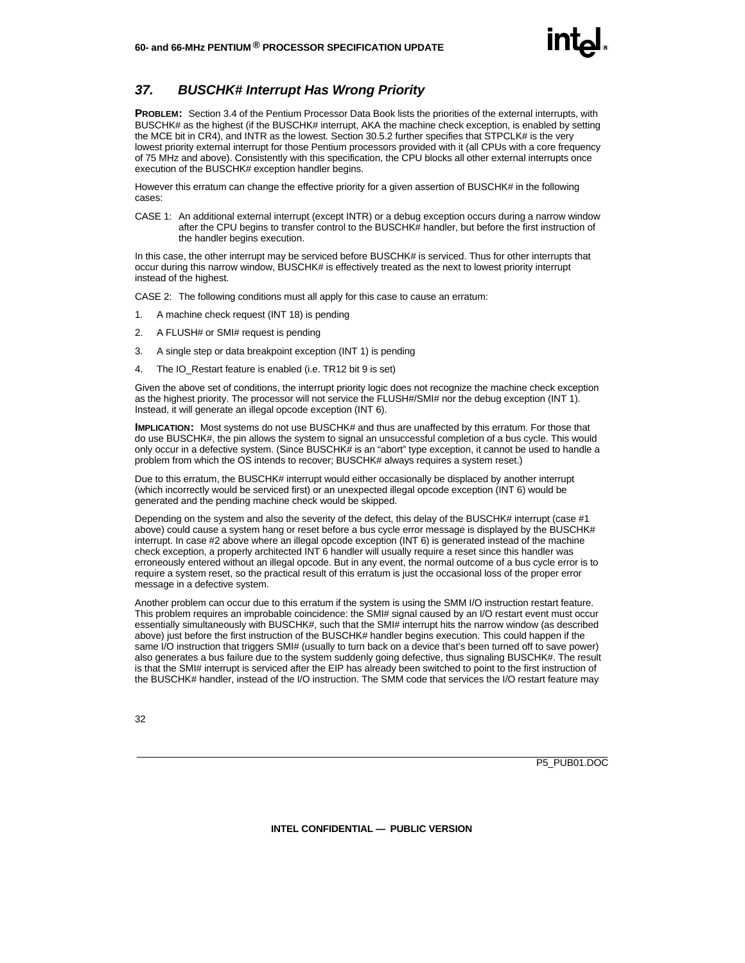#### *37. BUSCHK# Interrupt Has Wrong Priority*

**PROBLEM:** Section 3.4 of the Pentium Processor Data Book lists the priorities of the external interrupts, with BUSCHK# as the highest (if the BUSCHK# interrupt, AKA the machine check exception, is enabled by setting the MCE bit in CR4), and INTR as the lowest. Section 30.5.2 further specifies that STPCLK# is the very lowest priority external interrupt for those Pentium processors provided with it (all CPUs with a core frequency of 75 MHz and above). Consistently with this specification, the CPU blocks all other external interrupts once execution of the BUSCHK# exception handler begins.

However this erratum can change the effective priority for a given assertion of BUSCHK# in the following cases:

CASE 1: An additional external interrupt (except INTR) or a debug exception occurs during a narrow window after the CPU begins to transfer control to the BUSCHK# handler, but before the first instruction of the handler begins execution.

In this case, the other interrupt may be serviced before BUSCHK# is serviced. Thus for other interrupts that occur during this narrow window, BUSCHK# is effectively treated as the next to lowest priority interrupt instead of the highest.

CASE 2: The following conditions must all apply for this case to cause an erratum:

- 1. A machine check request (INT 18) is pending
- 2. A FLUSH# or SMI# request is pending
- 3. A single step or data breakpoint exception (INT 1) is pending
- 4. The IO Restart feature is enabled (i.e. TR12 bit 9 is set)

Given the above set of conditions, the interrupt priority logic does not recognize the machine check exception as the highest priority. The processor will not service the FLUSH#/SMI# nor the debug exception (INT 1). Instead, it will generate an illegal opcode exception (INT 6).

**IMPLICATION:** Most systems do not use BUSCHK# and thus are unaffected by this erratum. For those that do use BUSCHK#, the pin allows the system to signal an unsuccessful completion of a bus cycle. This would only occur in a defective system. (Since BUSCHK# is an "abort" type exception, it cannot be used to handle a problem from which the OS intends to recover; BUSCHK# always requires a system reset.)

Due to this erratum, the BUSCHK# interrupt would either occasionally be displaced by another interrupt (which incorrectly would be serviced first) or an unexpected illegal opcode exception (INT 6) would be generated and the pending machine check would be skipped.

Depending on the system and also the severity of the defect, this delay of the BUSCHK# interrupt (case #1) above) could cause a system hang or reset before a bus cycle error message is displayed by the BUSCHK# interrupt. In case #2 above where an illegal opcode exception (INT 6) is generated instead of the machine check exception, a properly architected INT 6 handler will usually require a reset since this handler was erroneously entered without an illegal opcode. But in any event, the normal outcome of a bus cycle error is to require a system reset, so the practical result of this erratum is just the occasional loss of the proper error message in a defective system.

Another problem can occur due to this erratum if the system is using the SMM I/O instruction restart feature. This problem requires an improbable coincidence: the SMI# signal caused by an I/O restart event must occur essentially simultaneously with BUSCHK#, such that the SMI# interrupt hits the narrow window (as described above) just before the first instruction of the BUSCHK# handler begins execution. This could happen if the same I/O instruction that triggers SMI# (usually to turn back on a device that's been turned off to save power) also generates a bus failure due to the system suddenly going defective, thus signaling BUSCHK#. The result is that the SMI# interrupt is serviced after the EIP has already been switched to point to the first instruction of the BUSCHK# handler, instead of the I/O instruction. The SMM code that services the I/O restart feature may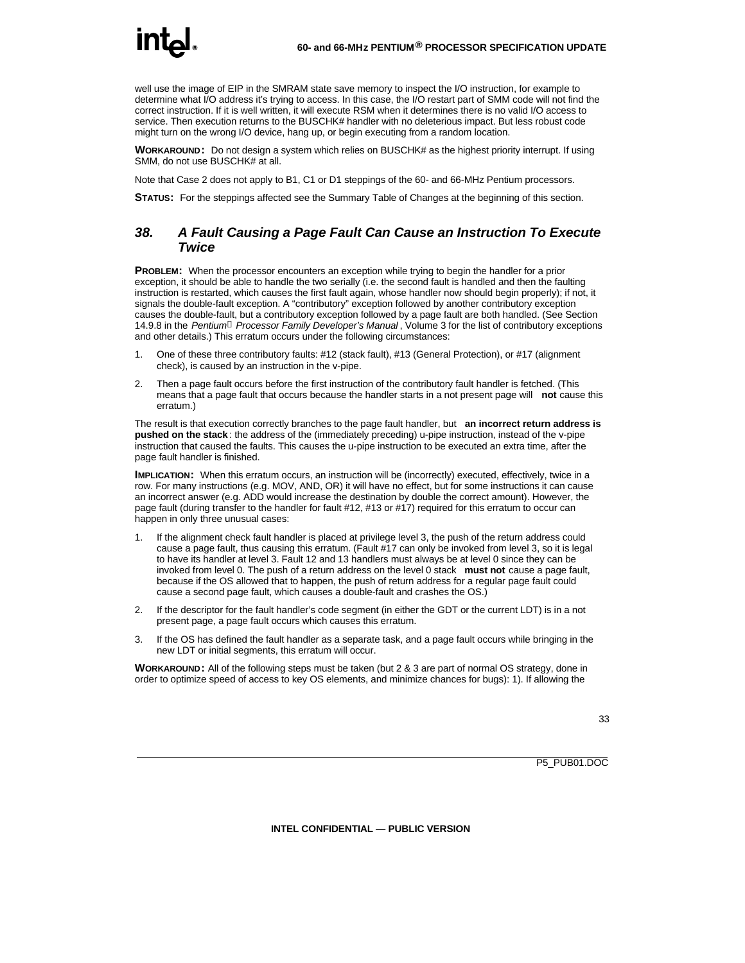well use the image of EIP in the SMRAM state save memory to inspect the I/O instruction, for example to determine what I/O address it's trying to access. In this case, the I/O restart part of SMM code will not find the correct instruction. If it is well written, it will execute RSM when it determines there is no valid I/O access to service. Then execution returns to the BUSCHK# handler with no deleterious impact. But less robust code might turn on the wrong I/O device, hang up, or begin executing from a random location.

**WORKAROUND:** Do not design a system which relies on BUSCHK# as the highest priority interrupt. If using SMM, do not use BUSCHK# at all.

Note that Case 2 does not apply to B1, C1 or D1 steppings of the 60- and 66-MHz Pentium processors.

**STATUS:** For the steppings affected see the Summary Table of Changes at the beginning of this section.

#### *38. A Fault Causing a Page Fault Can Cause an Instruction To Execute Twice*

**PROBLEM:** When the processor encounters an exception while trying to begin the handler for a prior exception, it should be able to handle the two serially (i.e. the second fault is handled and then the faulting instruction is restarted, which causes the first fault again, whose handler now should begin properly); if not, it signals the double-fault exception. A "contributory" exception followed by another contributory exception causes the double-fault, but a contributory exception followed by a page fault are both handled. (See Section 14.9.8 in the *Pentiumâ Processor Family Developer's Manual* , Volume 3 for the list of contributory exceptions and other details.) This erratum occurs under the following circumstances:

- 1. One of these three contributory faults: #12 (stack fault), #13 (General Protection), or #17 (alignment check), is caused by an instruction in the v-pipe.
- 2. Then a page fault occurs before the first instruction of the contributory fault handler is fetched. (This means that a page fault that occurs because the handler starts in a not present page will **not** cause this erratum.)

The result is that execution correctly branches to the page fault handler, but **an incorrect return address is pushed on the stack** : the address of the (immediately preceding) u-pipe instruction, instead of the v-pipe instruction that caused the faults. This causes the u-pipe instruction to be executed an extra time, after the page fault handler is finished.

**IMPLICATION:** When this erratum occurs, an instruction will be (incorrectly) executed, effectively, twice in a row. For many instructions (e.g. MOV, AND, OR) it will have no effect, but for some instructions it can cause an incorrect answer (e.g. ADD would increase the destination by double the correct amount). However, the page fault (during transfer to the handler for fault #12, #13 or #17) required for this erratum to occur can happen in only three unusual cases:

- 1. If the alignment check fault handler is placed at privilege level 3, the push of the return address could cause a page fault, thus causing this erratum. (Fault #17 can only be invoked from level 3, so it is legal to have its handler at level 3. Fault 12 and 13 handlers must always be at level 0 since they can be invoked from level 0. The push of a return address on the level 0 stack **must not** cause a page fault, because if the OS allowed that to happen, the push of return address for a regular page fault could cause a second page fault, which causes a double-fault and crashes the OS.)
- 2. If the descriptor for the fault handler's code segment (in either the GDT or the current LDT) is in a not present page, a page fault occurs which causes this erratum.
- 3. If the OS has defined the fault handler as a separate task, and a page fault occurs while bringing in the new LDT or initial segments, this erratum will occur.

**WORKAROUND:** All of the following steps must be taken (but 2 & 3 are part of normal OS strategy, done in order to optimize speed of access to key OS elements, and minimize chances for bugs): 1). If allowing the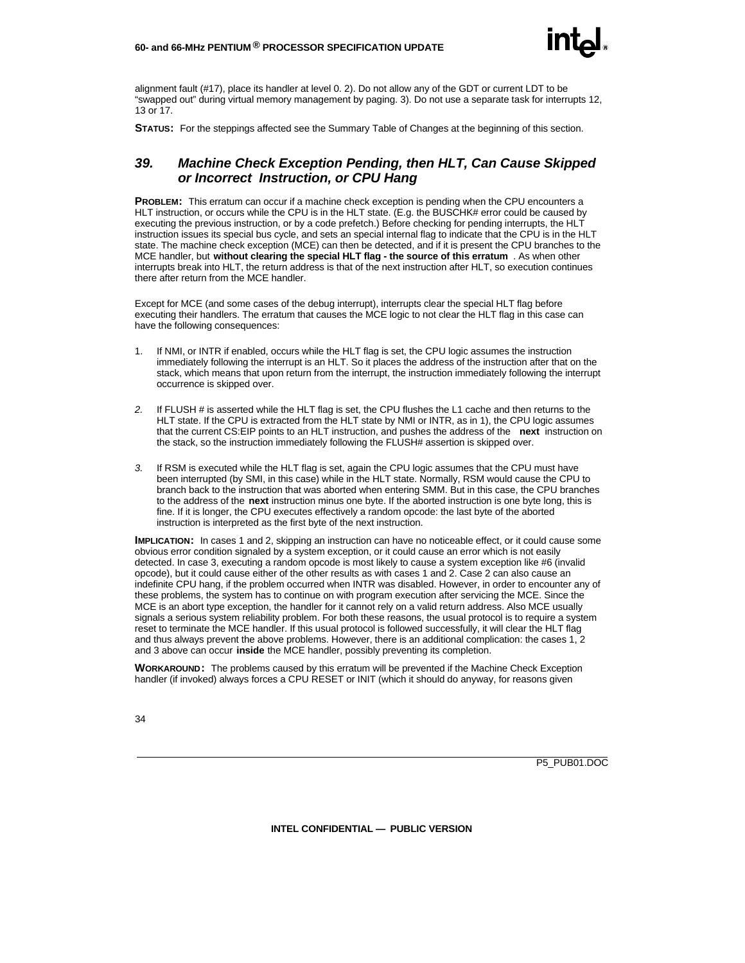alignment fault (#17), place its handler at level 0. 2). Do not allow any of the GDT or current LDT to be "swapped out" during virtual memory management by paging. 3). Do not use a separate task for interrupts 12, 13 or 17.

**STATUS:** For the steppings affected see the Summary Table of Changes at the beginning of this section.

#### *39. Machine Check Exception Pending, then HLT, Can Cause Skipped or Incorrect Instruction, or CPU Hang*

**PROBLEM:** This erratum can occur if a machine check exception is pending when the CPU encounters a HLT instruction, or occurs while the CPU is in the HLT state. (E.g. the BUSCHK# error could be caused by executing the previous instruction, or by a code prefetch.) Before checking for pending interrupts, the HLT instruction issues its special bus cycle, and sets an special internal flag to indicate that the CPU is in the HLT state. The machine check exception (MCE) can then be detected, and if it is present the CPU branches to the MCE handler, but **without clearing the special HLT flag - the source of this erratum** . As when other interrupts break into HLT, the return address is that of the next instruction after HLT, so execution continues there after return from the MCE handler.

Except for MCE (and some cases of the debug interrupt), interrupts clear the special HLT flag before executing their handlers. The erratum that causes the MCE logic to not clear the HLT flag in this case can have the following consequences:

- 1. If NMI, or INTR if enabled, occurs while the HLT flag is set, the CPU logic assumes the instruction immediately following the interrupt is an HLT. So it places the address of the instruction after that on the stack, which means that upon return from the interrupt, the instruction immediately following the interrupt occurrence is skipped over.
- *2.* If FLUSH # is asserted while the HLT flag is set, the CPU flushes the L1 cache and then returns to the HLT state. If the CPU is extracted from the HLT state by NMI or INTR, as in 1), the CPU logic assumes that the current CS:EIP points to an HLT instruction, and pushes the address of the **next** instruction on the stack, so the instruction immediately following the FLUSH# assertion is skipped over.
- *3.* If RSM is executed while the HLT flag is set, again the CPU logic assumes that the CPU must have been interrupted (by SMI, in this case) while in the HLT state. Normally, RSM would cause the CPU to branch back to the instruction that was aborted when entering SMM. But in this case, the CPU branches to the address of the **next** instruction minus one byte. If the aborted instruction is one byte long, this is fine. If it is longer, the CPU executes effectively a random opcode: the last byte of the aborted instruction is interpreted as the first byte of the next instruction.

**IMPLICATION:** In cases 1 and 2, skipping an instruction can have no noticeable effect, or it could cause some obvious error condition signaled by a system exception, or it could cause an error which is not easily detected. In case 3, executing a random opcode is most likely to cause a system exception like #6 (invalid opcode), but it could cause either of the other results as with cases 1 and 2. Case 2 can also cause an indefinite CPU hang, if the problem occurred when INTR was disabled. However, in order to encounter any of these problems, the system has to continue on with program execution after servicing the MCE. Since the MCE is an abort type exception, the handler for it cannot rely on a valid return address. Also MCE usually signals a serious system reliability problem. For both these reasons, the usual protocol is to require a system reset to terminate the MCE handler. If this usual protocol is followed successfully, it will clear the HLT flag and thus always prevent the above problems. However, there is an additional complication: the cases 1, 2 and 3 above can occur **inside** the MCE handler, possibly preventing its completion.

**WORKAROUND:** The problems caused by this erratum will be prevented if the Machine Check Exception handler (if invoked) always forces a CPU RESET or INIT (which it should do anyway, for reasons given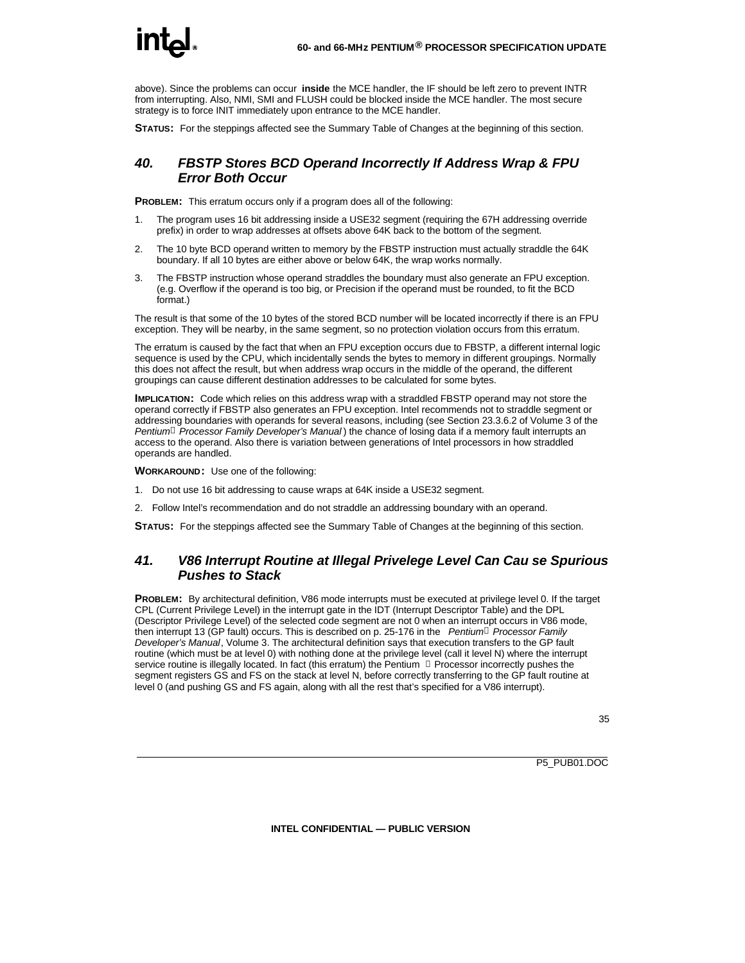above). Since the problems can occur **inside** the MCE handler, the IF should be left zero to prevent INTR from interrupting. Also, NMI, SMI and FLUSH could be blocked inside the MCE handler. The most secure strategy is to force INIT immediately upon entrance to the MCE handler.

**STATUS:** For the steppings affected see the Summary Table of Changes at the beginning of this section.

#### *40. FBSTP Stores BCD Operand Incorrectly If Address Wrap & FPU Error Both Occur*

**PROBLEM:** This erratum occurs only if a program does all of the following:

- 1. The program uses 16 bit addressing inside a USE32 segment (requiring the 67H addressing override prefix) in order to wrap addresses at offsets above 64K back to the bottom of the segment.
- 2. The 10 byte BCD operand written to memory by the FBSTP instruction must actually straddle the 64K boundary. If all 10 bytes are either above or below 64K, the wrap works normally.
- 3. The FBSTP instruction whose operand straddles the boundary must also generate an FPU exception. (e.g. Overflow if the operand is too big, or Precision if the operand must be rounded, to fit the BCD format.)

The result is that some of the 10 bytes of the stored BCD number will be located incorrectly if there is an FPU exception. They will be nearby, in the same segment, so no protection violation occurs from this erratum.

The erratum is caused by the fact that when an FPU exception occurs due to FBSTP, a different internal logic sequence is used by the CPU, which incidentally sends the bytes to memory in different groupings. Normally this does not affect the result, but when address wrap occurs in the middle of the operand, the different groupings can cause different destination addresses to be calculated for some bytes.

**IMPLICATION:** Code which relies on this address wrap with a straddled FBSTP operand may not store the operand correctly if FBSTP also generates an FPU exception. Intel recommends not to straddle segment or addressing boundaries with operands for several reasons, including (see Section 23.3.6.2 of Volume 3 of the *Pentiumâ Processor Family Developer's Manual* ) the chance of losing data if a memory fault interrupts an access to the operand. Also there is variation between generations of Intel processors in how straddled operands are handled.

**WORKAROUND:** Use one of the following:

- 1. Do not use 16 bit addressing to cause wraps at 64K inside a USE32 segment.
- 2. Follow Intel's recommendation and do not straddle an addressing boundary with an operand.

**STATUS:** For the steppings affected see the Summary Table of Changes at the beginning of this section.

#### *41. V86 Interrupt Routine at Illegal Privelege Level Can Cau se Spurious Pushes to Stack*

**PROBLEM:** By architectural definition, V86 mode interrupts must be executed at privilege level 0. If the target CPL (Current Privilege Level) in the interrupt gate in the IDT (Interrupt Descriptor Table) and the DPL (Descriptor Privilege Level) of the selected code segment are not 0 when an interrupt occurs in V86 mode, then interrupt 13 (GP fault) occurs. This is described on p. 25-176 in the *Pentiumâ Processor Family Developer's Manual*, Volume 3. The architectural definition says that execution transfers to the GP fault routine (which must be at level 0) with nothing done at the privilege level (call it level N) where the interrupt service routine is illegally located. In fact (this erratum) the Pentium  $\degree$  Processor incorrectly pushes the segment registers GS and FS on the stack at level N, before correctly transferring to the GP fault routine at level 0 (and pushing GS and FS again, along with all the rest that's specified for a V86 interrupt).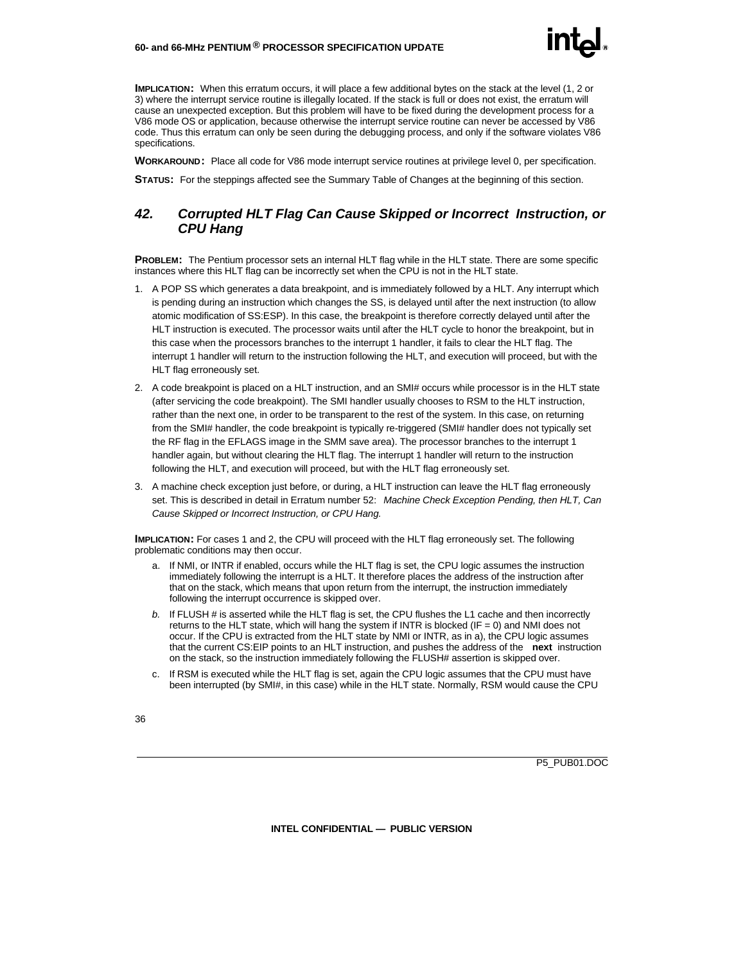#### **60- and 66-MHz PENTIUM ® PROCESSOR SPECIFICATION UPDATE**

**IMPLICATION:** When this erratum occurs, it will place a few additional bytes on the stack at the level (1, 2 or 3) where the interrupt service routine is illegally located. If the stack is full or does not exist, the erratum will cause an unexpected exception. But this problem will have to be fixed during the development process for a V86 mode OS or application, because otherwise the interrupt service routine can never be accessed by V86 code. Thus this erratum can only be seen during the debugging process, and only if the software violates V86 specifications.

**WORKAROUND:** Place all code for V86 mode interrupt service routines at privilege level 0, per specification.

**STATUS:** For the steppings affected see the Summary Table of Changes at the beginning of this section.

#### *42. Corrupted HLT Flag Can Cause Skipped or Incorrect Instruction, or CPU Hang*

**PROBLEM:** The Pentium processor sets an internal HLT flag while in the HLT state. There are some specific instances where this HLT flag can be incorrectly set when the CPU is not in the HLT state.

- 1. A POP SS which generates a data breakpoint, and is immediately followed by a HLT. Any interrupt which is pending during an instruction which changes the SS, is delayed until after the next instruction (to allow atomic modification of SS:ESP). In this case, the breakpoint is therefore correctly delayed until after the HLT instruction is executed. The processor waits until after the HLT cycle to honor the breakpoint, but in this case when the processors branches to the interrupt 1 handler, it fails to clear the HLT flag. The interrupt 1 handler will return to the instruction following the HLT, and execution will proceed, but with the HLT flag erroneously set.
- 2. A code breakpoint is placed on a HLT instruction, and an SMI# occurs while processor is in the HLT state (after servicing the code breakpoint). The SMI handler usually chooses to RSM to the HLT instruction, rather than the next one, in order to be transparent to the rest of the system. In this case, on returning from the SMI# handler, the code breakpoint is typically re-triggered (SMI# handler does not typically set the RF flag in the EFLAGS image in the SMM save area). The processor branches to the interrupt 1 handler again, but without clearing the HLT flag. The interrupt 1 handler will return to the instruction following the HLT, and execution will proceed, but with the HLT flag erroneously set.
- 3. A machine check exception just before, or during, a HLT instruction can leave the HLT flag erroneously set. This is described in detail in Erratum number 52: *Machine Check Exception Pending, then HLT, Can Cause Skipped or Incorrect Instruction, or CPU Hang.*

**IMPLICATION:** For cases 1 and 2, the CPU will proceed with the HLT flag erroneously set. The following problematic conditions may then occur.

- a. If NMI, or INTR if enabled, occurs while the HLT flag is set, the CPU logic assumes the instruction immediately following the interrupt is a HLT. It therefore places the address of the instruction after that on the stack, which means that upon return from the interrupt, the instruction immediately following the interrupt occurrence is skipped over.
- *b.* If FLUSH # is asserted while the HLT flag is set, the CPU flushes the L1 cache and then incorrectly returns to the HLT state, which will hang the system if INTR is blocked (IF = 0) and NMI does not occur. If the CPU is extracted from the HLT state by NMI or INTR, as in a), the CPU logic assumes that the current CS:EIP points to an HLT instruction, and pushes the address of the **next** instruction on the stack, so the instruction immediately following the FLUSH# assertion is skipped over.
- c. If RSM is executed while the HLT flag is set, again the CPU logic assumes that the CPU must have been interrupted (by SMI#, in this case) while in the HLT state. Normally, RSM would cause the CPU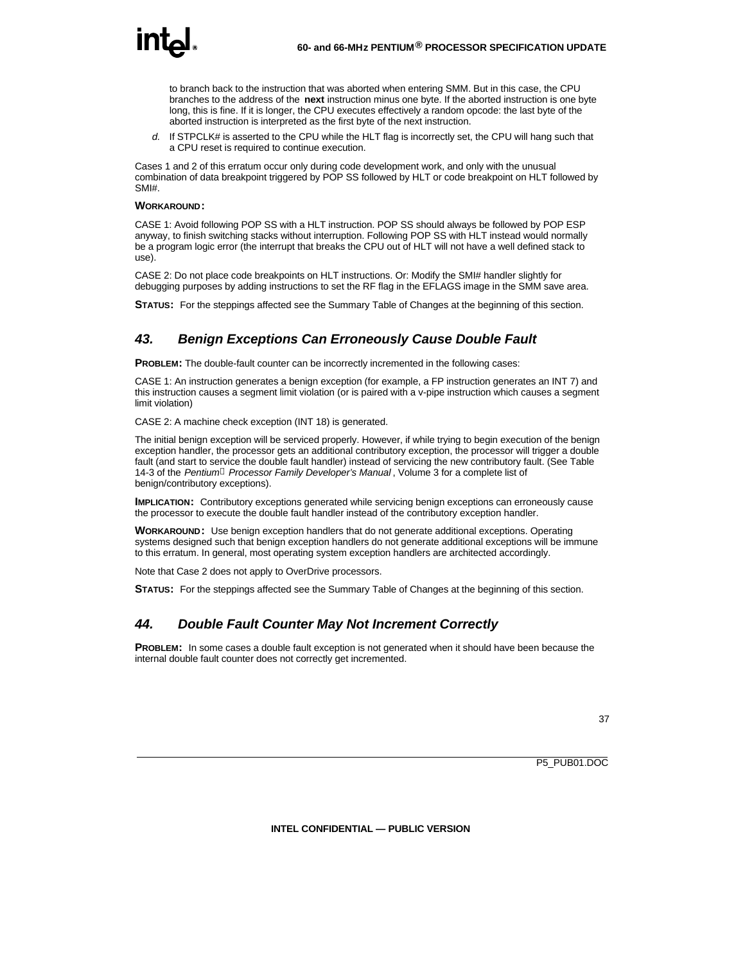

to branch back to the instruction that was aborted when entering SMM. But in this case, the CPU branches to the address of the **next** instruction minus one byte. If the aborted instruction is one byte long, this is fine. If it is longer, the CPU executes effectively a random opcode: the last byte of the aborted instruction is interpreted as the first byte of the next instruction.

*d.* If STPCLK# is asserted to the CPU while the HLT flag is incorrectly set, the CPU will hang such that a CPU reset is required to continue execution.

Cases 1 and 2 of this erratum occur only during code development work, and only with the unusual combination of data breakpoint triggered by POP SS followed by HLT or code breakpoint on HLT followed by SMI#.

#### **WORKAROUND:**

CASE 1: Avoid following POP SS with a HLT instruction. POP SS should always be followed by POP ESP anyway, to finish switching stacks without interruption. Following POP SS with HLT instead would normally be a program logic error (the interrupt that breaks the CPU out of HLT will not have a well defined stack to use).

CASE 2: Do not place code breakpoints on HLT instructions. Or: Modify the SMI# handler slightly for debugging purposes by adding instructions to set the RF flag in the EFLAGS image in the SMM save area.

**STATUS:** For the steppings affected see the Summary Table of Changes at the beginning of this section.

#### *43. Benign Exceptions Can Erroneously Cause Double Fault*

**PROBLEM:** The double-fault counter can be incorrectly incremented in the following cases:

CASE 1: An instruction generates a benign exception (for example, a FP instruction generates an INT 7) and this instruction causes a segment limit violation (or is paired with a v-pipe instruction which causes a segment limit violation)

CASE 2: A machine check exception (INT 18) is generated.

The initial benign exception will be serviced properly. However, if while trying to begin execution of the benign exception handler, the processor gets an additional contributory exception, the processor will trigger a double fault (and start to service the double fault handler) instead of servicing the new contributory fault. (See Table 14-3 of the *Pentiumâ Processor Family Developer's Manual* , Volume 3 for a complete list of benign/contributory exceptions).

**IMPLICATION:** Contributory exceptions generated while servicing benign exceptions can erroneously cause the processor to execute the double fault handler instead of the contributory exception handler.

**WORKAROUND:** Use benign exception handlers that do not generate additional exceptions. Operating systems designed such that benign exception handlers do not generate additional exceptions will be immune to this erratum. In general, most operating system exception handlers are architected accordingly.

Note that Case 2 does not apply to OverDrive processors.

**STATUS:** For the steppings affected see the Summary Table of Changes at the beginning of this section.

#### *44. Double Fault Counter May Not Increment Correctly*

**PROBLEM:** In some cases a double fault exception is not generated when it should have been because the internal double fault counter does not correctly get incremented.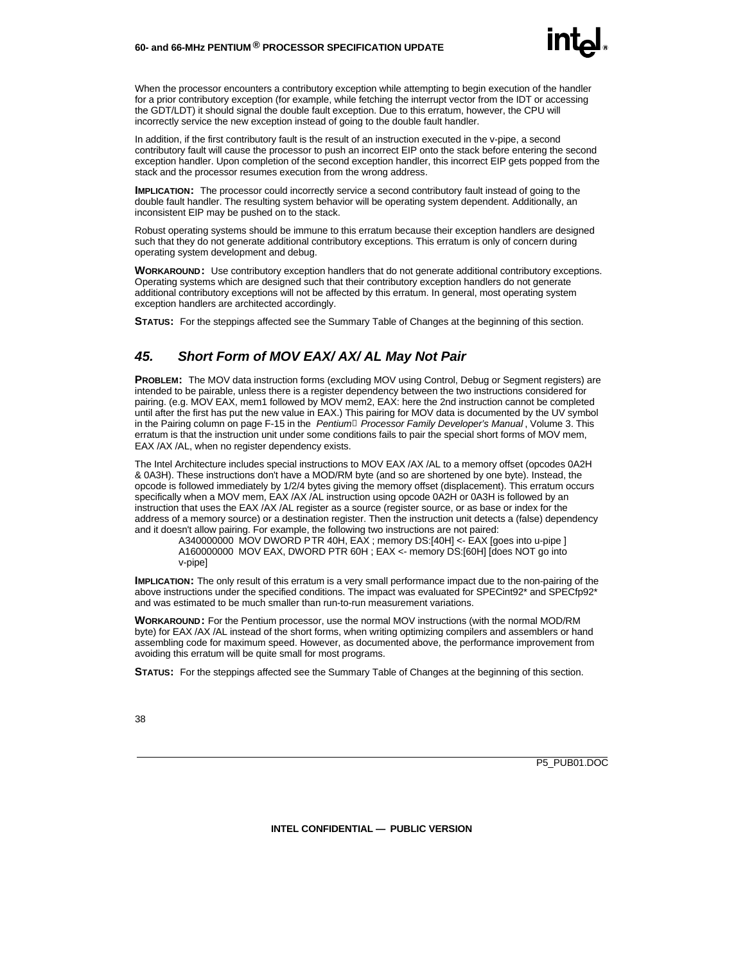

When the processor encounters a contributory exception while attempting to begin execution of the handler for a prior contributory exception (for example, while fetching the interrupt vector from the IDT or accessing the GDT/LDT) it should signal the double fault exception. Due to this erratum, however, the CPU will incorrectly service the new exception instead of going to the double fault handler.

In addition, if the first contributory fault is the result of an instruction executed in the v-pipe, a second contributory fault will cause the processor to push an incorrect EIP onto the stack before entering the second exception handler. Upon completion of the second exception handler, this incorrect EIP gets popped from the stack and the processor resumes execution from the wrong address.

**IMPLICATION:** The processor could incorrectly service a second contributory fault instead of going to the double fault handler. The resulting system behavior will be operating system dependent. Additionally, an inconsistent EIP may be pushed on to the stack.

Robust operating systems should be immune to this erratum because their exception handlers are designed such that they do not generate additional contributory exceptions. This erratum is only of concern during operating system development and debug.

**WORKAROUND:** Use contributory exception handlers that do not generate additional contributory exceptions. Operating systems which are designed such that their contributory exception handlers do not generate additional contributory exceptions will not be affected by this erratum. In general, most operating system exception handlers are architected accordingly.

**STATUS:** For the steppings affected see the Summary Table of Changes at the beginning of this section.

#### *45. Short Form of MOV EAX/ AX/ AL May Not Pair*

**PROBLEM:** The MOV data instruction forms (excluding MOV using Control, Debug or Segment registers) are intended to be pairable, unless there is a register dependency between the two instructions considered for pairing. (e.g. MOV EAX, mem1 followed by MOV mem2, EAX: here the 2nd instruction cannot be completed until after the first has put the new value in EAX.) This pairing for MOV data is documented by the UV symbol in the Pairing column on page F-15 in the *Pentiumâ Processor Family Developer's Manual* , Volume 3. This erratum is that the instruction unit under some conditions fails to pair the special short forms of MOV mem, EAX /AX /AL, when no register dependency exists.

The Intel Architecture includes special instructions to MOV EAX /AX /AL to a memory offset (opcodes 0A2H & 0A3H). These instructions don't have a MOD/RM byte (and so are shortened by one byte). Instead, the opcode is followed immediately by 1/2/4 bytes giving the memory offset (displacement). This erratum occurs specifically when a MOV mem, EAX /AX /AL instruction using opcode 0A2H or 0A3H is followed by an instruction that uses the EAX /AX /AL register as a source (register source, or as base or index for the address of a memory source) or a destination register. Then the instruction unit detects a (false) dependency and it doesn't allow pairing. For example, the following two instructions are not paired:

A340000000 MOV DWORD PTR 40H, EAX ; memory DS:[40H] <- EAX [goes into u-pipe ] A160000000 MOV EAX, DWORD PTR 60H ; EAX <- memory DS:[60H] [does NOT go into v-pipe]

**IMPLICATION:** The only result of this erratum is a very small performance impact due to the non-pairing of the above instructions under the specified conditions. The impact was evaluated for SPECint92\* and SPECfp92\* and was estimated to be much smaller than run-to-run measurement variations.

**WORKAROUND:** For the Pentium processor, use the normal MOV instructions (with the normal MOD/RM byte) for EAX /AX /AL instead of the short forms, when writing optimizing compilers and assemblers or hand assembling code for maximum speed. However, as documented above, the performance improvement from avoiding this erratum will be quite small for most programs.

**STATUS:** For the steppings affected see the Summary Table of Changes at the beginning of this section.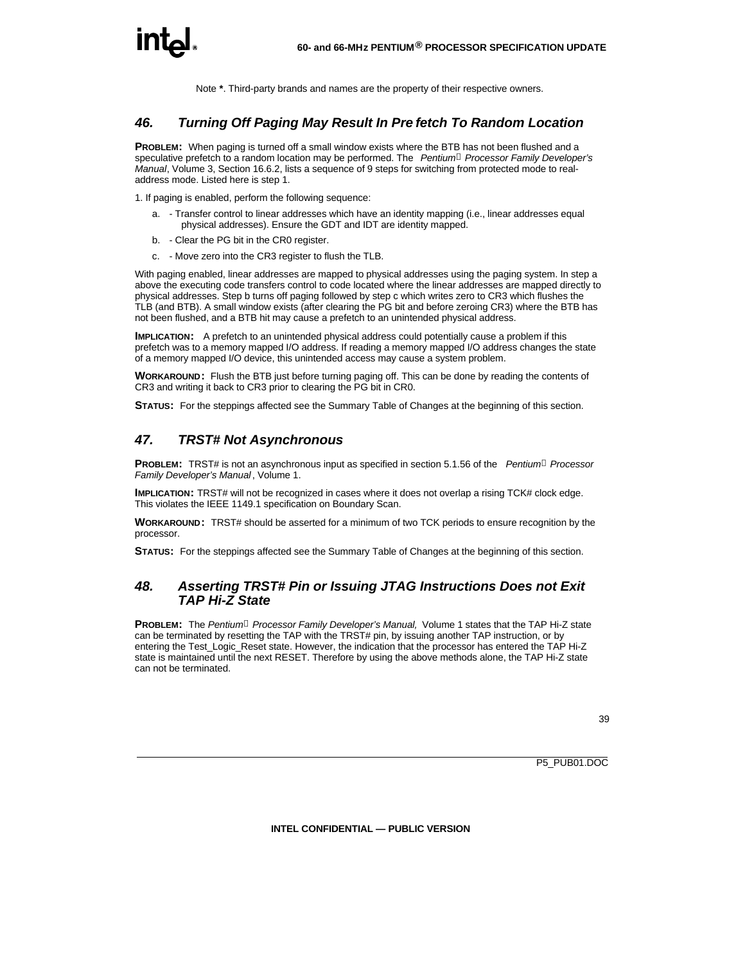Note **\***. Third-party brands and names are the property of their respective owners.

#### *46. Turning Off Paging May Result In Pre fetch To Random Location*

**PROBLEM:** When paging is turned off a small window exists where the BTB has not been flushed and a speculative prefetch to a random location may be performed. The *Pentiumâ Processor Family Developer's Manual*, Volume 3, Section 16.6.2, lists a sequence of 9 steps for switching from protected mode to realaddress mode. Listed here is step 1.

1. If paging is enabled, perform the following sequence:

- a. Transfer control to linear addresses which have an identity mapping (i.e., linear addresses equal physical addresses). Ensure the GDT and IDT are identity mapped.
- b. Clear the PG bit in the CR0 register.
- c. Move zero into the CR3 register to flush the TLB.

With paging enabled, linear addresses are mapped to physical addresses using the paging system. In step a above the executing code transfers control to code located where the linear addresses are mapped directly to physical addresses. Step b turns off paging followed by step c which writes zero to CR3 which flushes the TLB (and BTB). A small window exists (after clearing the PG bit and before zeroing CR3) where the BTB has not been flushed, and a BTB hit may cause a prefetch to an unintended physical address.

**IMPLICATION:** A prefetch to an unintended physical address could potentially cause a problem if this prefetch was to a memory mapped I/O address. If reading a memory mapped I/O address changes the state of a memory mapped I/O device, this unintended access may cause a system problem.

**WORKAROUND:** Flush the BTB just before turning paging off. This can be done by reading the contents of CR3 and writing it back to CR3 prior to clearing the PG bit in CR0.

**STATUS:** For the steppings affected see the Summary Table of Changes at the beginning of this section.

#### *47. TRST# Not Asynchronous*

**PROBLEM:** TRST# is not an asynchronous input as specified in section 5.1.56 of the *Pentium<sup>â</sup> Processor Family Developer's Manual* , Volume 1.

**IMPLICATION:** TRST# will not be recognized in cases where it does not overlap a rising TCK# clock edge. This violates the IEEE 1149.1 specification on Boundary Scan.

**WORKAROUND:** TRST# should be asserted for a minimum of two TCK periods to ensure recognition by the processor.

**STATUS:** For the steppings affected see the Summary Table of Changes at the beginning of this section.

#### *48. Asserting TRST# Pin or Issuing JTAG Instructions Does not Exit TAP Hi-Z State*

**PROBLEM:** The *Pentium<sup>â</sup> Processor Family Developer's Manual,* Volume 1 states that the TAP Hi-Z state can be terminated by resetting the TAP with the TRST# pin, by issuing another TAP instruction, or by entering the Test\_Logic\_Reset state. However, the indication that the processor has entered the TAP Hi-Z state is maintained until the next RESET. Therefore by using the above methods alone, the TAP Hi-Z state can not be terminated.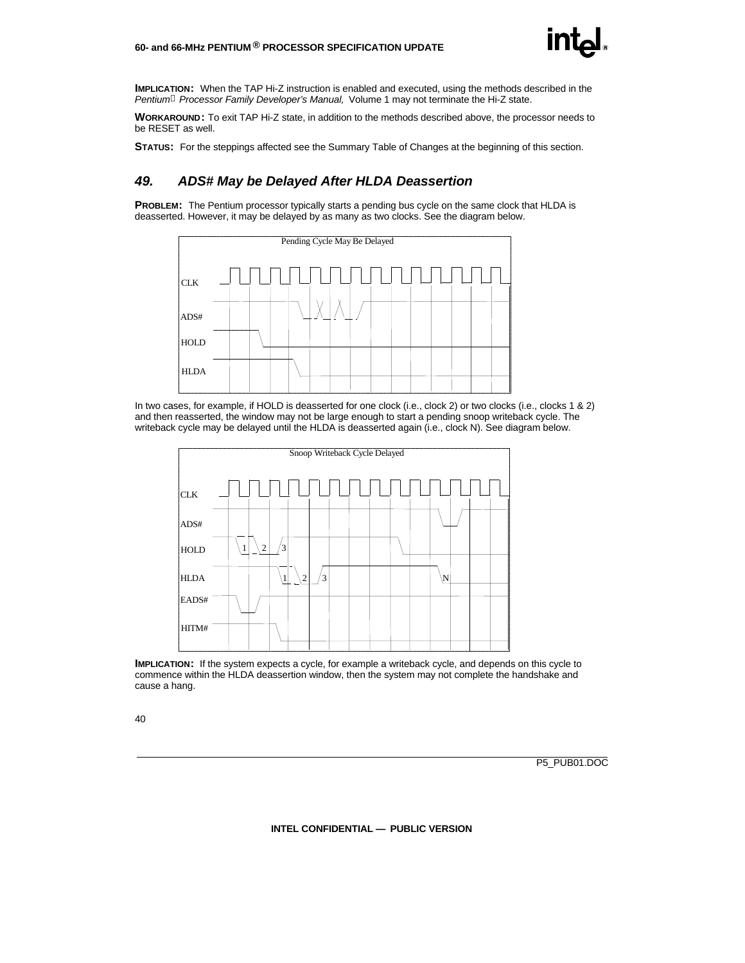

**IMPLICATION:** When the TAP Hi-Z instruction is enabled and executed, using the methods described in the *Pentiumâ Processor Family Developer's Manual,* Volume 1 may not terminate the Hi-Z state.

**WORKAROUND:** To exit TAP Hi-Z state, in addition to the methods described above, the processor needs to be RESET as well.

**STATUS:** For the steppings affected see the Summary Table of Changes at the beginning of this section.

#### *49. ADS# May be Delayed After HLDA Deassertion*

**PROBLEM:** The Pentium processor typically starts a pending bus cycle on the same clock that HLDA is deasserted. However, it may be delayed by as many as two clocks. See the diagram below.



In two cases, for example, if HOLD is deasserted for one clock (i.e., clock 2) or two clocks (i.e., clocks 1 & 2) and then reasserted, the window may not be large enough to start a pending snoop writeback cycle. The writeback cycle may be delayed until the HLDA is deasserted again (i.e., clock N). See diagram below.



**IMPLICATION:** If the system expects a cycle, for example a writeback cycle, and depends on this cycle to commence within the HLDA deassertion window, then the system may not complete the handshake and cause a hang.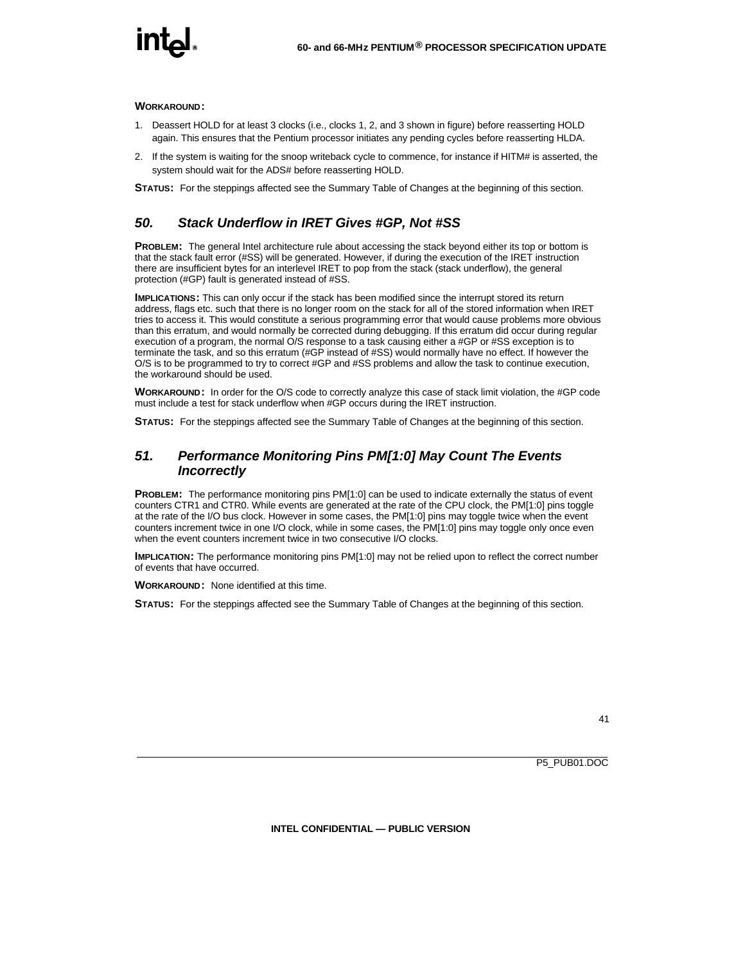#### **WORKAROUND:**

- 1. Deassert HOLD for at least 3 clocks (i.e., clocks 1, 2, and 3 shown in figure) before reasserting HOLD again. This ensures that the Pentium processor initiates any pending cycles before reasserting HLDA.
- 2. If the system is waiting for the snoop writeback cycle to commence, for instance if HITM# is asserted, the system should wait for the ADS# before reasserting HOLD.

**STATUS:** For the steppings affected see the Summary Table of Changes at the beginning of this section.

#### *50. Stack Underflow in IRET Gives #GP, Not #SS*

**PROBLEM:** The general Intel architecture rule about accessing the stack beyond either its top or bottom is that the stack fault error (#SS) will be generated. However, if during the execution of the IRET instruction there are insufficient bytes for an interlevel IRET to pop from the stack (stack underflow), the general protection (#GP) fault is generated instead of #SS.

**IMPLICATIONS:** This can only occur if the stack has been modified since the interrupt stored its return address, flags etc. such that there is no longer room on the stack for all of the stored information when IRET tries to access it. This would constitute a serious programming error that would cause problems more obvious than this erratum, and would normally be corrected during debugging. If this erratum did occur during regular execution of a program, the normal O/S response to a task causing either a #GP or #SS exception is to terminate the task, and so this erratum (#GP instead of #SS) would normally have no effect. If however the O/S is to be programmed to try to correct #GP and #SS problems and allow the task to continue execution, the workaround should be used.

**WORKAROUND:** In order for the O/S code to correctly analyze this case of stack limit violation, the #GP code must include a test for stack underflow when #GP occurs during the IRET instruction.

**STATUS:** For the steppings affected see the Summary Table of Changes at the beginning of this section.

#### *51. Performance Monitoring Pins PM[1:0] May Count The Events Incorrectly*

**PROBLEM:** The performance monitoring pins PM[1:0] can be used to indicate externally the status of event counters CTR1 and CTR0. While events are generated at the rate of the CPU clock, the PM[1:0] pins toggle at the rate of the I/O bus clock. However in some cases, the PM[1:0] pins may toggle twice when the event counters increment twice in one I/O clock, while in some cases, the PM[1:0] pins may toggle only once even when the event counters increment twice in two consecutive I/O clocks.

**IMPLICATION:** The performance monitoring pins PM[1:0] may not be relied upon to reflect the correct number of events that have occurred.

**WORKAROUND:** None identified at this time.

**STATUS:** For the steppings affected see the Summary Table of Changes at the beginning of this section.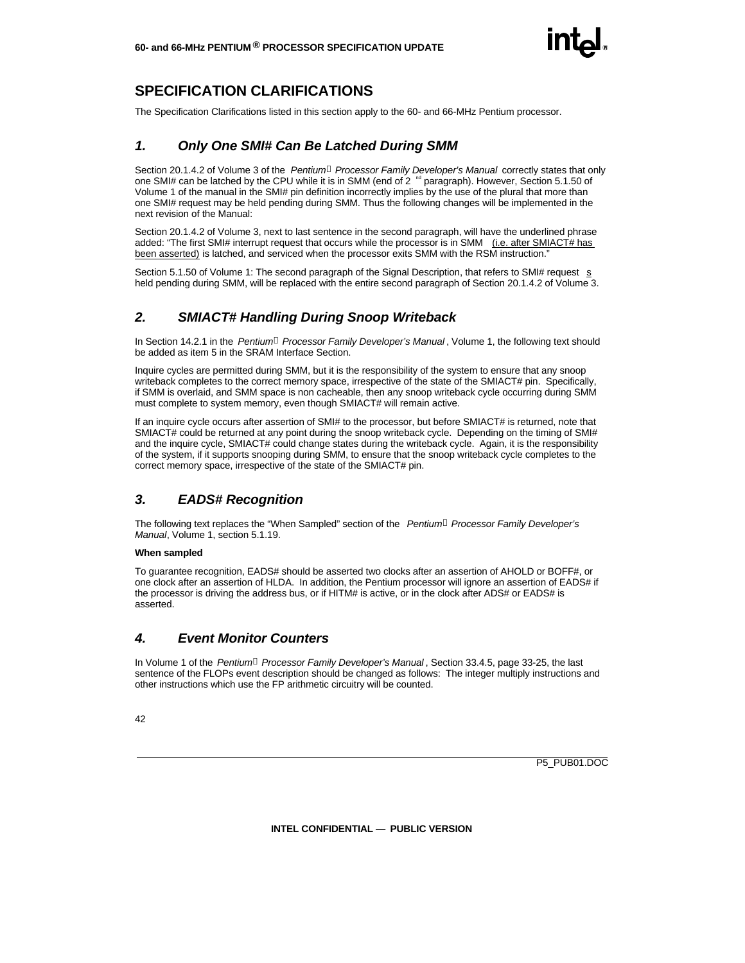

#### **SPECIFICATION CLARIFICATIONS**

The Specification Clarifications listed in this section apply to the 60- and 66-MHz Pentium processor.

#### *1. Only One SMI# Can Be Latched During SMM*

Section 20.1.4.2 of Volume 3 of the *Pentiumâ Processor Family Developer's Manual* correctly states that only one SMI# can be latched by the CPU while it is in SMM (end of  $2<sup>nd</sup>$  paragraph). However, Section 5.1.50 of Volume 1 of the manual in the SMI# pin definition incorrectly implies by the use of the plural that more than one SMI# request may be held pending during SMM. Thus the following changes will be implemented in the next revision of the Manual:

Section 20.1.4.2 of Volume 3, next to last sentence in the second paragraph, will have the underlined phrase added: "The first SMI# interrupt request that occurs while the processor is in SMM (i.e. after SMIACT# has been asserted) is latched, and serviced when the processor exits SMM with the RSM instruction."

Section 5.1.50 of Volume 1: The second paragraph of the Signal Description, that refers to SMI# request s held pending during SMM, will be replaced with the entire second paragraph of Section 20.1.4.2 of Volume 3.

#### *2. SMIACT# Handling During Snoop Writeback*

In Section 14.2.1 in the *Pentiumâ Processor Family Developer's Manual* , Volume 1, the following text should be added as item 5 in the SRAM Interface Section.

Inquire cycles are permitted during SMM, but it is the responsibility of the system to ensure that any snoop writeback completes to the correct memory space, irrespective of the state of the SMIACT# pin. Specifically, if SMM is overlaid, and SMM space is non cacheable, then any snoop writeback cycle occurring during SMM must complete to system memory, even though SMIACT# will remain active.

If an inquire cycle occurs after assertion of SMI# to the processor, but before SMIACT# is returned, note that SMIACT# could be returned at any point during the snoop writeback cycle. Depending on the timing of SMI# and the inquire cycle, SMIACT# could change states during the writeback cycle. Again, it is the responsibility of the system, if it supports snooping during SMM, to ensure that the snoop writeback cycle completes to the correct memory space, irrespective of the state of the SMIACT# pin.

#### *3. EADS# Recognition*

The following text replaces the "When Sampled" section of the *Pentiumâ Processor Family Developer's Manual*, Volume 1, section 5.1.19.

#### **When sampled**

To guarantee recognition, EADS# should be asserted two clocks after an assertion of AHOLD or BOFF#, or one clock after an assertion of HLDA. In addition, the Pentium processor will ignore an assertion of EADS# if the processor is driving the address bus, or if HITM# is active, or in the clock after ADS# or EADS# is asserted.

#### *4. Event Monitor Counters*

In Volume 1 of the *Pentiumâ Processor Family Developer's Manual* , Section 33.4.5, page 33-25, the last sentence of the FLOPs event description should be changed as follows: The integer multiply instructions and other instructions which use the FP arithmetic circuitry will be counted.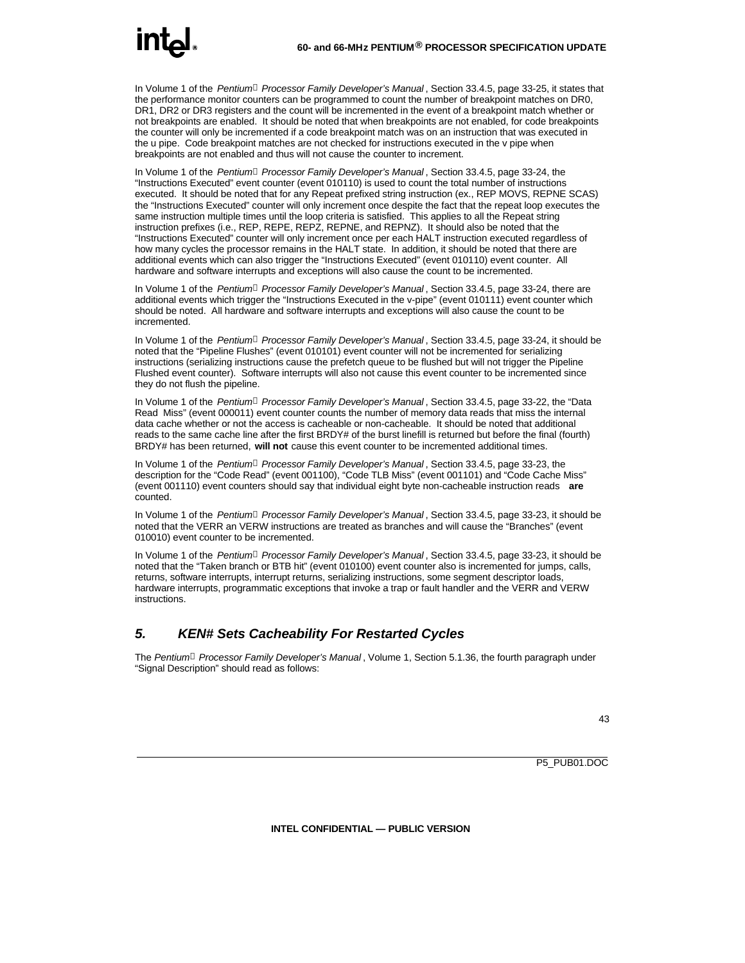In Volume 1 of the *Pentiumâ Processor Family Developer's Manual* , Section 33.4.5, page 33-25, it states that the performance monitor counters can be programmed to count the number of breakpoint matches on DR0, DR1, DR2 or DR3 registers and the count will be incremented in the event of a breakpoint match whether or not breakpoints are enabled. It should be noted that when breakpoints are not enabled, for code breakpoints the counter will only be incremented if a code breakpoint match was on an instruction that was executed in the u pipe. Code breakpoint matches are not checked for instructions executed in the v pipe when breakpoints are not enabled and thus will not cause the counter to increment.

In Volume 1 of the *Pentiumâ Processor Family Developer's Manual* , Section 33.4.5, page 33-24, the "Instructions Executed" event counter (event 010110) is used to count the total number of instructions executed. It should be noted that for any Repeat prefixed string instruction (ex., REP MOVS, REPNE SCAS) the "Instructions Executed" counter will only increment once despite the fact that the repeat loop executes the same instruction multiple times until the loop criteria is satisfied. This applies to all the Repeat string instruction prefixes (i.e., REP, REPE, REPZ, REPNE, and REPNZ). It should also be noted that the "Instructions Executed" counter will only increment once per each HALT instruction executed regardless of how many cycles the processor remains in the HALT state. In addition, it should be noted that there are additional events which can also trigger the "Instructions Executed" (event 010110) event counter. All hardware and software interrupts and exceptions will also cause the count to be incremented.

In Volume 1 of the *Pentiumâ Processor Family Developer's Manual* , Section 33.4.5, page 33-24, there are additional events which trigger the "Instructions Executed in the v-pipe" (event 010111) event counter which should be noted. All hardware and software interrupts and exceptions will also cause the count to be incremented.

In Volume 1 of the *Pentiumâ Processor Family Developer's Manual* , Section 33.4.5, page 33-24, it should be noted that the "Pipeline Flushes" (event 010101) event counter will not be incremented for serializing instructions (serializing instructions cause the prefetch queue to be flushed but will not trigger the Pipeline Flushed event counter). Software interrupts will also not cause this event counter to be incremented since they do not flush the pipeline.

In Volume 1 of the *Pentiumâ Processor Family Developer's Manual* , Section 33.4.5, page 33-22, the "Data Read Miss" (event 000011) event counter counts the number of memory data reads that miss the internal data cache whether or not the access is cacheable or non-cacheable. It should be noted that additional reads to the same cache line after the first BRDY# of the burst linefill is returned but before the final (fourth) BRDY# has been returned, **will not** cause this event counter to be incremented additional times.

In Volume 1 of the *Pentiumâ Processor Family Developer's Manual* , Section 33.4.5, page 33-23, the description for the "Code Read" (event 001100), "Code TLB Miss" (event 001101) and "Code Cache Miss" (event 001110) event counters should say that individual eight byte non-cacheable instruction reads **are** counted.

In Volume 1 of the *Pentiumâ Processor Family Developer's Manual* , Section 33.4.5, page 33-23, it should be noted that the VERR an VERW instructions are treated as branches and will cause the "Branches" (event 010010) event counter to be incremented.

In Volume 1 of the *Pentiumâ Processor Family Developer's Manual* , Section 33.4.5, page 33-23, it should be noted that the "Taken branch or BTB hit" (event 010100) event counter also is incremented for jumps, calls, returns, software interrupts, interrupt returns, serializing instructions, some segment descriptor loads, hardware interrupts, programmatic exceptions that invoke a trap or fault handler and the VERR and VERW instructions.

#### *5. KEN# Sets Cacheability For Restarted Cycles*

The *Pentiumâ Processor Family Developer's Manual* , Volume 1, Section 5.1.36, the fourth paragraph under "Signal Description" should read as follows: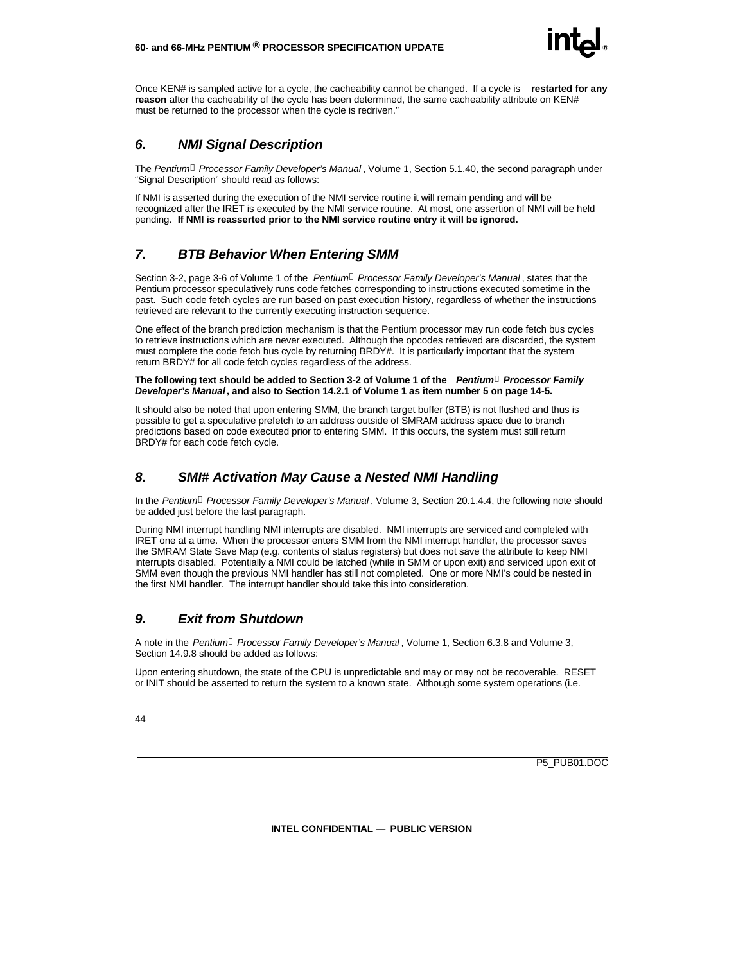

Once KEN# is sampled active for a cycle, the cacheability cannot be changed. If a cycle is **restarted for any reason** after the cacheability of the cycle has been determined, the same cacheability attribute on KEN# must be returned to the processor when the cycle is redriven."

#### *6. NMI Signal Description*

The *Pentiumâ Processor Family Developer's Manual* , Volume 1, Section 5.1.40, the second paragraph under "Signal Description" should read as follows:

If NMI is asserted during the execution of the NMI service routine it will remain pending and will be recognized after the IRET is executed by the NMI service routine. At most, one assertion of NMI will be held pending. **If NMI is reasserted prior to the NMI service routine entry it will be ignored.**

#### *7. BTB Behavior When Entering SMM*

Section 3-2, page 3-6 of Volume 1 of the *Pentiumâ Processor Family Developer's Manual* , states that the Pentium processor speculatively runs code fetches corresponding to instructions executed sometime in the past. Such code fetch cycles are run based on past execution history, regardless of whether the instructions retrieved are relevant to the currently executing instruction sequence.

One effect of the branch prediction mechanism is that the Pentium processor may run code fetch bus cycles to retrieve instructions which are never executed. Although the opcodes retrieved are discarded, the system must complete the code fetch bus cycle by returning BRDY#. It is particularly important that the system return BRDY# for all code fetch cycles regardless of the address.

#### **The following text should be added to Section 3-2 of Volume 1 of the** *Pentiumâ Processor Family Developer's Manual***, and also to Section 14.2.1 of Volume 1 as item number 5 on page 14-5.**

It should also be noted that upon entering SMM, the branch target buffer (BTB) is not flushed and thus is possible to get a speculative prefetch to an address outside of SMRAM address space due to branch predictions based on code executed prior to entering SMM. If this occurs, the system must still return BRDY# for each code fetch cycle.

#### *8. SMI# Activation May Cause a Nested NMI Handling*

In the *Pentiumâ Processor Family Developer's Manual* , Volume 3, Section 20.1.4.4, the following note should be added just before the last paragraph.

During NMI interrupt handling NMI interrupts are disabled. NMI interrupts are serviced and completed with IRET one at a time. When the processor enters SMM from the NMI interrupt handler, the processor saves the SMRAM State Save Map (e.g. contents of status registers) but does not save the attribute to keep NMI interrupts disabled. Potentially a NMI could be latched (while in SMM or upon exit) and serviced upon exit of SMM even though the previous NMI handler has still not completed. One or more NMI's could be nested in the first NMI handler. The interrupt handler should take this into consideration.

#### *9. Exit from Shutdown*

A note in the *Pentiumâ Processor Family Developer's Manual* , Volume 1, Section 6.3.8 and Volume 3, Section 14.9.8 should be added as follows:

Upon entering shutdown, the state of the CPU is unpredictable and may or may not be recoverable. RESET or INIT should be asserted to return the system to a known state. Although some system operations (i.e.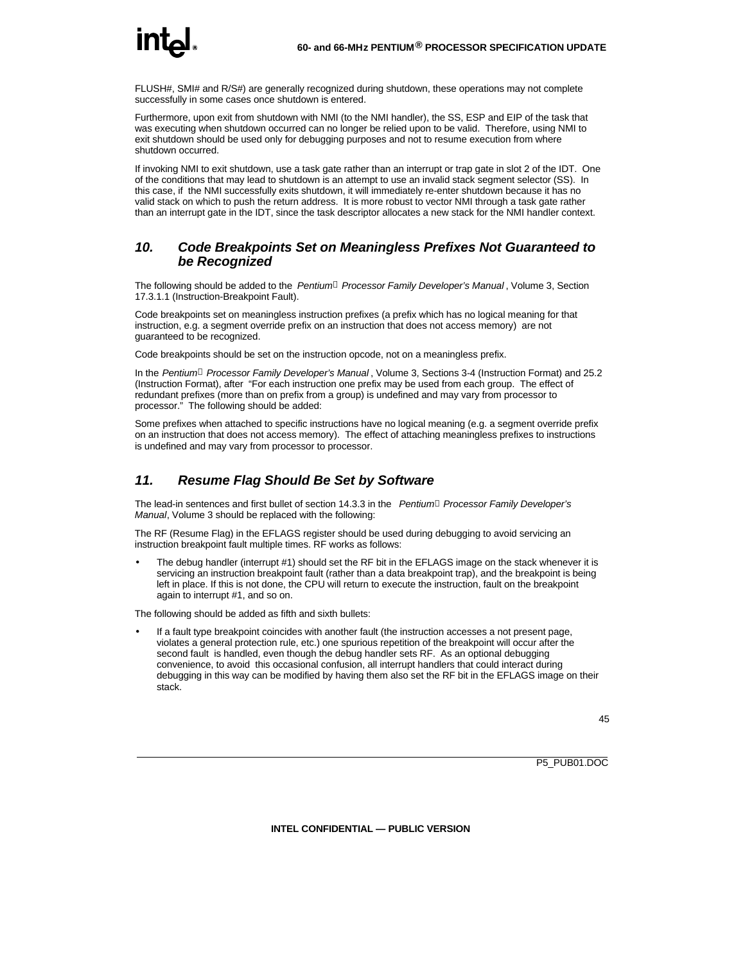FLUSH#, SMI# and R/S#) are generally recognized during shutdown, these operations may not complete successfully in some cases once shutdown is entered.

Furthermore, upon exit from shutdown with NMI (to the NMI handler), the SS, ESP and EIP of the task that was executing when shutdown occurred can no longer be relied upon to be valid. Therefore, using NMI to exit shutdown should be used only for debugging purposes and not to resume execution from where shutdown occurred.

If invoking NMI to exit shutdown, use a task gate rather than an interrupt or trap gate in slot 2 of the IDT. One of the conditions that may lead to shutdown is an attempt to use an invalid stack segment selector (SS). In this case, if the NMI successfully exits shutdown, it will immediately re-enter shutdown because it has no valid stack on which to push the return address. It is more robust to vector NMI through a task gate rather than an interrupt gate in the IDT, since the task descriptor allocates a new stack for the NMI handler context.

#### *10. Code Breakpoints Set on Meaningless Prefixes Not Guaranteed to be Recognized*

The following should be added to the *Pentiumâ Processor Family Developer's Manual* , Volume 3, Section 17.3.1.1 (Instruction-Breakpoint Fault).

Code breakpoints set on meaningless instruction prefixes (a prefix which has no logical meaning for that instruction, e.g. a segment override prefix on an instruction that does not access memory) are not guaranteed to be recognized.

Code breakpoints should be set on the instruction opcode, not on a meaningless prefix.

In the *Pentiumâ Processor Family Developer's Manual* , Volume 3, Sections 3-4 (Instruction Format) and 25.2 (Instruction Format), after "For each instruction one prefix may be used from each group. The effect of redundant prefixes (more than on prefix from a group) is undefined and may vary from processor to processor." The following should be added:

Some prefixes when attached to specific instructions have no logical meaning (e.g. a segment override prefix on an instruction that does not access memory). The effect of attaching meaningless prefixes to instructions is undefined and may vary from processor to processor.

#### *11. Resume Flag Should Be Set by Software*

The lead-in sentences and first bullet of section 14.3.3 in the *Pentiumâ Processor Family Developer's Manual*, Volume 3 should be replaced with the following:

The RF (Resume Flag) in the EFLAGS register should be used during debugging to avoid servicing an instruction breakpoint fault multiple times. RF works as follows:

• The debug handler (interrupt #1) should set the RF bit in the EFLAGS image on the stack whenever it is servicing an instruction breakpoint fault (rather than a data breakpoint trap), and the breakpoint is being left in place. If this is not done, the CPU will return to execute the instruction, fault on the breakpoint again to interrupt #1, and so on.

The following should be added as fifth and sixth bullets:

• If a fault type breakpoint coincides with another fault (the instruction accesses a not present page, violates a general protection rule, etc.) one spurious repetition of the breakpoint will occur after the second fault is handled, even though the debug handler sets RF. As an optional debugging convenience, to avoid this occasional confusion, all interrupt handlers that could interact during debugging in this way can be modified by having them also set the RF bit in the EFLAGS image on their stack.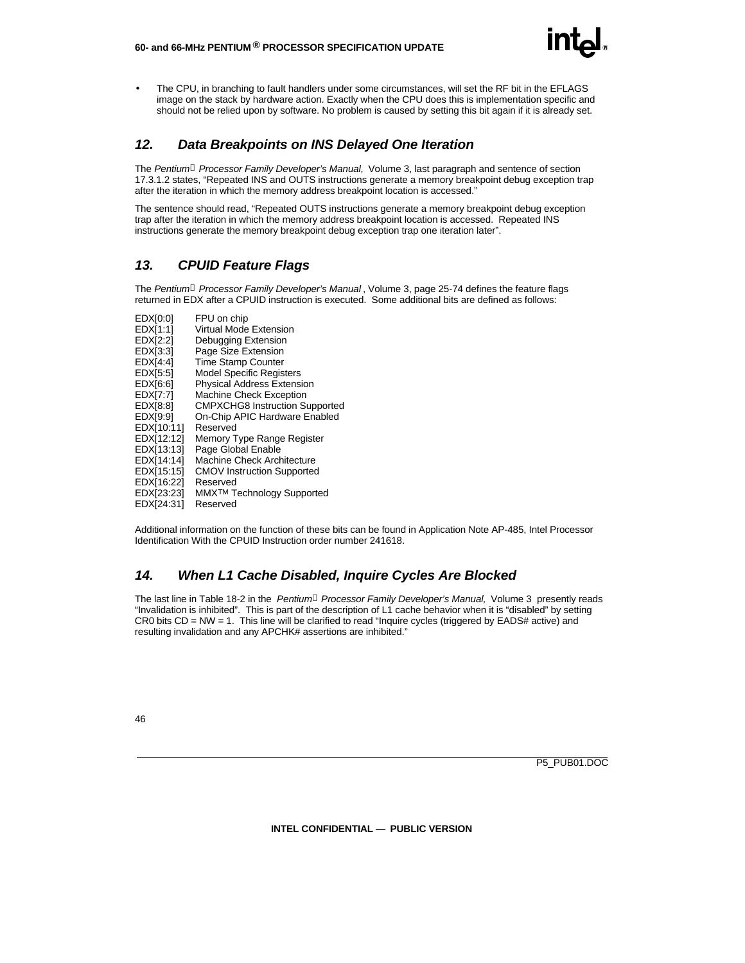- 
- The CPU, in branching to fault handlers under some circumstances, will set the RF bit in the EFLAGS image on the stack by hardware action. Exactly when the CPU does this is implementation specific and should not be relied upon by software. No problem is caused by setting this bit again if it is already set.

#### *12. Data Breakpoints on INS Delayed One Iteration*

The *Pentiumâ Processor Family Developer's Manual,* Volume 3, last paragraph and sentence of section 17.3.1.2 states, "Repeated INS and OUTS instructions generate a memory breakpoint debug exception trap after the iteration in which the memory address breakpoint location is accessed."

The sentence should read, "Repeated OUTS instructions generate a memory breakpoint debug exception trap after the iteration in which the memory address breakpoint location is accessed. Repeated INS instructions generate the memory breakpoint debug exception trap one iteration later".

#### *13. CPUID Feature Flags*

The *Pentiumâ Processor Family Developer's Manual* , Volume 3, page 25-74 defines the feature flags returned in EDX after a CPUID instruction is executed. Some additional bits are defined as follows:

EDX[0:0] FPU on chip<br>EDX[1:1] Virtual Mode EDX[1:1] Virtual Mode Extension<br>EDX[2:2] Debugging Extension EDX[2:2] Debugging Extension<br>EDX[3:3] Page Size Extension Page Size Extension EDX[4:4] Time Stamp Counter<br>EDX[5:5] Model Specific Regis EDX[5:5] Model Specific Registers<br>EDX[6:6] Physical Address Extens EDX[6:6] Physical Address Extension<br>EDX[7:7] Machine Check Exception EDX[7:7] Machine Check Exception<br>EDX[8:8] CMPXCHG8 Instruction S CMPXCHG8 Instruction Supported EDX[9:9] On-Chip APIC Hardware Enabled EDX[10:11] Reserved EDX[12:12] Memory Type Range Register EDX[13:13] Page Global Enable EDX[14:14] Machine Check Architecture EDX[15:15] CMOV Instruction Supported EDX[16:22] Reserved EDX[23:23] MMXTM Technology Supported EDX[24:31] Reserved

Additional information on the function of these bits can be found in Application Note AP-485, Intel Processor Identification With the CPUID Instruction order number 241618.

#### *14. When L1 Cache Disabled, Inquire Cycles Are Blocked*

The last line in Table 18-2 in the *Pentiumâ Processor Family Developer's Manual,* Volume 3 presently reads "Invalidation is inhibited". This is part of the description of L1 cache behavior when it is "disabled" by setting CR0 bits CD = NW = 1. This line will be clarified to read "Inquire cycles (triggered by EADS# active) and resulting invalidation and any APCHK# assertions are inhibited."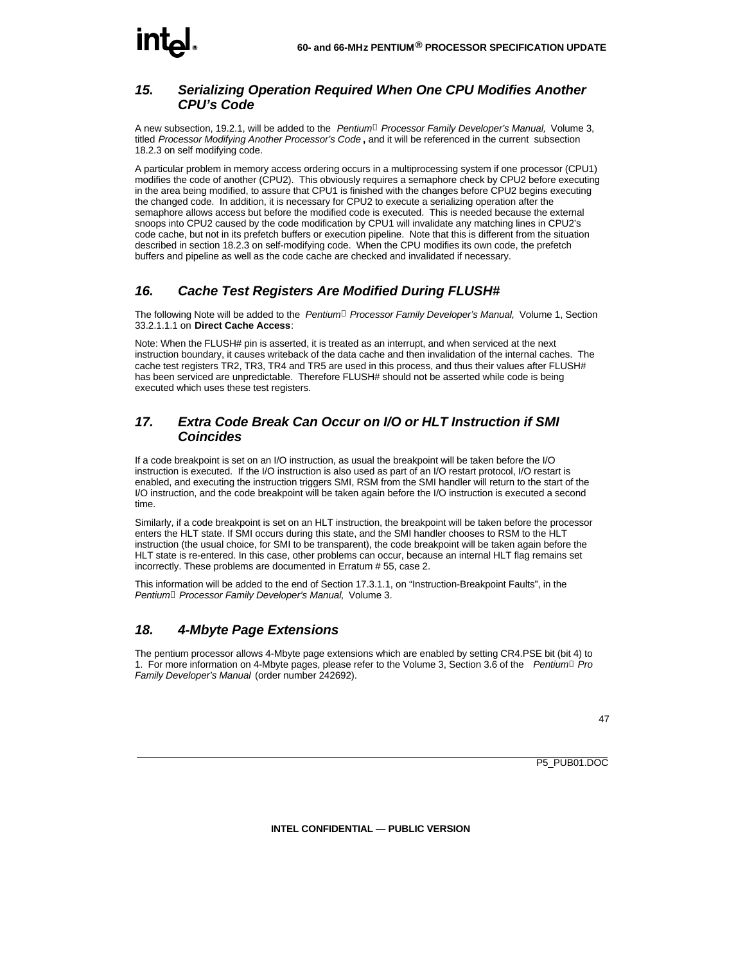## **int**

#### *15. Serializing Operation Required When One CPU Modifies Another CPU's Code*

A new subsection, 19.2.1, will be added to the *Pentiumâ Processor Family Developer's Manual,* Volume 3, titled *Processor Modifying Another Processor's Code* **,** and it will be referenced in the current subsection 18.2.3 on self modifying code.

A particular problem in memory access ordering occurs in a multiprocessing system if one processor (CPU1) modifies the code of another (CPU2). This obviously requires a semaphore check by CPU2 before executing in the area being modified, to assure that CPU1 is finished with the changes before CPU2 begins executing the changed code. In addition, it is necessary for CPU2 to execute a serializing operation after the semaphore allows access but before the modified code is executed. This is needed because the external snoops into CPU2 caused by the code modification by CPU1 will invalidate any matching lines in CPU2's code cache, but not in its prefetch buffers or execution pipeline. Note that this is different from the situation described in section 18.2.3 on self-modifying code. When the CPU modifies its own code, the prefetch buffers and pipeline as well as the code cache are checked and invalidated if necessary.

#### *16. Cache Test Registers Are Modified During FLUSH#*

The following Note will be added to the *Pentiumâ Processor Family Developer's Manual,* Volume 1, Section 33.2.1.1.1 on **Direct Cache Access**:

Note: When the FLUSH# pin is asserted, it is treated as an interrupt, and when serviced at the next instruction boundary, it causes writeback of the data cache and then invalidation of the internal caches. The cache test registers TR2, TR3, TR4 and TR5 are used in this process, and thus their values after FLUSH# has been serviced are unpredictable. Therefore FLUSH# should not be asserted while code is being executed which uses these test registers.

#### *17. Extra Code Break Can Occur on I/O or HLT Instruction if SMI Coincides*

If a code breakpoint is set on an I/O instruction, as usual the breakpoint will be taken before the I/O instruction is executed. If the I/O instruction is also used as part of an I/O restart protocol, I/O restart is enabled, and executing the instruction triggers SMI, RSM from the SMI handler will return to the start of the I/O instruction, and the code breakpoint will be taken again before the I/O instruction is executed a second time.

Similarly, if a code breakpoint is set on an HLT instruction, the breakpoint will be taken before the processor enters the HLT state. If SMI occurs during this state, and the SMI handler chooses to RSM to the HLT instruction (the usual choice, for SMI to be transparent), the code breakpoint will be taken again before the HLT state is re-entered. In this case, other problems can occur, because an internal HLT flag remains set incorrectly. These problems are documented in Erratum # 55, case 2.

This information will be added to the end of Section 17.3.1.1, on "Instruction-Breakpoint Faults", in the *Pentiumâ Processor Family Developer's Manual,* Volume 3.

#### *18. 4-Mbyte Page Extensions*

The pentium processor allows 4-Mbyte page extensions which are enabled by setting CR4.PSE bit (bit 4) to 1. For more information on 4-Mbyte pages, please refer to the Volume 3, Section 3.6 of the *Pentiumâ Pro Family Developer's Manual* (order number 242692).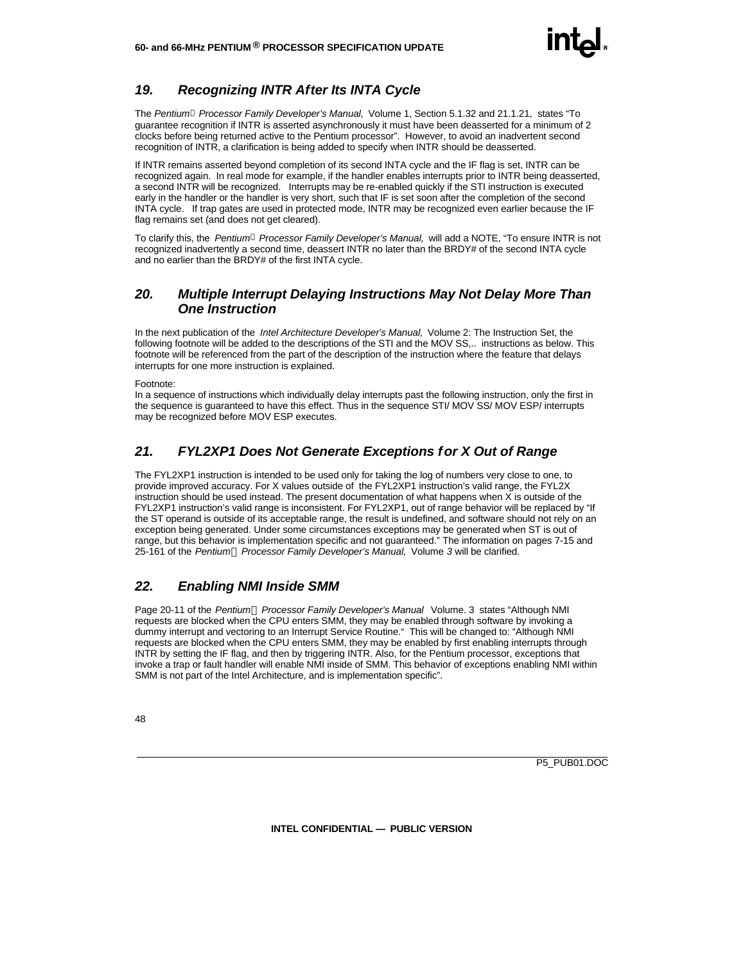#### *19. Recognizing INTR After Its INTA Cycle*

The *Pentiumâ Processor Family Developer's Manual,* Volume 1, Section 5.1.32 and 21.1.21, states "To guarantee recognition if INTR is asserted asynchronously it must have been deasserted for a minimum of 2 clocks before being returned active to the Pentium processor". However, to avoid an inadvertent second recognition of INTR, a clarification is being added to specify when INTR should be deasserted.

If INTR remains asserted beyond completion of its second INTA cycle and the IF flag is set, INTR can be recognized again. In real mode for example, if the handler enables interrupts prior to INTR being deasserted, a second INTR will be recognized. Interrupts may be re-enabled quickly if the STI instruction is executed early in the handler or the handler is very short, such that IF is set soon after the completion of the second INTA cycle. If trap gates are used in protected mode, INTR may be recognized even earlier because the IF flag remains set (and does not get cleared).

To clarify this, the *Pentiumâ Processor Family Developer's Manual,* will add a NOTE, "To ensure INTR is not recognized inadvertently a second time, deassert INTR no later than the BRDY# of the second INTA cycle and no earlier than the BRDY# of the first INTA cycle.

#### *20. Multiple Interrupt Delaying Instructions May Not Delay More Than One Instruction*

In the next publication of the *Intel Architecture Developer's Manual,* Volume 2: The Instruction Set, the following footnote will be added to the descriptions of the STI and the MOV SS,.. instructions as below. This footnote will be referenced from the part of the description of the instruction where the feature that delays interrupts for one more instruction is explained.

#### Footnote:

In a sequence of instructions which individually delay interrupts past the following instruction, only the first in the sequence is guaranteed to have this effect. Thus in the sequence STI/ MOV SS/ MOV ESP/ interrupts may be recognized before MOV ESP executes.

#### *21. FYL2XP1 Does Not Generate Exceptions for X Out of Range*

The FYL2XP1 instruction is intended to be used only for taking the log of numbers very close to one, to provide improved accuracy. For X values outside of the FYL2XP1 instruction's valid range, the FYL2X instruction should be used instead. The present documentation of what happens when X is outside of the FYL2XP1 instruction's valid range is inconsistent. For FYL2XP1, out of range behavior will be replaced by "If the ST operand is outside of its acceptable range, the result is undefined, and software should not rely on an exception being generated. Under some circumstances exceptions may be generated when ST is out of range, but this behavior is implementation specific and not guaranteed." The information on pages 7-15 and 25-161 of the *PentiumÒ Processor Family Developer's Manual,* Volume *3* will be clarified.

#### *22. Enabling NMI Inside SMM*

Page 20-11 of the *PentiumÒ Processor Family Developer's Manual* Volume. 3 states "Although NMI requests are blocked when the CPU enters SMM, they may be enabled through software by invoking a dummy interrupt and vectoring to an Interrupt Service Routine." This will be changed to: "Although NMI requests are blocked when the CPU enters SMM, they may be enabled by first enabling interrupts through INTR by setting the IF flag, and then by triggering INTR. Also, for the Pentium processor, exceptions that invoke a trap or fault handler will enable NMI inside of SMM. This behavior of exceptions enabling NMI within SMM is not part of the Intel Architecture, and is implementation specific".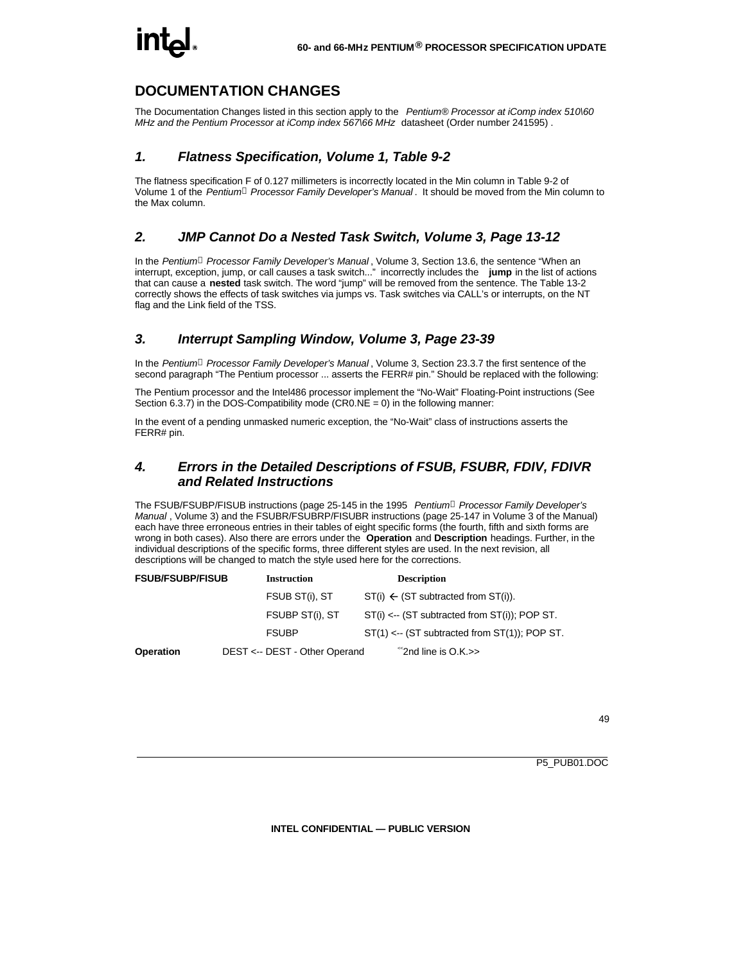#### **DOCUMENTATION CHANGES**

The Documentation Changes listed in this section apply to the *Pentium® Processor at iComp index 510\60 MHz and the Pentium Processor at iComp index 567\66 MHz* datasheet (Order number 241595) .

#### *1. Flatness Specification, Volume 1, Table 9-2*

The flatness specification F of 0.127 millimeters is incorrectly located in the Min column in Table 9-2 of Volume 1 of the *Pentiumâ Processor Family Developer's Manual* . It should be moved from the Min column to the Max column.

#### *2. JMP Cannot Do a Nested Task Switch, Volume 3, Page 13-12*

In the *Pentiumâ Processor Family Developer's Manual* , Volume 3, Section 13.6, the sentence "When an interrupt, exception, jump, or call causes a task switch..." incorrectly includes the **jump** in the list of actions that can cause a **nested** task switch. The word "jump" will be removed from the sentence. The Table 13-2 correctly shows the effects of task switches via jumps vs. Task switches via CALL's or interrupts, on the NT flag and the Link field of the TSS.

#### *3. Interrupt Sampling Window, Volume 3, Page 23-39*

In the *Pentiumâ Processor Family Developer's Manual* , Volume 3, Section 23.3.7 the first sentence of the second paragraph "The Pentium processor ... asserts the FERR# pin." Should be replaced with the following:

The Pentium processor and the Intel486 processor implement the "No-Wait" Floating-Point instructions (See Section 6.3.7) in the DOS-Compatibility mode (CR0.NE = 0) in the following manner:

In the event of a pending unmasked numeric exception, the "No-Wait" class of instructions asserts the FERR# pin.

#### *4. Errors in the Detailed Descriptions of FSUB, FSUBR, FDIV, FDIVR and Related Instructions*

The FSUB/FSUBP/FISUB instructions (page 25-145 in the 1995 *Pentiumâ Processor Family Developer's Manual* , Volume 3) and the FSUBR/FSUBRP/FISUBR instructions (page 25-147 in Volume 3 of the Manual) each have three erroneous entries in their tables of eight specific forms (the fourth, fifth and sixth forms are wrong in both cases). Also there are errors under the **Operation** and **Description** headings. Further, in the individual descriptions of the specific forms, three different styles are used. In the next revision, all descriptions will be changed to match the style used here for the corrections.

| <b>FSUB/FSUBP/FISUB</b> | <b>Instruction</b>            | <b>Description</b>                                        |  |
|-------------------------|-------------------------------|-----------------------------------------------------------|--|
|                         | FSUB ST(i), ST                | $ST(i) \leftarrow (ST$ subtracted from $ST(i)$ ).         |  |
|                         | FSUBP ST(i), ST               | $ST(i) \leftarrow$ (ST subtracted from $ST(i)$ ); POP ST. |  |
|                         | <b>FSUBP</b>                  | $ST(1) \leftarrow$ (ST subtracted from $ST(1)$ ); POP ST. |  |
| <b>Operation</b>        | DEST <-- DEST - Other Operand | $\degree$ 2nd line is O.K.>>                              |  |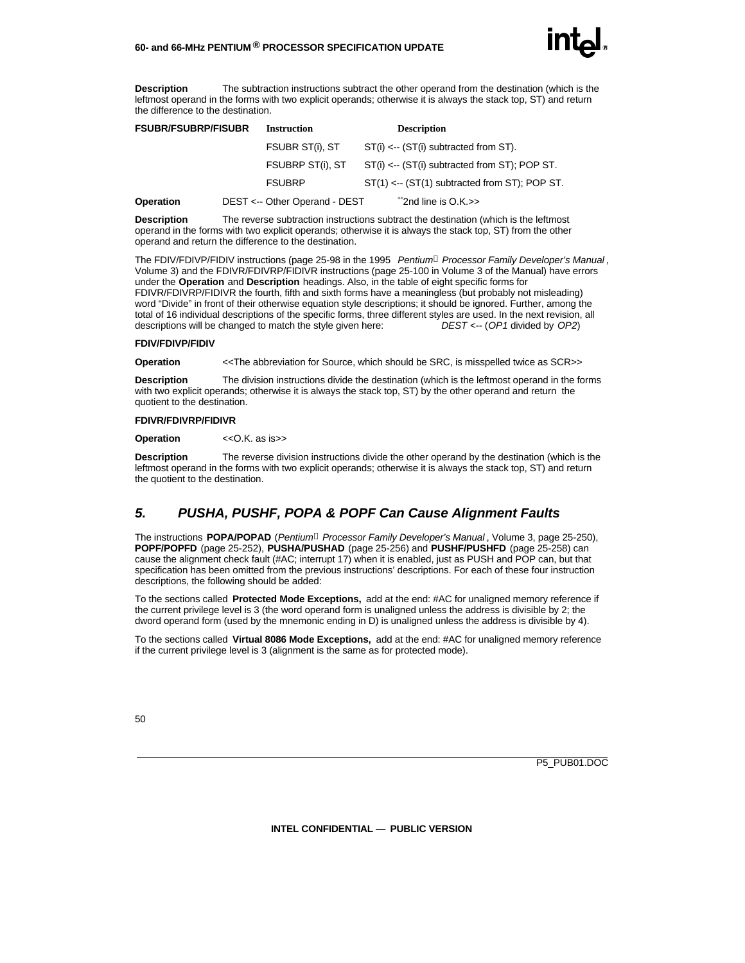

**Description** The subtraction instructions subtract the other operand from the destination (which is the leftmost operand in the forms with two explicit operands; otherwise it is always the stack top, ST) and return the difference to the destination.

| <b>FSUBR/FSUBRP/FISUBR</b> | <b>Instruction</b>            | <b>Description</b>                                     |
|----------------------------|-------------------------------|--------------------------------------------------------|
|                            | FSUBR ST(i), ST               | $ST(i) \leftarrow (ST(i)$ subtracted from ST).         |
|                            | FSUBRP ST(i), ST              | $ST(i) \leftarrow (ST(i)$ subtracted from ST); POP ST. |
|                            | <b>FSUBRP</b>                 | $ST(1) \leftarrow (ST(1)$ subtracted from ST); POP ST. |
| <b>Operation</b>           | DEST <-- Other Operand - DEST | $\degree$ 2nd line is O.K. $\gt$                       |

**Description** The reverse subtraction instructions subtract the destination (which is the leftmost operand in the forms with two explicit operands; otherwise it is always the stack top, ST) from the other operand and return the difference to the destination.

The FDIV/FDIVP/FIDIV instructions (page 25-98 in the 1995 *Pentiumâ Processor Family Developer's Manual* , Volume 3) and the FDIVR/FDIVRP/FIDIVR instructions (page 25-100 in Volume 3 of the Manual) have errors under the **Operation** and **Description** headings. Also, in the table of eight specific forms for FDIVR/FDIVRP/FIDIVR the fourth, fifth and sixth forms have a meaningless (but probably not misleading) word "Divide" in front of their otherwise equation style descriptions; it should be ignored. Further, among the total of 16 individual descriptions of the specific forms, three different styles are used. In the next revision, all descriptions will be changed to match the style given here:  $DEST \leftarrow (OP1$  divided by OP2) descriptions will be changed to match the style given here:

#### **FDIV/FDIVP/FIDIV**

**Operation** << The abbreviation for Source, which should be SRC, is misspelled twice as SCR>>

**Description** The division instructions divide the destination (which is the leftmost operand in the forms with two explicit operands; otherwise it is always the stack top, ST) by the other operand and return the quotient to the destination.

#### **FDIVR/FDIVRP/FIDIVR**

**Operation** << O.K. as is >>

**Description** The reverse division instructions divide the other operand by the destination (which is the leftmost operand in the forms with two explicit operands; otherwise it is always the stack top, ST) and return the quotient to the destination.

#### *5. PUSHA, PUSHF, POPA & POPF Can Cause Alignment Faults*

The instructions **POPA/POPAD** (*Pentiumâ Processor Family Developer's Manual* , Volume 3, page 25-250), **POPF/POPFD** (page 25-252), **PUSHA/PUSHAD** (page 25-256) and **PUSHF/PUSHFD** (page 25-258) can cause the alignment check fault (#AC; interrupt 17) when it is enabled, just as PUSH and POP can, but that specification has been omitted from the previous instructions' descriptions. For each of these four instruction descriptions, the following should be added:

To the sections called **Protected Mode Exceptions,** add at the end: #AC for unaligned memory reference if the current privilege level is 3 (the word operand form is unaligned unless the address is divisible by 2; the dword operand form (used by the mnemonic ending in D) is unaligned unless the address is divisible by 4).

To the sections called **Virtual 8086 Mode Exceptions,** add at the end: #AC for unaligned memory reference if the current privilege level is 3 (alignment is the same as for protected mode).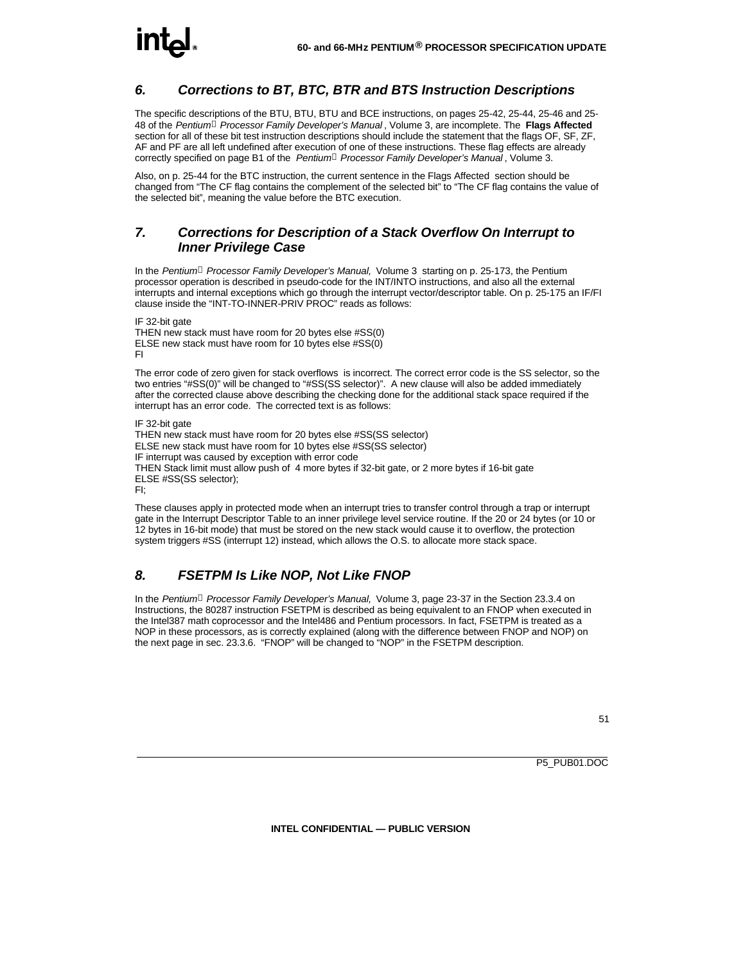#### *6. Corrections to BT, BTC, BTR and BTS Instruction Descriptions*

The specific descriptions of the BTU, BTU, BTU and BCE instructions, on pages 25-42, 25-44, 25-46 and 25- 48 of the *Pentiumâ Processor Family Developer's Manual* , Volume 3, are incomplete. The **Flags Affected** section for all of these bit test instruction descriptions should include the statement that the flags OF, SF, ZF, AF and PF are all left undefined after execution of one of these instructions. These flag effects are already correctly specified on page B1 of the *Pentiumâ Processor Family Developer's Manual* , Volume 3.

Also, on p. 25-44 for the BTC instruction, the current sentence in the Flags Affected section should be changed from "The CF flag contains the complement of the selected bit" to "The CF flag contains the value of the selected bit", meaning the value before the BTC execution.

#### *7. Corrections for Description of a Stack Overflow On Interrupt to Inner Privilege Case*

In the *Pentiumâ Processor Family Developer's Manual,* Volume 3 starting on p. 25-173, the Pentium processor operation is described in pseudo-code for the INT/INTO instructions, and also all the external interrupts and internal exceptions which go through the interrupt vector/descriptor table. On p. 25-175 an IF/FI clause inside the "INT-TO-INNER-PRIV PROC" reads as follows:

IF 32-bit gate THEN new stack must have room for 20 bytes else #SS(0) ELSE new stack must have room for 10 bytes else #SS(0) FI

The error code of zero given for stack overflows is incorrect. The correct error code is the SS selector, so the two entries "#SS(0)" will be changed to "#SS(SS selector)". A new clause will also be added immediately after the corrected clause above describing the checking done for the additional stack space required if the interrupt has an error code. The corrected text is as follows:

IF 32-bit gate THEN new stack must have room for 20 bytes else #SS(SS selector) ELSE new stack must have room for 10 bytes else #SS(SS selector) IF interrupt was caused by exception with error code THEN Stack limit must allow push of 4 more bytes if 32-bit gate, or 2 more bytes if 16-bit gate ELSE #SS(SS selector); FI;

These clauses apply in protected mode when an interrupt tries to transfer control through a trap or interrupt gate in the Interrupt Descriptor Table to an inner privilege level service routine. If the 20 or 24 bytes (or 10 or 12 bytes in 16-bit mode) that must be stored on the new stack would cause it to overflow, the protection system triggers #SS (interrupt 12) instead, which allows the O.S. to allocate more stack space.

#### *8. FSETPM Is Like NOP, Not Like FNOP*

In the *Pentiumâ Processor Family Developer's Manual,* Volume 3, page 23-37 in the Section 23.3.4 on Instructions, the 80287 instruction FSETPM is described as being equivalent to an FNOP when executed in the Intel387 math coprocessor and the Intel486 and Pentium processors. In fact, FSETPM is treated as a NOP in these processors, as is correctly explained (along with the difference between FNOP and NOP) on the next page in sec. 23.3.6. "FNOP" will be changed to "NOP" in the FSETPM description.